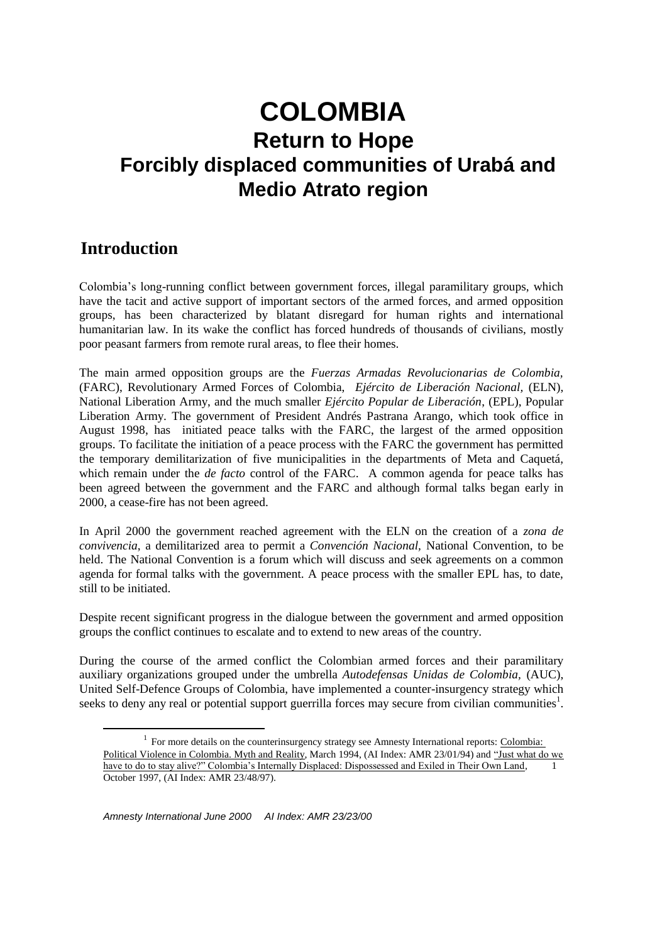# **Introduction**

1

Colombia's long-running conflict between government forces, illegal paramilitary groups, which have the tacit and active support of important sectors of the armed forces, and armed opposition groups, has been characterized by blatant disregard for human rights and international humanitarian law. In its wake the conflict has forced hundreds of thousands of civilians, mostly poor peasant farmers from remote rural areas, to flee their homes.

The main armed opposition groups are the *Fuerzas Armadas Revolucionarias de Colombia,* (FARC), Revolutionary Armed Forces of Colombia, *Ejército de Liberación Nacional,* (ELN), National Liberation Army, and the much smaller *Ejército Popular de Liberación*, (EPL), Popular Liberation Army. The government of President Andrés Pastrana Arango, which took office in August 1998, has initiated peace talks with the FARC, the largest of the armed opposition groups. To facilitate the initiation of a peace process with the FARC the government has permitted the temporary demilitarization of five municipalities in the departments of Meta and Caquetá, which remain under the *de facto* control of the FARC. A common agenda for peace talks has been agreed between the government and the FARC and although formal talks began early in 2000, a cease-fire has not been agreed.

In April 2000 the government reached agreement with the ELN on the creation of a *zona de convivencia*, a demilitarized area to permit a *Convención Nacional,* National Convention, to be held. The National Convention is a forum which will discuss and seek agreements on a common agenda for formal talks with the government. A peace process with the smaller EPL has, to date, still to be initiated.

Despite recent significant progress in the dialogue between the government and armed opposition groups the conflict continues to escalate and to extend to new areas of the country.

During the course of the armed conflict the Colombian armed forces and their paramilitary auxiliary organizations grouped under the umbrella *Autodefensas Unidas de Colombia,* (AUC), United Self-Defence Groups of Colombia, have implemented a counter-insurgency strategy which seeks to deny any real or potential support guerrilla forces may secure from civilian communities<sup>1</sup>.

<sup>&</sup>lt;sup>1</sup> For more details on the counterinsurgency strategy see Amnesty International reports: Colombia: Political Violence in Colombia. Myth and Reality, March 1994, (AI Index: AMR 23/01/94) and "Just what do we have to do to stay alive?" Colombia's Internally Displaced: Dispossessed and Exiled in Their Own Land, October 1997, (AI Index: AMR 23/48/97).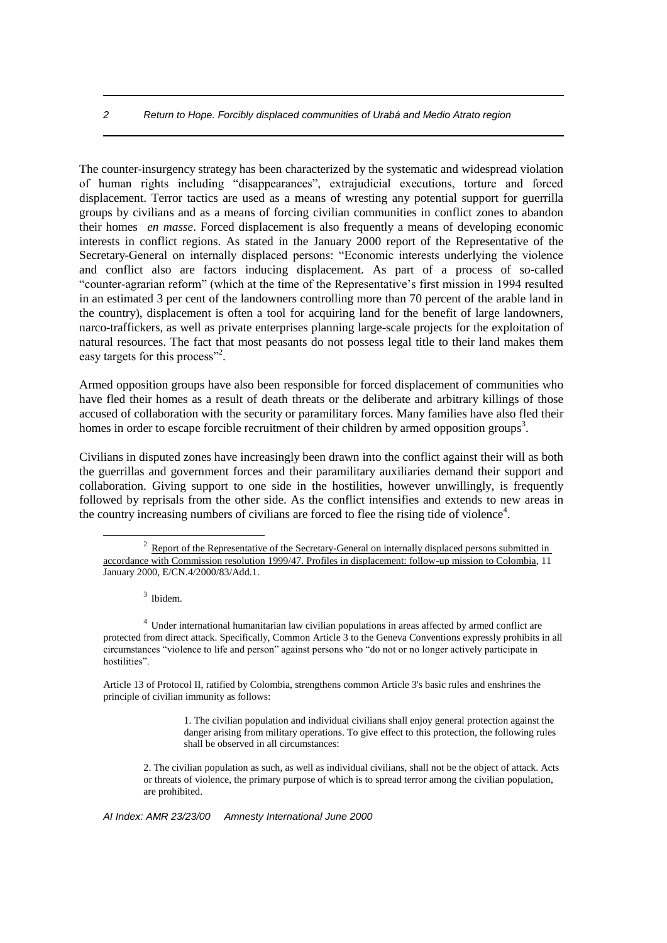The counter-insurgency strategy has been characterized by the systematic and widespread violation of human rights including "disappearances", extrajudicial executions, torture and forced displacement. Terror tactics are used as a means of wresting any potential support for guerrilla groups by civilians and as a means of forcing civilian communities in conflict zones to abandon their homes *en masse*. Forced displacement is also frequently a means of developing economic interests in conflict regions. As stated in the January 2000 report of the Representative of the Secretary-General on internally displaced persons: "Economic interests underlying the violence and conflict also are factors inducing displacement. As part of a process of so-called "counter-agrarian reform" (which at the time of the Representative's first mission in 1994 resulted in an estimated 3 per cent of the landowners controlling more than 70 percent of the arable land in the country), displacement is often a tool for acquiring land for the benefit of large landowners, narco-traffickers, as well as private enterprises planning large-scale projects for the exploitation of natural resources. The fact that most peasants do not possess legal title to their land makes them easy targets for this process"<sup>2</sup>.

Armed opposition groups have also been responsible for forced displacement of communities who have fled their homes as a result of death threats or the deliberate and arbitrary killings of those accused of collaboration with the security or paramilitary forces. Many families have also fled their homes in order to escape forcible recruitment of their children by armed opposition groups<sup>3</sup>.

Civilians in disputed zones have increasingly been drawn into the conflict against their will as both the guerrillas and government forces and their paramilitary auxiliaries demand their support and collaboration. Giving support to one side in the hostilities, however unwillingly, is frequently followed by reprisals from the other side. As the conflict intensifies and extends to new areas in the country increasing numbers of civilians are forced to flee the rising tide of violence<sup>4</sup>.

3 Ibidem.

1

<sup>4</sup> Under international humanitarian law civilian populations in areas affected by armed conflict are protected from direct attack. Specifically, Common Article 3 to the Geneva Conventions expressly prohibits in all circumstances "violence to life and person" against persons who "do not or no longer actively participate in hostilities".

Article 13 of Protocol II, ratified by Colombia, strengthens common Article 3's basic rules and enshrines the principle of civilian immunity as follows:

> 1. The civilian population and individual civilians shall enjoy general protection against the danger arising from military operations. To give effect to this protection, the following rules shall be observed in all circumstances:

2. The civilian population as such, as well as individual civilians, shall not be the object of attack. Acts or threats of violence, the primary purpose of which is to spread terror among the civilian population, are prohibited.

 $2 \text{ Report of the Representative of the Secretary-Ceneral on internally displaced persons submitted in }$ accordance with Commission resolution 1999/47. Profiles in displacement: follow-up mission to Colombia, 11 January 2000, E/CN.4/2000/83/Add.1.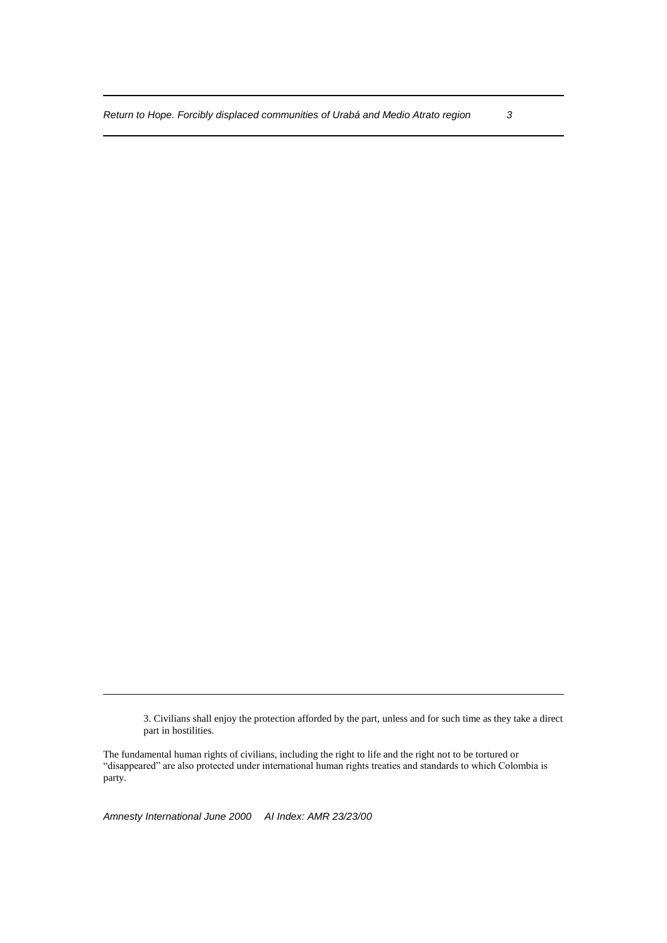3. Civilians shall enjoy the protection afforded by the part, unless and for such time as they take a direct part in hostilities.

The fundamental human rights of civilians, including the right to life and the right not to be tortured or "disappeared" are also protected under international human rights treaties and standards to which Colombia is party.

*Amnesty International June 2000 AI Index: AMR 23/23/00*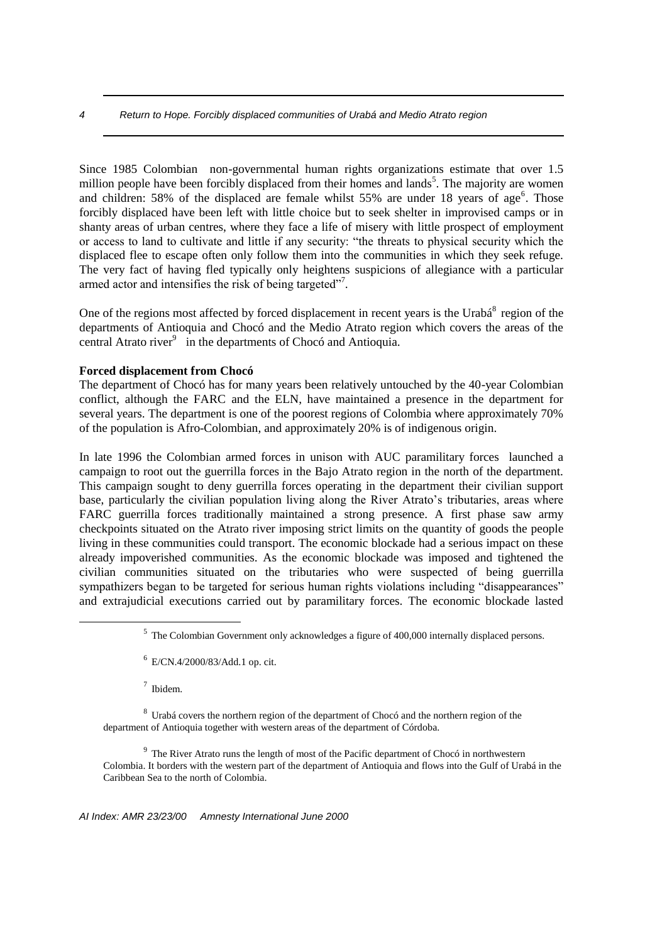Since 1985 Colombian non-governmental human rights organizations estimate that over 1.5 million people have been forcibly displaced from their homes and lands<sup>5</sup>. The majority are women and children:  $58\%$  of the displaced are female whilst  $55\%$  are under 18 years of age<sup>6</sup>. Those forcibly displaced have been left with little choice but to seek shelter in improvised camps or in shanty areas of urban centres, where they face a life of misery with little prospect of employment or access to land to cultivate and little if any security: "the threats to physical security which the displaced flee to escape often only follow them into the communities in which they seek refuge. The very fact of having fled typically only heightens suspicions of allegiance with a particular armed actor and intensifies the risk of being targeted"<sup>7</sup>.

One of the regions most affected by forced displacement in recent years is the Urabá<sup>8</sup> region of the departments of Antioquia and Chocó and the Medio Atrato region which covers the areas of the central Atrato river<sup>9</sup> in the departments of Chocó and Antioquia.

## **Forced displacement from Chocó**

The department of Chocó has for many years been relatively untouched by the 40-year Colombian conflict, although the FARC and the ELN, have maintained a presence in the department for several years. The department is one of the poorest regions of Colombia where approximately 70% of the population is Afro-Colombian, and approximately 20% is of indigenous origin.

In late 1996 the Colombian armed forces in unison with AUC paramilitary forces launched a campaign to root out the guerrilla forces in the Bajo Atrato region in the north of the department. This campaign sought to deny guerrilla forces operating in the department their civilian support base, particularly the civilian population living along the River Atrato's tributaries, areas where FARC guerrilla forces traditionally maintained a strong presence. A first phase saw army checkpoints situated on the Atrato river imposing strict limits on the quantity of goods the people living in these communities could transport. The economic blockade had a serious impact on these already impoverished communities. As the economic blockade was imposed and tightened the civilian communities situated on the tributaries who were suspected of being guerrilla sympathizers began to be targeted for serious human rights violations including "disappearances" and extrajudicial executions carried out by paramilitary forces. The economic blockade lasted

7 Ibidem.

<u>.</u>

<sup>8</sup> Urabá covers the northern region of the department of Chocó and the northern region of the department of Antioquia together with western areas of the department of Córdoba.

 $9<sup>9</sup>$  The River Atrato runs the length of most of the Pacific department of Chocó in northwestern Colombia. It borders with the western part of the department of Antioquia and flows into the Gulf of Urabá in the Caribbean Sea to the north of Colombia.

 $<sup>5</sup>$  The Colombian Government only acknowledges a figure of 400,000 internally displaced persons.</sup>

 $6$  E/CN.4/2000/83/Add.1 op. cit.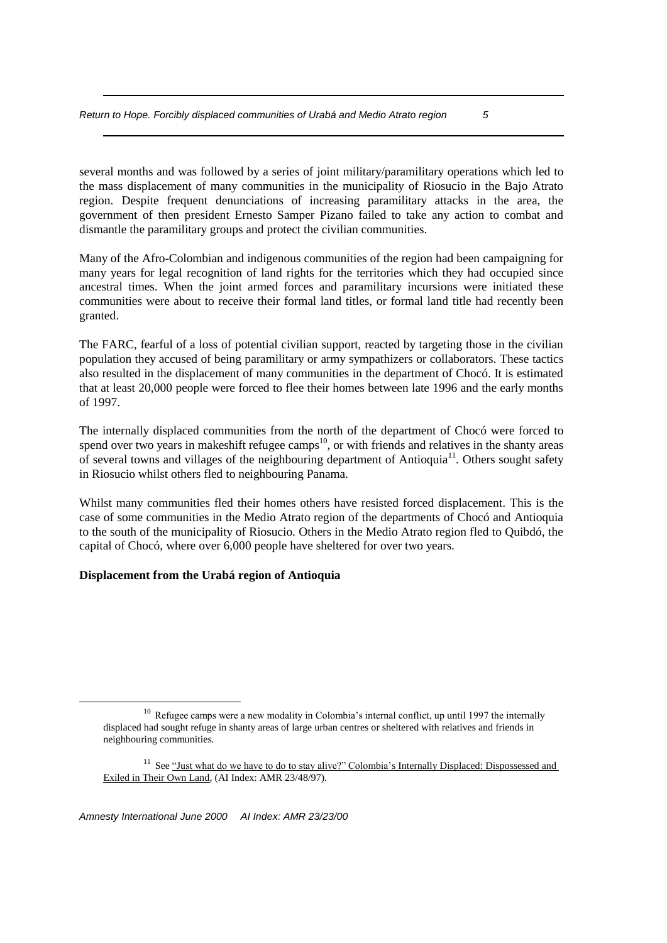several months and was followed by a series of joint military/paramilitary operations which led to the mass displacement of many communities in the municipality of Riosucio in the Bajo Atrato region. Despite frequent denunciations of increasing paramilitary attacks in the area, the government of then president Ernesto Samper Pizano failed to take any action to combat and dismantle the paramilitary groups and protect the civilian communities.

Many of the Afro-Colombian and indigenous communities of the region had been campaigning for many years for legal recognition of land rights for the territories which they had occupied since ancestral times. When the joint armed forces and paramilitary incursions were initiated these communities were about to receive their formal land titles, or formal land title had recently been granted.

The FARC, fearful of a loss of potential civilian support, reacted by targeting those in the civilian population they accused of being paramilitary or army sympathizers or collaborators. These tactics also resulted in the displacement of many communities in the department of Chocó. It is estimated that at least 20,000 people were forced to flee their homes between late 1996 and the early months of 1997.

The internally displaced communities from the north of the department of Chocó were forced to spend over two years in makeshift refugee camps<sup>10</sup>, or with friends and relatives in the shanty areas of several towns and villages of the neighbouring department of Antioquia<sup>11</sup>. Others sought safety in Riosucio whilst others fled to neighbouring Panama.

Whilst many communities fled their homes others have resisted forced displacement. This is the case of some communities in the Medio Atrato region of the departments of Chocó and Antioquia to the south of the municipality of Riosucio. Others in the Medio Atrato region fled to Quibdó, the capital of Chocó, where over 6,000 people have sheltered for over two years.

## **Displacement from the Urabá region of Antioquia**

<u>.</u>

*Amnesty International June 2000 AI Index: AMR 23/23/00*

<sup>&</sup>lt;sup>10</sup> Refugee camps were a new modality in Colombia's internal conflict, up until 1997 the internally displaced had sought refuge in shanty areas of large urban centres or sheltered with relatives and friends in neighbouring communities.

<sup>&</sup>lt;sup>11</sup> See "Just what do we have to do to stay alive?" Colombia's Internally Displaced: Dispossessed and Exiled in Their Own Land, (AI Index: AMR 23/48/97).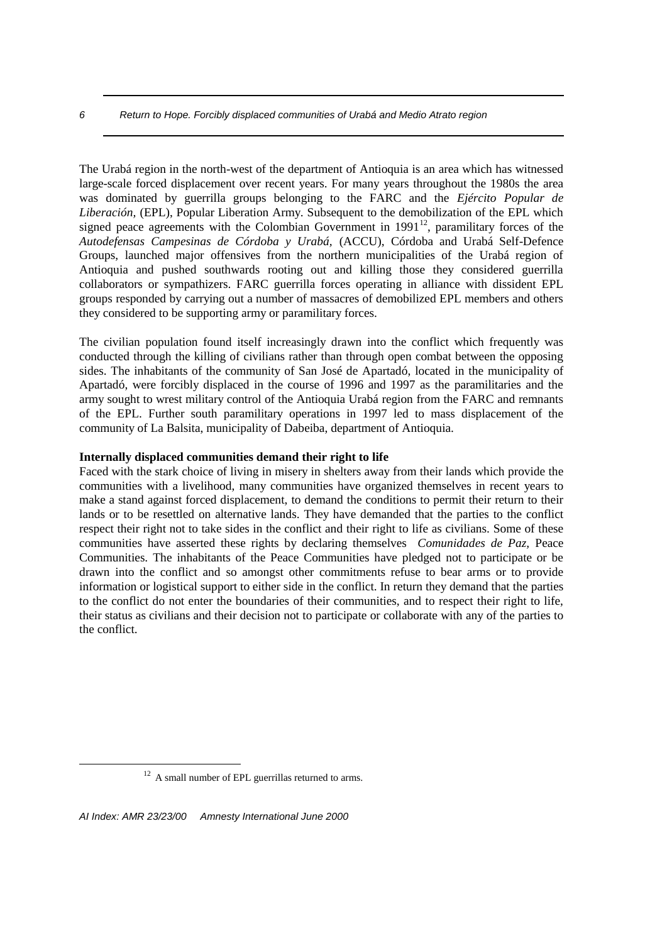The Urabá region in the north-west of the department of Antioquia is an area which has witnessed large-scale forced displacement over recent years. For many years throughout the 1980s the area was dominated by guerrilla groups belonging to the FARC and the *Ejército Popular de Liberación,* (EPL), Popular Liberation Army. Subsequent to the demobilization of the EPL which signed peace agreements with the Colombian Government in  $1991<sup>12</sup>$ , paramilitary forces of the *Autodefensas Campesinas de Córdoba y Urabá,* (ACCU), Córdoba and Urabá Self-Defence Groups, launched major offensives from the northern municipalities of the Urabá region of Antioquia and pushed southwards rooting out and killing those they considered guerrilla collaborators or sympathizers. FARC guerrilla forces operating in alliance with dissident EPL groups responded by carrying out a number of massacres of demobilized EPL members and others they considered to be supporting army or paramilitary forces.

The civilian population found itself increasingly drawn into the conflict which frequently was conducted through the killing of civilians rather than through open combat between the opposing sides. The inhabitants of the community of San José de Apartadó, located in the municipality of Apartadó, were forcibly displaced in the course of 1996 and 1997 as the paramilitaries and the army sought to wrest military control of the Antioquia Urabá region from the FARC and remnants of the EPL. Further south paramilitary operations in 1997 led to mass displacement of the community of La Balsita, municipality of Dabeiba, department of Antioquia.

#### **Internally displaced communities demand their right to life**

Faced with the stark choice of living in misery in shelters away from their lands which provide the communities with a livelihood, many communities have organized themselves in recent years to make a stand against forced displacement, to demand the conditions to permit their return to their lands or to be resettled on alternative lands. They have demanded that the parties to the conflict respect their right not to take sides in the conflict and their right to life as civilians. Some of these communities have asserted these rights by declaring themselves *Comunidades de Paz,* Peace Communities. The inhabitants of the Peace Communities have pledged not to participate or be drawn into the conflict and so amongst other commitments refuse to bear arms or to provide information or logistical support to either side in the conflict. In return they demand that the parties to the conflict do not enter the boundaries of their communities, and to respect their right to life, their status as civilians and their decision not to participate or collaborate with any of the parties to the conflict.

<sup>&</sup>lt;sup>12</sup> A small number of EPL guerrillas returned to arms.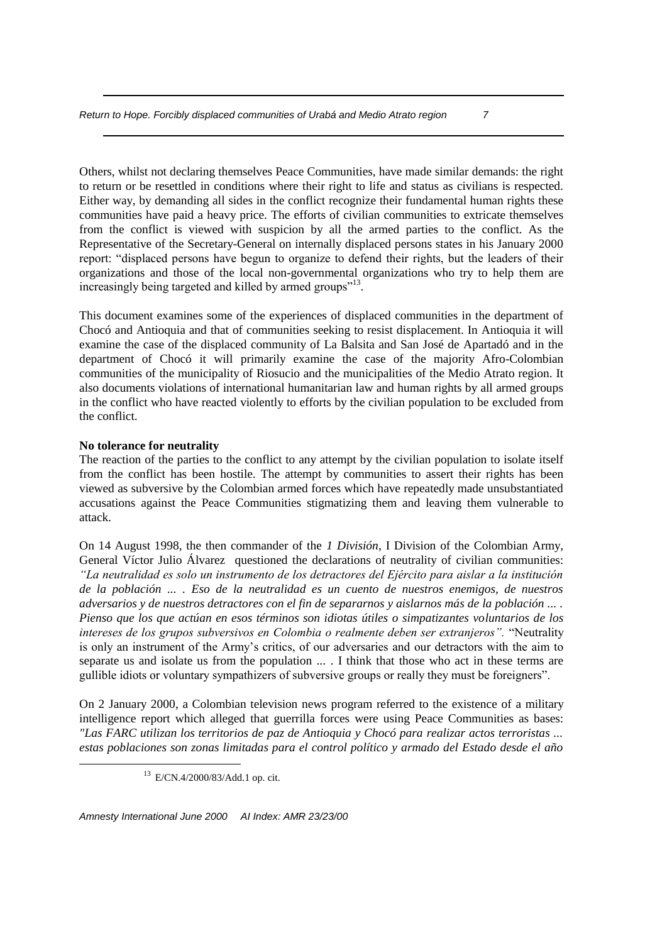Others, whilst not declaring themselves Peace Communities, have made similar demands: the right to return or be resettled in conditions where their right to life and status as civilians is respected. Either way, by demanding all sides in the conflict recognize their fundamental human rights these communities have paid a heavy price. The efforts of civilian communities to extricate themselves from the conflict is viewed with suspicion by all the armed parties to the conflict. As the Representative of the Secretary-General on internally displaced persons states in his January 2000 report: "displaced persons have begun to organize to defend their rights, but the leaders of their organizations and those of the local non-governmental organizations who try to help them are increasingly being targeted and killed by armed groups"<sup>13</sup>.

This document examines some of the experiences of displaced communities in the department of Chocó and Antioquia and that of communities seeking to resist displacement. In Antioquia it will examine the case of the displaced community of La Balsita and San José de Apartadó and in the department of Chocó it will primarily examine the case of the majority Afro-Colombian communities of the municipality of Riosucio and the municipalities of the Medio Atrato region. It also documents violations of international humanitarian law and human rights by all armed groups in the conflict who have reacted violently to efforts by the civilian population to be excluded from the conflict.

#### **No tolerance for neutrality**

<u>.</u>

The reaction of the parties to the conflict to any attempt by the civilian population to isolate itself from the conflict has been hostile. The attempt by communities to assert their rights has been viewed as subversive by the Colombian armed forces which have repeatedly made unsubstantiated accusations against the Peace Communities stigmatizing them and leaving them vulnerable to attack.

On 14 August 1998, the then commander of the *1 División*, I Division of the Colombian Army, General Víctor Julio Álvarez questioned the declarations of neutrality of civilian communities: *"La neutralidad es solo un instrumento de los detractores del Ejército para aislar a la institución de la población ... . Eso de la neutralidad es un cuento de nuestros enemigos, de nuestros adversarios y de nuestros detractores con el fin de separarnos y aislarnos más de la población ... . Pienso que los que actúan en esos términos son idiotas útiles o simpatizantes voluntarios de los intereses de los grupos subversivos en Colombia o realmente deben ser extranjeros".* "Neutrality is only an instrument of the Army's critics, of our adversaries and our detractors with the aim to separate us and isolate us from the population ... . I think that those who act in these terms are gullible idiots or voluntary sympathizers of subversive groups or really they must be foreigners".

On 2 January 2000, a Colombian television news program referred to the existence of a military intelligence report which alleged that guerrilla forces were using Peace Communities as bases: *"Las FARC utilizan los territorios de paz de Antioquia y Chocó para realizar actos terroristas ... estas poblaciones son zonas limitadas para el control político y armado del Estado desde el año* 

*Amnesty International June 2000 AI Index: AMR 23/23/00*

<sup>13</sup> E/CN.4/2000/83/Add.1 op. cit.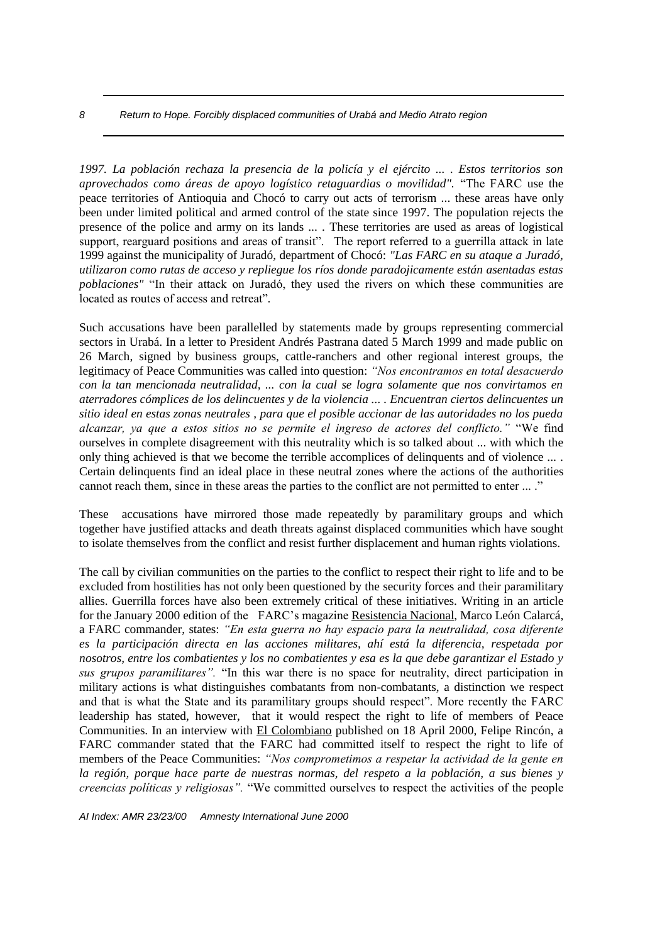*1997. La población rechaza la presencia de la policía y el ejército ... . Estos territorios son aprovechados como áreas de apoyo logístico retaguardias o movilidad".* "The FARC use the peace territories of Antioquia and Chocó to carry out acts of terrorism ... these areas have only been under limited political and armed control of the state since 1997. The population rejects the presence of the police and army on its lands ... . These territories are used as areas of logistical support, rearguard positions and areas of transit". The report referred to a guerrilla attack in late 1999 against the municipality of Juradó, department of Chocó: *"Las FARC en su ataque a Juradó, utilizaron como rutas de acceso y repliegue los ríos donde paradojicamente están asentadas estas poblaciones"* "In their attack on Juradó, they used the rivers on which these communities are located as routes of access and retreat"*.*

Such accusations have been parallelled by statements made by groups representing commercial sectors in Urabá. In a letter to President Andrés Pastrana dated 5 March 1999 and made public on 26 March, signed by business groups, cattle-ranchers and other regional interest groups, the legitimacy of Peace Communities was called into question: *"Nos encontramos en total desacuerdo con la tan mencionada neutralidad, ... con la cual se logra solamente que nos convirtamos en aterradores cómplices de los delincuentes y de la violencia ... . Encuentran ciertos delincuentes un sitio ideal en estas zonas neutrales , para que el posible accionar de las autoridades no los pueda alcanzar, ya que a estos sitios no se permite el ingreso de actores del conflicto."* "We find ourselves in complete disagreement with this neutrality which is so talked about ... with which the only thing achieved is that we become the terrible accomplices of delinquents and of violence ... . Certain delinquents find an ideal place in these neutral zones where the actions of the authorities cannot reach them, since in these areas the parties to the conflict are not permitted to enter ... ."

These accusations have mirrored those made repeatedly by paramilitary groups and which together have justified attacks and death threats against displaced communities which have sought to isolate themselves from the conflict and resist further displacement and human rights violations.

The call by civilian communities on the parties to the conflict to respect their right to life and to be excluded from hostilities has not only been questioned by the security forces and their paramilitary allies. Guerrilla forces have also been extremely critical of these initiatives. Writing in an article for the January 2000 edition of the FARC's magazine Resistencia Nacional, Marco León Calarcá, a FARC commander, states: *"En esta guerra no hay espacio para la neutralidad, cosa diferente es la participación directa en las acciones militares, ahí está la diferencia, respetada por nosotros, entre los combatientes y los no combatientes y esa es la que debe garantizar el Estado y sus grupos paramilitares".* "In this war there is no space for neutrality, direct participation in military actions is what distinguishes combatants from non-combatants, a distinction we respect and that is what the State and its paramilitary groups should respect". More recently the FARC leadership has stated, however, that it would respect the right to life of members of Peace Communities. In an interview with El Colombiano published on 18 April 2000, Felipe Rincón, a FARC commander stated that the FARC had committed itself to respect the right to life of members of the Peace Communities: *"Nos comprometimos a respetar la actividad de la gente en la región, porque hace parte de nuestras normas, del respeto a la población, a sus bienes y creencias políticas y religiosas".* "We committed ourselves to respect the activities of the people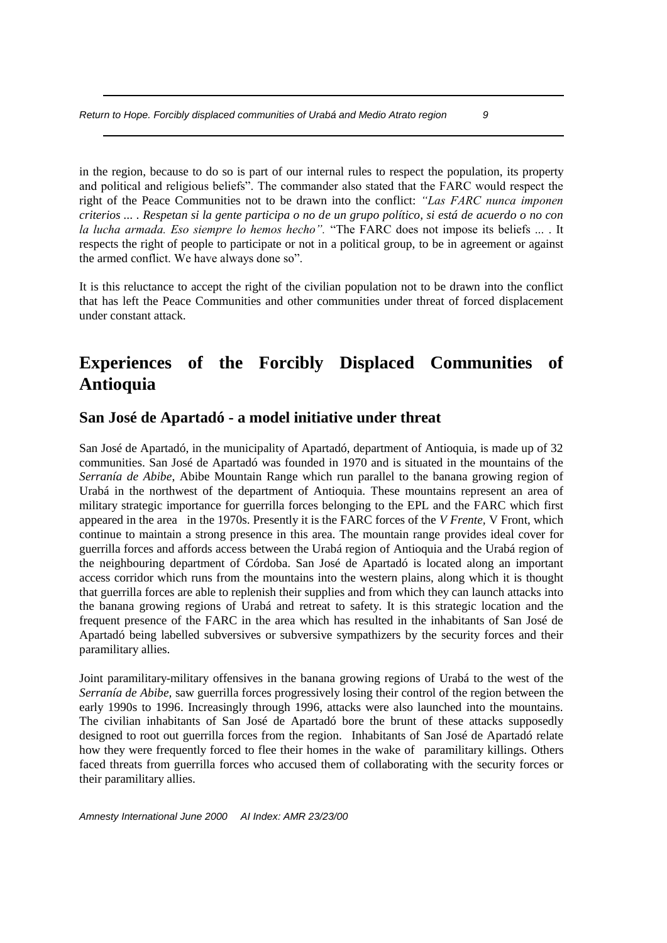in the region, because to do so is part of our internal rules to respect the population, its property and political and religious beliefs". The commander also stated that the FARC would respect the right of the Peace Communities not to be drawn into the conflict: *"Las FARC nunca imponen criterios ... . Respetan si la gente participa o no de un grupo político, si está de acuerdo o no con la lucha armada. Eso siempre lo hemos hecho".* "The FARC does not impose its beliefs ... . It respects the right of people to participate or not in a political group, to be in agreement or against the armed conflict. We have always done so".

It is this reluctance to accept the right of the civilian population not to be drawn into the conflict that has left the Peace Communities and other communities under threat of forced displacement under constant attack.

# **Experiences of the Forcibly Displaced Communities of Antioquia**

# **San José de Apartadó - a model initiative under threat**

San José de Apartadó, in the municipality of Apartadó, department of Antioquia, is made up of 32 communities. San José de Apartadó was founded in 1970 and is situated in the mountains of the *Serranía de Abibe*, Abibe Mountain Range which run parallel to the banana growing region of Urabá in the northwest of the department of Antioquia. These mountains represent an area of military strategic importance for guerrilla forces belonging to the EPL and the FARC which first appeared in the area in the 1970s. Presently it is the FARC forces of the *V Frente,* V Front, which continue to maintain a strong presence in this area. The mountain range provides ideal cover for guerrilla forces and affords access between the Urabá region of Antioquia and the Urabá region of the neighbouring department of Córdoba. San José de Apartadó is located along an important access corridor which runs from the mountains into the western plains, along which it is thought that guerrilla forces are able to replenish their supplies and from which they can launch attacks into the banana growing regions of Urabá and retreat to safety. It is this strategic location and the frequent presence of the FARC in the area which has resulted in the inhabitants of San José de Apartadó being labelled subversives or subversive sympathizers by the security forces and their paramilitary allies.

Joint paramilitary-military offensives in the banana growing regions of Urabá to the west of the *Serranía de Abibe,* saw guerrilla forces progressively losing their control of the region between the early 1990s to 1996. Increasingly through 1996, attacks were also launched into the mountains. The civilian inhabitants of San José de Apartadó bore the brunt of these attacks supposedly designed to root out guerrilla forces from the region. Inhabitants of San José de Apartadó relate how they were frequently forced to flee their homes in the wake of paramilitary killings. Others faced threats from guerrilla forces who accused them of collaborating with the security forces or their paramilitary allies.

*Amnesty International June 2000 AI Index: AMR 23/23/00*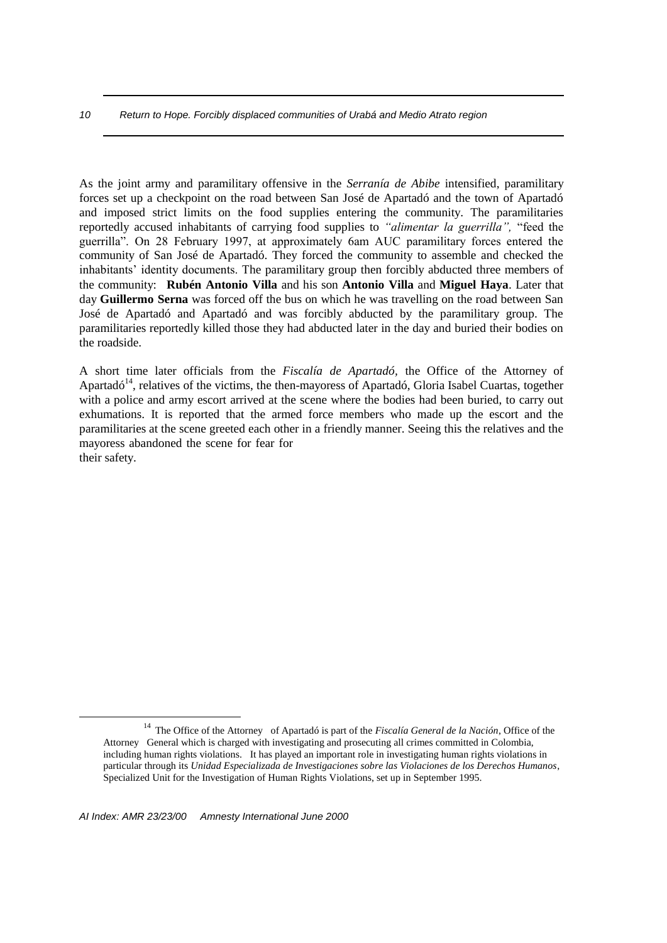As the joint army and paramilitary offensive in the *Serranía de Abibe* intensified, paramilitary forces set up a checkpoint on the road between San José de Apartadó and the town of Apartadó and imposed strict limits on the food supplies entering the community. The paramilitaries reportedly accused inhabitants of carrying food supplies to *"alimentar la guerrilla",* "feed the guerrilla". On 28 February 1997, at approximately 6am AUC paramilitary forces entered the community of San José de Apartadó. They forced the community to assemble and checked the inhabitants' identity documents. The paramilitary group then forcibly abducted three members of the community: **Rubén Antonio Villa** and his son **Antonio Villa** and **Miguel Haya**. Later that day **Guillermo Serna** was forced off the bus on which he was travelling on the road between San José de Apartadó and Apartadó and was forcibly abducted by the paramilitary group. The paramilitaries reportedly killed those they had abducted later in the day and buried their bodies on the roadside.

A short time later officials from the *Fiscalía de Apartadó,* the Office of the Attorney of Apartadó<sup> $14$ </sup>, relatives of the victims, the then-mayoress of Apartadó, Gloria Isabel Cuartas, together with a police and army escort arrived at the scene where the bodies had been buried, to carry out exhumations. It is reported that the armed force members who made up the escort and the paramilitaries at the scene greeted each other in a friendly manner. Seeing this the relatives and the mayoress abandoned the scene for fear for their safety.

<sup>14</sup> The Office of the Attorney of Apartadó is part of the *Fiscalía General de la Nación*, Office of the Attorney General which is charged with investigating and prosecuting all crimes committed in Colombia, including human rights violations. It has played an important role in investigating human rights violations in particular through its *Unidad Especializada de Investigaciones sobre las Violaciones de los Derechos Humanos*, Specialized Unit for the Investigation of Human Rights Violations, set up in September 1995.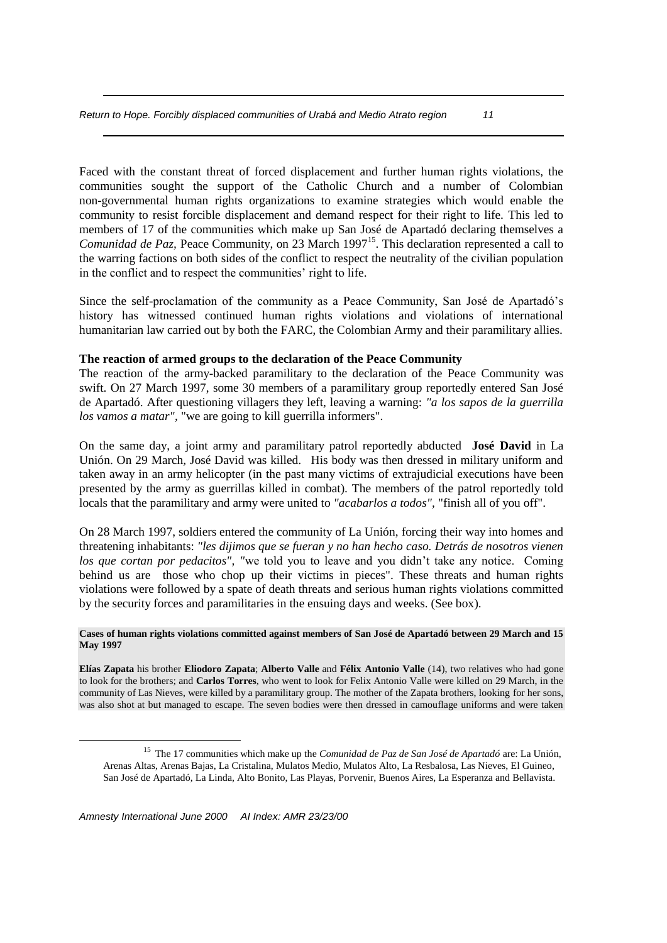Faced with the constant threat of forced displacement and further human rights violations, the communities sought the support of the Catholic Church and a number of Colombian non-governmental human rights organizations to examine strategies which would enable the community to resist forcible displacement and demand respect for their right to life. This led to members of 17 of the communities which make up San José de Apartadó declaring themselves a *Comunidad de Paz*, Peace Community, on 23 March 1997<sup>15</sup>. This declaration represented a call to the warring factions on both sides of the conflict to respect the neutrality of the civilian population in the conflict and to respect the communities' right to life.

Since the self-proclamation of the community as a Peace Community, San José de Apartadó's history has witnessed continued human rights violations and violations of international humanitarian law carried out by both the FARC, the Colombian Army and their paramilitary allies.

## **The reaction of armed groups to the declaration of the Peace Community**

The reaction of the army-backed paramilitary to the declaration of the Peace Community was swift. On 27 March 1997, some 30 members of a paramilitary group reportedly entered San José de Apartadó. After questioning villagers they left, leaving a warning: *"a los sapos de la guerrilla los vamos a matar",* "we are going to kill guerrilla informers".

On the same day, a joint army and paramilitary patrol reportedly abducted **José David** in La Unión. On 29 March, José David was killed. His body was then dressed in military uniform and taken away in an army helicopter (in the past many victims of extrajudicial executions have been presented by the army as guerrillas killed in combat). The members of the patrol reportedly told locals that the paramilitary and army were united to *"acabarlos a todos",* "finish all of you off".

On 28 March 1997, soldiers entered the community of La Unión, forcing their way into homes and threatening inhabitants: *"les dijimos que se fueran y no han hecho caso. Detrás de nosotros vienen los que cortan por pedacitos", "*we told you to leave and you didn't take any notice. Coming behind us are those who chop up their victims in pieces". These threats and human rights violations were followed by a spate of death threats and serious human rights violations committed by the security forces and paramilitaries in the ensuing days and weeks. (See box).

#### **Cases of human rights violations committed against members of San José de Apartadó between 29 March and 15 May 1997**

**Elías Zapata** his brother **Eliodoro Zapata**; **Alberto Valle** and **Félix Antonio Valle** (14), two relatives who had gone to look for the brothers; and **Carlos Torres**, who went to look for Felix Antonio Valle were killed on 29 March, in the community of Las Nieves, were killed by a paramilitary group. The mother of the Zapata brothers, looking for her sons, was also shot at but managed to escape. The seven bodies were then dressed in camouflage uniforms and were taken

1

<sup>15</sup> The 17 communities which make up the *Comunidad de Paz de San José de Apartadó* are: La Unión, Arenas Altas, Arenas Bajas, La Cristalina, Mulatos Medio, Mulatos Alto, La Resbalosa, Las Nieves, El Guineo, San José de Apartadó, La Linda, Alto Bonito, Las Playas, Porvenir, Buenos Aires, La Esperanza and Bellavista.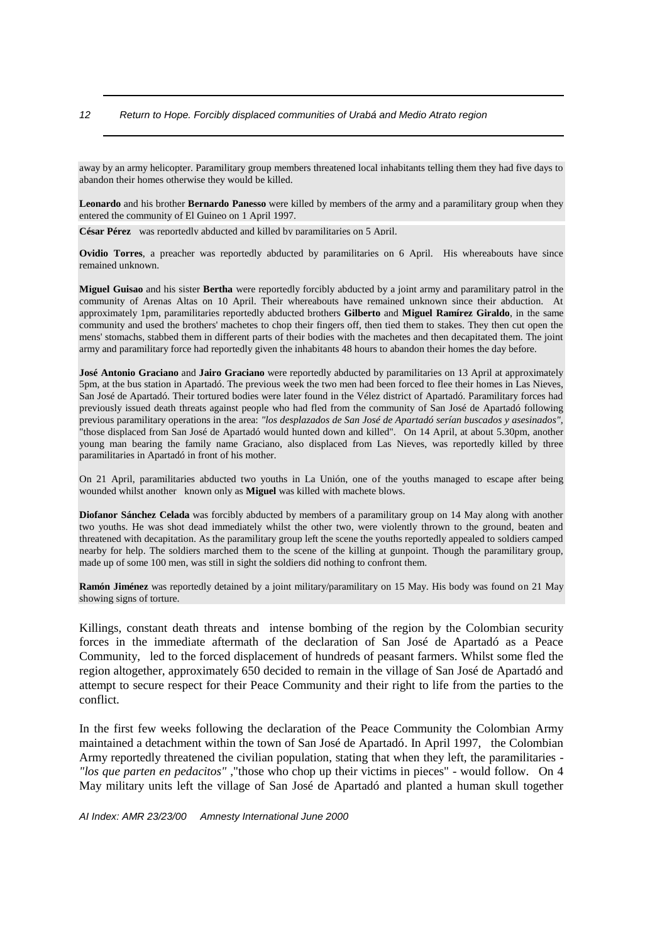away by an army helicopter. Paramilitary group members threatened local inhabitants telling them they had five days to abandon their homes otherwise they would be killed.

**Leonardo** and his brother **Bernardo Panesso** were killed by members of the army and a paramilitary group when they entered the community of El Guineo on 1 April 1997.

**César Pérez** was reportedly abducted and killed by paramilitaries on 5 April.

**Ovidio Torres**, a preacher was reportedly abducted by paramilitaries on 6 April. His whereabouts have since remained unknown.

**Miguel Guisao** and his sister **Bertha** were reportedly forcibly abducted by a joint army and paramilitary patrol in the community of Arenas Altas on 10 April. Their whereabouts have remained unknown since their abduction. At approximately 1pm, paramilitaries reportedly abducted brothers **Gilberto** and **Miguel Ramírez Giraldo**, in the same community and used the brothers' machetes to chop their fingers off, then tied them to stakes. They then cut open the mens' stomachs, stabbed them in different parts of their bodies with the machetes and then decapitated them. The joint army and paramilitary force had reportedly given the inhabitants 48 hours to abandon their homes the day before.

**José Antonio Graciano** and **Jairo Graciano** were reportedly abducted by paramilitaries on 13 April at approximately 5pm, at the bus station in Apartadó. The previous week the two men had been forced to flee their homes in Las Nieves, San José de Apartadó. Their tortured bodies were later found in the Vélez district of Apartadó. Paramilitary forces had previously issued death threats against people who had fled from the community of San José de Apartadó following previous paramilitary operations in the area: *"los desplazados de San José de Apartadó serían buscados y asesinados",* "those displaced from San José de Apartadó would hunted down and killed". On 14 April, at about 5.30pm, another young man bearing the family name Graciano, also displaced from Las Nieves, was reportedly killed by three paramilitaries in Apartadó in front of his mother.

On 21 April, paramilitaries abducted two youths in La Unión, one of the youths managed to escape after being wounded whilst another known only as **Miguel** was killed with machete blows.

**Diofanor Sánchez Celada** was forcibly abducted by members of a paramilitary group on 14 May along with another two youths. He was shot dead immediately whilst the other two, were violently thrown to the ground, beaten and threatened with decapitation. As the paramilitary group left the scene the youths reportedly appealed to soldiers camped nearby for help. The soldiers marched them to the scene of the killing at gunpoint. Though the paramilitary group, made up of some 100 men, was still in sight the soldiers did nothing to confront them.

**Ramón Jiménez** was reportedly detained by a joint military/paramilitary on 15 May. His body was found on 21 May showing signs of torture.

Killings, constant death threats and intense bombing of the region by the Colombian security forces in the immediate aftermath of the declaration of San José de Apartadó as a Peace Community, led to the forced displacement of hundreds of peasant farmers. Whilst some fled the region altogether, approximately 650 decided to remain in the village of San José de Apartadó and attempt to secure respect for their Peace Community and their right to life from the parties to the conflict.

In the first few weeks following the declaration of the Peace Community the Colombian Army maintained a detachment within the town of San José de Apartadó. In April 1997, the Colombian Army reportedly threatened the civilian population, stating that when they left, the paramilitaries - *"los que parten en pedacitos"* ,"those who chop up their victims in pieces" - would follow. On 4 May military units left the village of San José de Apartadó and planted a human skull together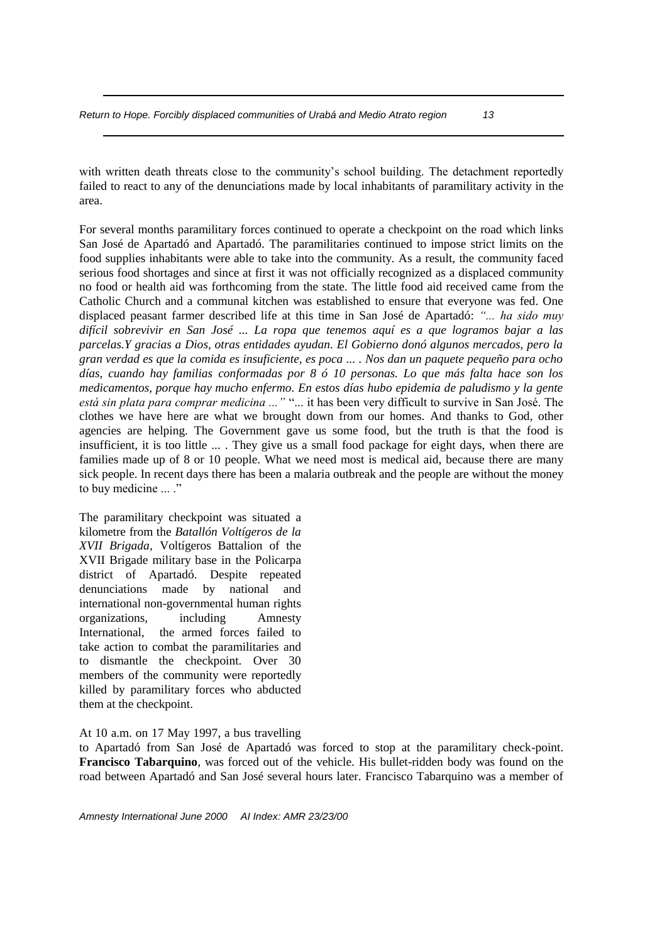with written death threats close to the community's school building. The detachment reportedly failed to react to any of the denunciations made by local inhabitants of paramilitary activity in the area.

For several months paramilitary forces continued to operate a checkpoint on the road which links San José de Apartadó and Apartadó. The paramilitaries continued to impose strict limits on the food supplies inhabitants were able to take into the community. As a result, the community faced serious food shortages and since at first it was not officially recognized as a displaced community no food or health aid was forthcoming from the state. The little food aid received came from the Catholic Church and a communal kitchen was established to ensure that everyone was fed. One displaced peasant farmer described life at this time in San José de Apartadó: *"... ha sido muy difícil sobrevivir en San José ... La ropa que tenemos aquí es a que logramos bajar a las parcelas.Y gracias a Dios, otras entidades ayudan. El Gobierno donó algunos mercados, pero la gran verdad es que la comida es insuficiente, es poca ... . Nos dan un paquete pequeño para ocho días, cuando hay familias conformadas por 8 ó 10 personas. Lo que más falta hace son los medicamentos, porque hay mucho enfermo. En estos días hubo epidemia de paludismo y la gente está sin plata para comprar medicina ..."* "... it has been very difficult to survive in San José. The clothes we have here are what we brought down from our homes. And thanks to God, other agencies are helping. The Government gave us some food, but the truth is that the food is insufficient, it is too little ... . They give us a small food package for eight days, when there are families made up of 8 or 10 people. What we need most is medical aid, because there are many sick people. In recent days there has been a malaria outbreak and the people are without the money to buy medicine ... ."

The paramilitary checkpoint was situated a kilometre from the *Batallón Voltígeros de la XVII Brigada,* Voltígeros Battalion of the XVII Brigade military base in the Policarpa district of Apartadó. Despite repeated denunciations made by national and international non-governmental human rights organizations, including Amnesty International, the armed forces failed to take action to combat the paramilitaries and to dismantle the checkpoint. Over 30 members of the community were reportedly killed by paramilitary forces who abducted them at the checkpoint.

At 10 a.m. on 17 May 1997, a bus travelling

to Apartadó from San José de Apartadó was forced to stop at the paramilitary check-point. **Francisco Tabarquino**, was forced out of the vehicle. His bullet-ridden body was found on the road between Apartadó and San José several hours later. Francisco Tabarquino was a member of

*Amnesty International June 2000 AI Index: AMR 23/23/00*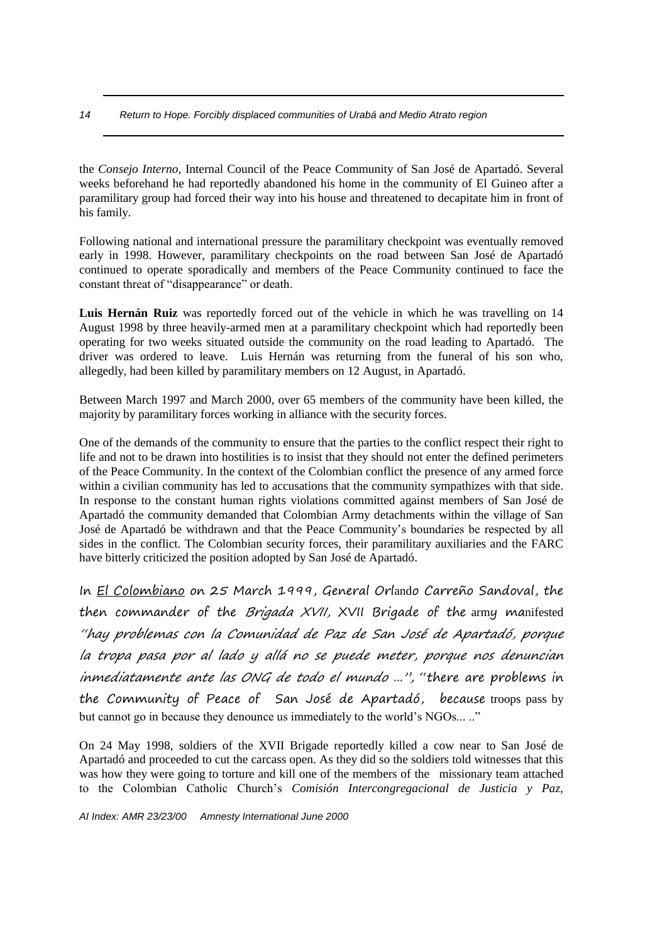the *Consejo Interno,* Internal Council of the Peace Community of San José de Apartadó. Several weeks beforehand he had reportedly abandoned his home in the community of El Guineo after a paramilitary group had forced their way into his house and threatened to decapitate him in front of his family.

Following national and international pressure the paramilitary checkpoint was eventually removed early in 1998. However, paramilitary checkpoints on the road between San José de Apartadó continued to operate sporadically and members of the Peace Community continued to face the constant threat of "disappearance" or death.

Luis Hernán Ruiz was reportedly forced out of the vehicle in which he was travelling on 14 August 1998 by three heavily-armed men at a paramilitary checkpoint which had reportedly been operating for two weeks situated outside the community on the road leading to Apartadó. The driver was ordered to leave. Luis Hernán was returning from the funeral of his son who, allegedly, had been killed by paramilitary members on 12 August, in Apartadó.

Between March 1997 and March 2000, over 65 members of the community have been killed, the majority by paramilitary forces working in alliance with the security forces.

One of the demands of the community to ensure that the parties to the conflict respect their right to life and not to be drawn into hostilities is to insist that they should not enter the defined perimeters of the Peace Community. In the context of the Colombian conflict the presence of any armed force within a civilian community has led to accusations that the community sympathizes with that side. In response to the constant human rights violations committed against members of San José de Apartadó the community demanded that Colombian Army detachments within the village of San José de Apartadó be withdrawn and that the Peace Community's boundaries be respected by all sides in the conflict. The Colombian security forces, their paramilitary auxiliaries and the FARC have bitterly criticized the position adopted by San José de Apartadó.

In El Colombiano on 25 March 1999, General Orlando Carreño Sandoval, the then commander of the *Brigada XVII*, XVII Brigade of the army manifested "hay problemas con la Comunidad de Paz de San José de Apartadó, porque la tropa pasa por al lado y allá no se puede meter, porque nos denuncian inmediatamente ante las ONG de todo el mundo ...", "there are problems in the Community of Peace of San José de Apartadó, because troops pass by but cannot go in because they denounce us immediately to the world's NGOs... .."

On 24 May 1998, soldiers of the XVII Brigade reportedly killed a cow near to San José de Apartadó and proceeded to cut the carcass open. As they did so the soldiers told witnesses that this was how they were going to torture and kill one of the members of the missionary team attached to the Colombian Catholic Church's *Comisión Intercongregacional de Justicia y Paz,*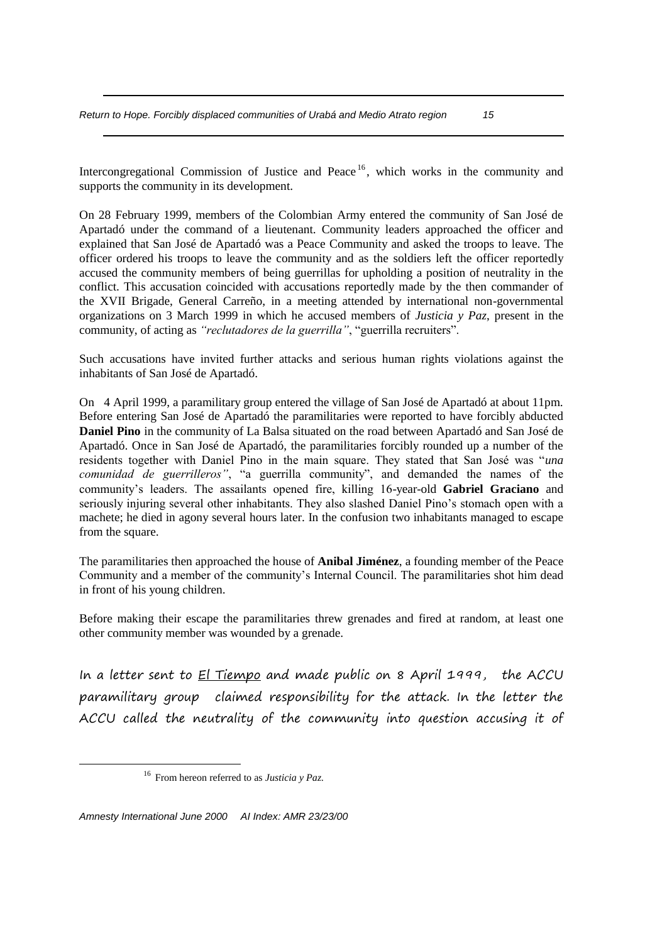Intercongregational Commission of Justice and Peace  $16$ , which works in the community and supports the community in its development.

On 28 February 1999, members of the Colombian Army entered the community of San José de Apartadó under the command of a lieutenant. Community leaders approached the officer and explained that San José de Apartadó was a Peace Community and asked the troops to leave. The officer ordered his troops to leave the community and as the soldiers left the officer reportedly accused the community members of being guerrillas for upholding a position of neutrality in the conflict. This accusation coincided with accusations reportedly made by the then commander of the XVII Brigade, General Carreño, in a meeting attended by international non-governmental organizations on 3 March 1999 in which he accused members of *Justicia y Paz*, present in the community, of acting as *"reclutadores de la guerrilla"*, "guerrilla recruiters".

Such accusations have invited further attacks and serious human rights violations against the inhabitants of San José de Apartadó.

On 4 April 1999, a paramilitary group entered the village of San José de Apartadó at about 11pm. Before entering San José de Apartadó the paramilitaries were reported to have forcibly abducted **Daniel Pino** in the community of La Balsa situated on the road between Apartadó and San José de Apartadó. Once in San José de Apartadó, the paramilitaries forcibly rounded up a number of the residents together with Daniel Pino in the main square. They stated that San José was "*una comunidad de guerrilleros"*, "a guerrilla community", and demanded the names of the community's leaders. The assailants opened fire, killing 16-year-old **Gabriel Graciano** and seriously injuring several other inhabitants. They also slashed Daniel Pino's stomach open with a machete; he died in agony several hours later. In the confusion two inhabitants managed to escape from the square.

The paramilitaries then approached the house of **Anibal Jiménez**, a founding member of the Peace Community and a member of the community's Internal Council. The paramilitaries shot him dead in front of his young children.

Before making their escape the paramilitaries threw grenades and fired at random, at least one other community member was wounded by a grenade.

In a letter sent to El Tiempo and made public on 8 April 1999, the ACCU paramilitary group claimed responsibility for the attack. In the letter the ACCU called the neutrality of the community into question accusing it of

*Amnesty International June 2000 AI Index: AMR 23/23/00*

<sup>16</sup> From hereon referred to as *Justicia y Paz.*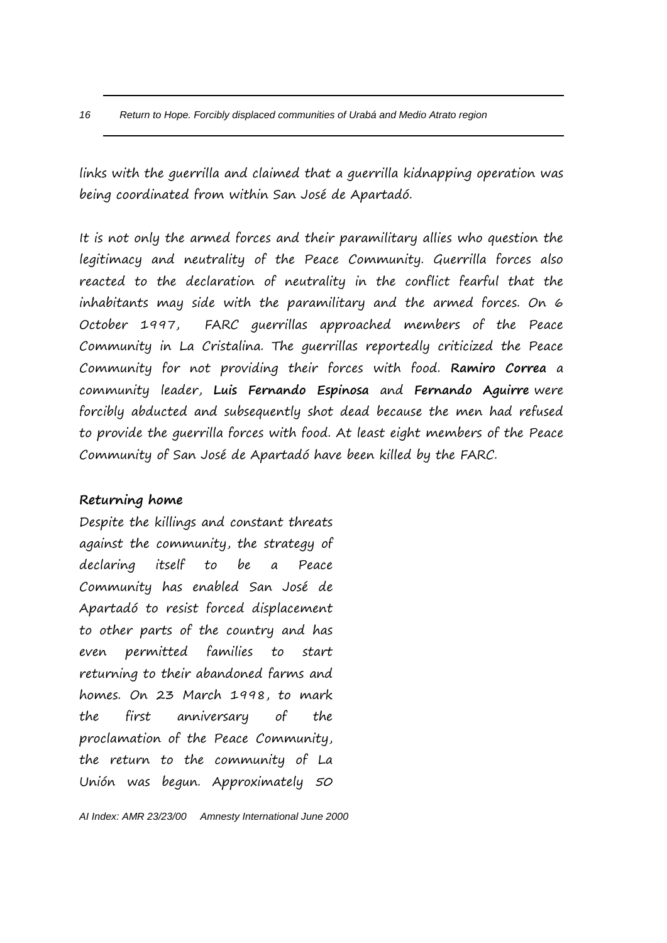links with the guerrilla and claimed that a guerrilla kidnapping operation was being coordinated from within San José de Apartadó.

It is not only the armed forces and their paramilitary allies who question the legitimacy and neutrality of the Peace Community. Guerrilla forces also reacted to the declaration of neutrality in the conflict fearful that the inhabitants may side with the paramilitary and the armed forces. On 6 October 1997, FARC guerrillas approached members of the Peace Community in La Cristalina. The guerrillas reportedly criticized the Peace Community for not providing their forces with food. **Ramiro Correa** a community leader, **Luis Fernando Espinosa** and **Fernando Aguirre** were forcibly abducted and subsequently shot dead because the men had refused to provide the guerrilla forces with food. At least eight members of the Peace Community of San José de Apartadó have been killed by the FARC.

# **Returning home**

Despite the killings and constant threats against the community, the strategy of declaring itself to be a Peace Community has enabled San José de Apartadó to resist forced displacement to other parts of the country and has even permitted families to start returning to their abandoned farms and homes. On 23 March 1998, to mark the first anniversary of the proclamation of the Peace Community, the return to the community of La Unión was begun. Approximately 50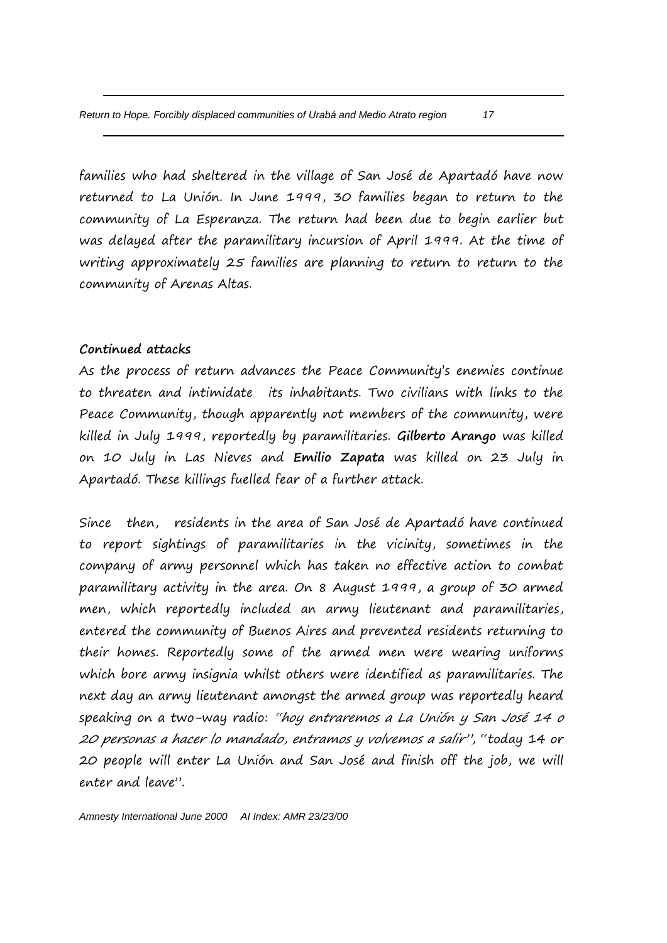families who had sheltered in the village of San José de Apartadó have now returned to La Unión. In June 1999, 30 families began to return to the community of La Esperanza. The return had been due to begin earlier but was delayed after the paramilitary incursion of April 1999. At the time of writing approximately 25 families are planning to return to return to the community of Arenas Altas.

## **Continued attacks**

As the process of return advances the Peace Community's enemies continue to threaten and intimidate its inhabitants. Two civilians with links to the Peace Community, though apparently not members of the community, were killed in July 1999, reportedly by paramilitaries. **Gilberto Arango** was killed on 10 July in Las Nieves and **Emilio Zapata** was killed on 23 July in Apartadó. These killings fuelled fear of a further attack.

Since then, residents in the area of San José de Apartadó have continued to report sightings of paramilitaries in the vicinity, sometimes in the company of army personnel which has taken no effective action to combat paramilitary activity in the area. On 8 August 1999, a group of 30 armed men, which reportedly included an army lieutenant and paramilitaries, entered the community of Buenos Aires and prevented residents returning to their homes. Reportedly some of the armed men were wearing uniforms which bore army insignia whilst others were identified as paramilitaries. The next day an army lieutenant amongst the armed group was reportedly heard speaking on a two-way radio: "hoy entraremos a La Unión y San José 14 o 20 personas a hacer lo mandado, entramos y volvemos a salir", "today 14 or 20 people will enter La Unión and San José and finish off the job, we will enter and leave".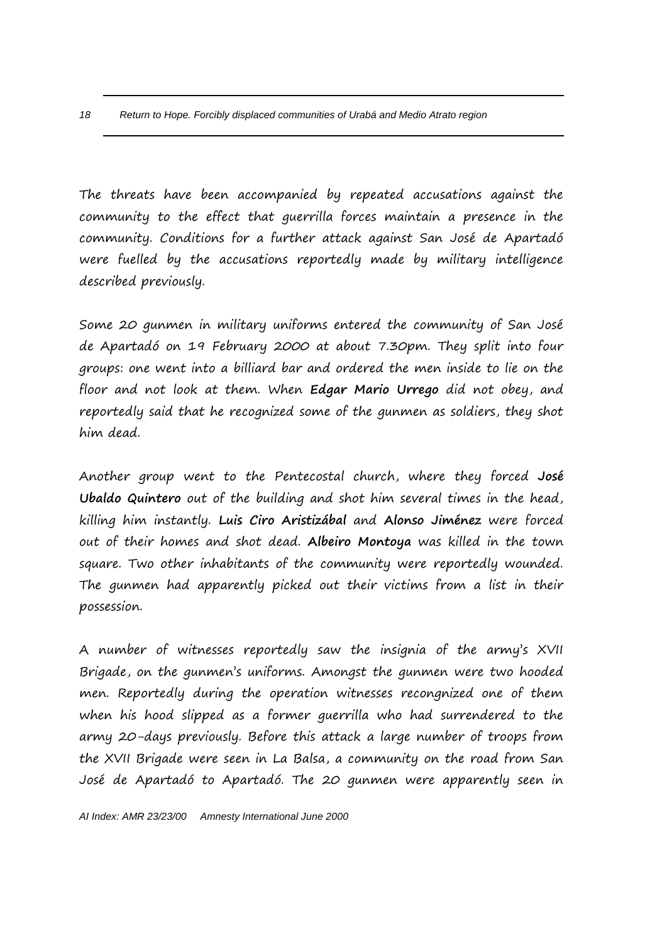The threats have been accompanied by repeated accusations against the community to the effect that guerrilla forces maintain a presence in the community. Conditions for a further attack against San José de Apartadó were fuelled by the accusations reportedly made by military intelligence described previously.

Some 20 gunmen in military uniforms entered the community of San José de Apartadó on 19 February 2000 at about 7.30pm. They split into four groups: one went into a billiard bar and ordered the men inside to lie on the floor and not look at them. When **Edgar Mario Urrego** did not obey, and reportedly said that he recognized some of the gunmen as soldiers, they shot him dead.

Another group went to the Pentecostal church, where they forced **José Ubaldo Quintero** out of the building and shot him several times in the head, killing him instantly. **Luis Ciro Aristizábal** and **Alonso Jiménez** were forced out of their homes and shot dead. **Albeiro Montoya** was killed in the town square. Two other inhabitants of the community were reportedly wounded. The gunmen had apparently picked out their victims from a list in their possession.

A number of witnesses reportedly saw the insignia of the army's XVII Brigade, on the gunmen's uniforms. Amongst the gunmen were two hooded men. Reportedly during the operation witnesses recongnized one of them when his hood slipped as a former guerrilla who had surrendered to the army 20-days previously. Before this attack a large number of troops from the XVII Brigade were seen in La Balsa, a community on the road from San José de Apartadó to Apartadó. The 20 gunmen were apparently seen in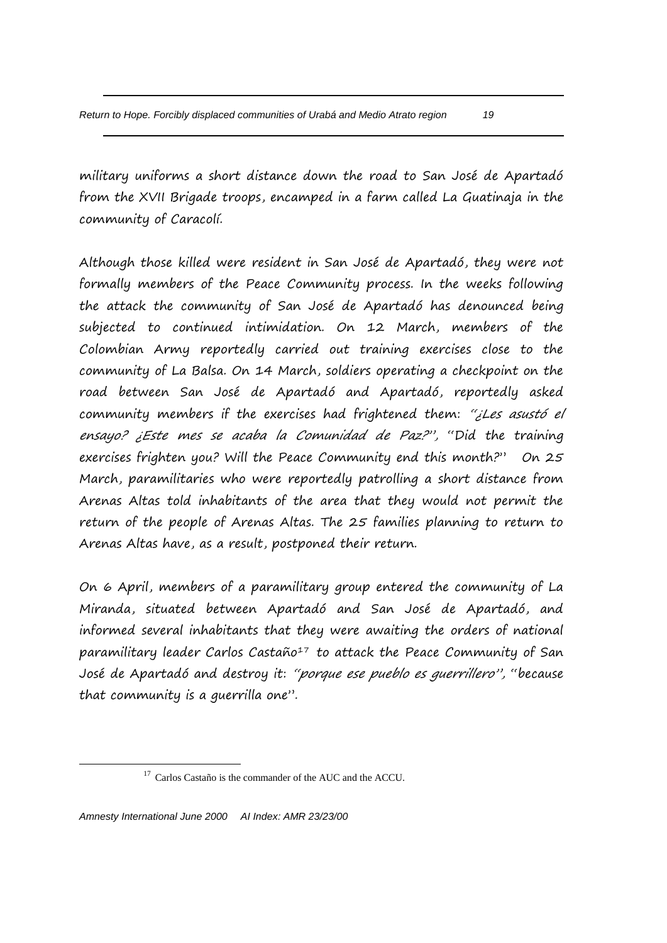military uniforms a short distance down the road to San José de Apartadó from the XVII Brigade troops, encamped in a farm called La Guatinaja in the community of Caracolí.

Although those killed were resident in San José de Apartadó, they were not formally members of the Peace Community process. In the weeks following the attack the community of San José de Apartadó has denounced being subjected to continued intimidation. On 12 March, members of the Colombian Army reportedly carried out training exercises close to the community of La Balsa. On 14 March, soldiers operating a checkpoint on the road between San José de Apartadó and Apartadó, reportedly asked community members if the exercises had frightened them: "¿Les asustó el ensayo? ¿Este mes se acaba la Comunidad de Paz?", "Did the training exercises frighten you? Will the Peace Community end this month?" On 25 March, paramilitaries who were reportedly patrolling a short distance from Arenas Altas told inhabitants of the area that they would not permit the return of the people of Arenas Altas. The 25 families planning to return to Arenas Altas have, as a result, postponed their return.

On 6 April, members of a paramilitary group entered the community of La Miranda, situated between Apartadó and San José de Apartadó, and informed several inhabitants that they were awaiting the orders of national paramilitary leader Carlos Castaño<sup>17</sup> to attack the Peace Community of San José de Apartadó and destroy it: "porque ese pueblo es guerrillero", "because that community is a guerrilla one".

<sup>&</sup>lt;sup>17</sup> Carlos Castaño is the commander of the AUC and the ACCU.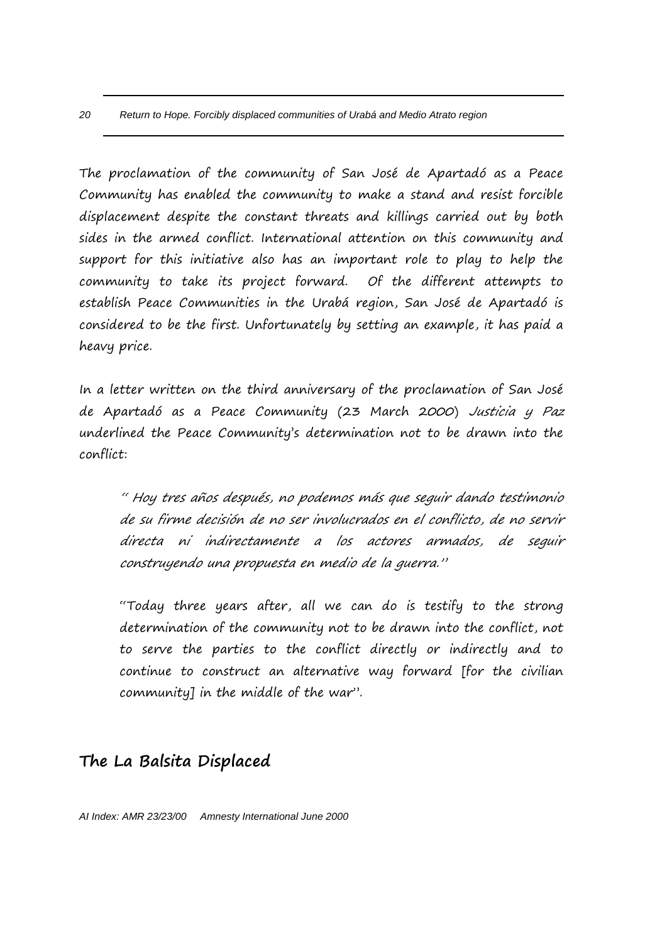The proclamation of the community of San José de Apartadó as a Peace Community has enabled the community to make a stand and resist forcible displacement despite the constant threats and killings carried out by both sides in the armed conflict. International attention on this community and support for this initiative also has an important role to play to help the community to take its project forward. Of the different attempts to establish Peace Communities in the Urabá region, San José de Apartadó is considered to be the first. Unfortunately by setting an example, it has paid a heavy price.

In a letter written on the third anniversary of the proclamation of San José de Apartadó as a Peace Community (23 March 2000) Justicia y Paz underlined the Peace Community's determination not to be drawn into the conflict:

" Hoy tres años después, no podemos más que seguir dando testimonio de su firme decisión de no ser involucrados en el conflicto, de no servir directa ni indirectamente a los actores armados, de seguir construyendo una propuesta en medio de la guerra."

"Today three years after, all we can do is testify to the strong determination of the community not to be drawn into the conflict, not to serve the parties to the conflict directly or indirectly and to continue to construct an alternative way forward [for the civilian community] in the middle of the war".

# **The La Balsita Displaced**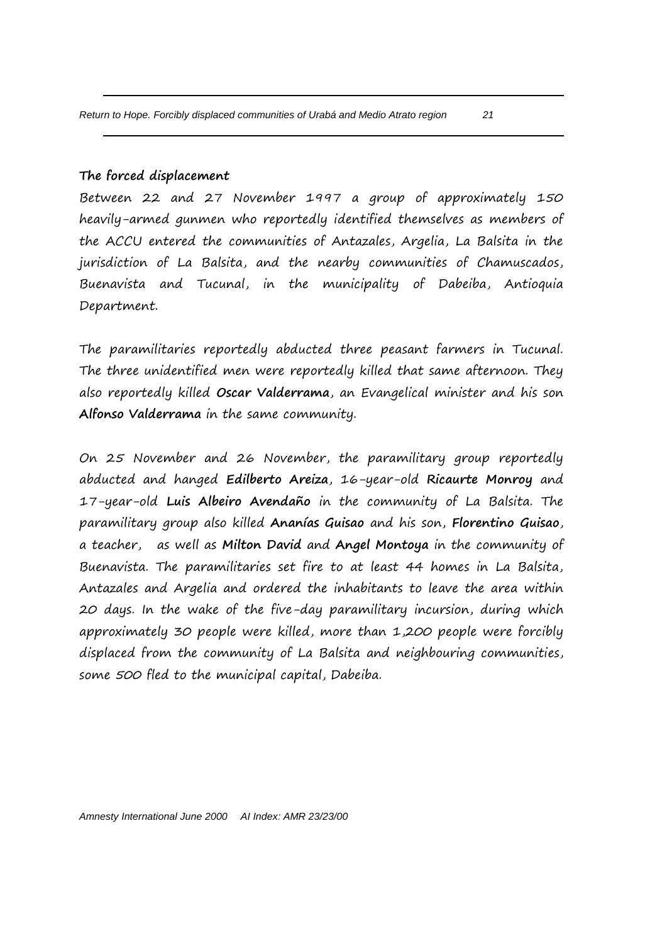# **The forced displacement**

Between 22 and 27 November 1997 a group of approximately 150 heavily-armed gunmen who reportedly identified themselves as members of the ACCU entered the communities of Antazales, Argelia, La Balsita in the jurisdiction of La Balsita, and the nearby communities of Chamuscados, Buenavista and Tucunal, in the municipality of Dabeiba, Antioquia Department.

The paramilitaries reportedly abducted three peasant farmers in Tucunal. The three unidentified men were reportedly killed that same afternoon. They also reportedly killed **Oscar Valderrama**, an Evangelical minister and his son **Alfonso Valderrama** in the same community.

On 25 November and 26 November, the paramilitary group reportedly abducted and hanged **Edilberto Areiza**, 16-year-old **Ricaurte Monroy** and 17-year-old **Luis Albeiro Avendaño** in the community of La Balsita. The paramilitary group also killed **Ananías Guisao** and his son, **Florentino Guisao**, a teacher, as well as **Milton David** and **Angel Montoya** in the community of Buenavista. The paramilitaries set fire to at least 44 homes in La Balsita, Antazales and Argelia and ordered the inhabitants to leave the area within 20 days. In the wake of the five-day paramilitary incursion, during which approximately 30 people were killed, more than 1,200 people were forcibly displaced from the community of La Balsita and neighbouring communities, some 500 fled to the municipal capital, Dabeiba.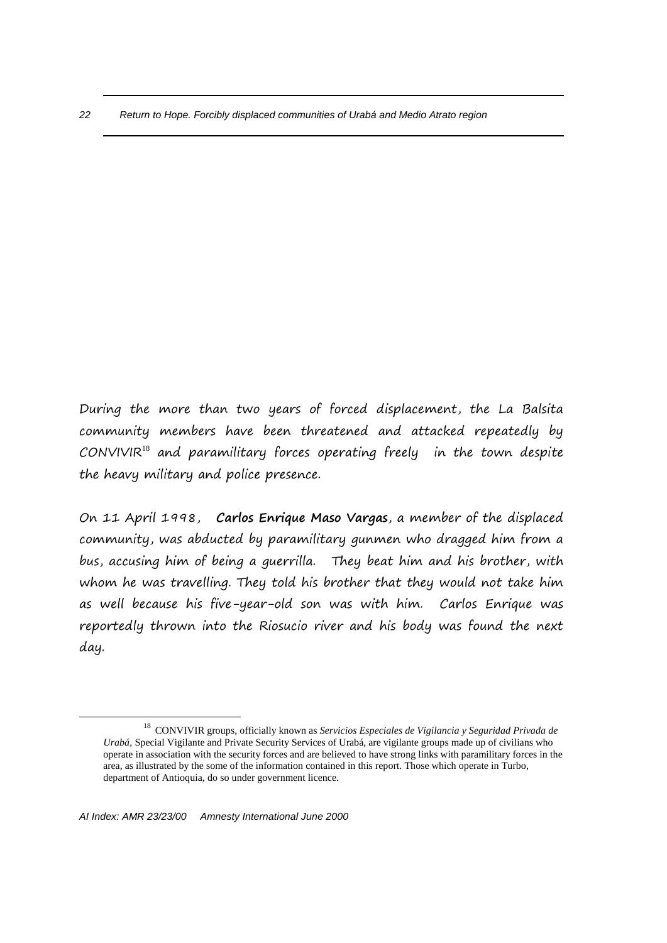During the more than two years of forced displacement, the La Balsita community members have been threatened and attacked repeatedly by  $CONVIVIR<sup>18</sup>$  and paramilitary forces operating freely in the town despite the heavy military and police presence.

On 11 April 1998, **Carlos Enrique Maso Vargas**, a member of the displaced community, was abducted by paramilitary gunmen who dragged him from a bus, accusing him of being a guerrilla. They beat him and his brother, with whom he was travelling. They told his brother that they would not take him as well because his five-year-old son was with him. Carlos Enrique was reportedly thrown into the Riosucio river and his body was found the next day.

<sup>18</sup> CONVIVIR groups, officially known as *Servicios Especiales de Vigilancia y Seguridad Privada de Urabá,* Special Vigilante and Private Security Services of Urabá, are vigilante groups made up of civilians who operate in association with the security forces and are believed to have strong links with paramilitary forces in the area, as illustrated by the some of the information contained in this report. Those which operate in Turbo, department of Antioquia, do so under government licence.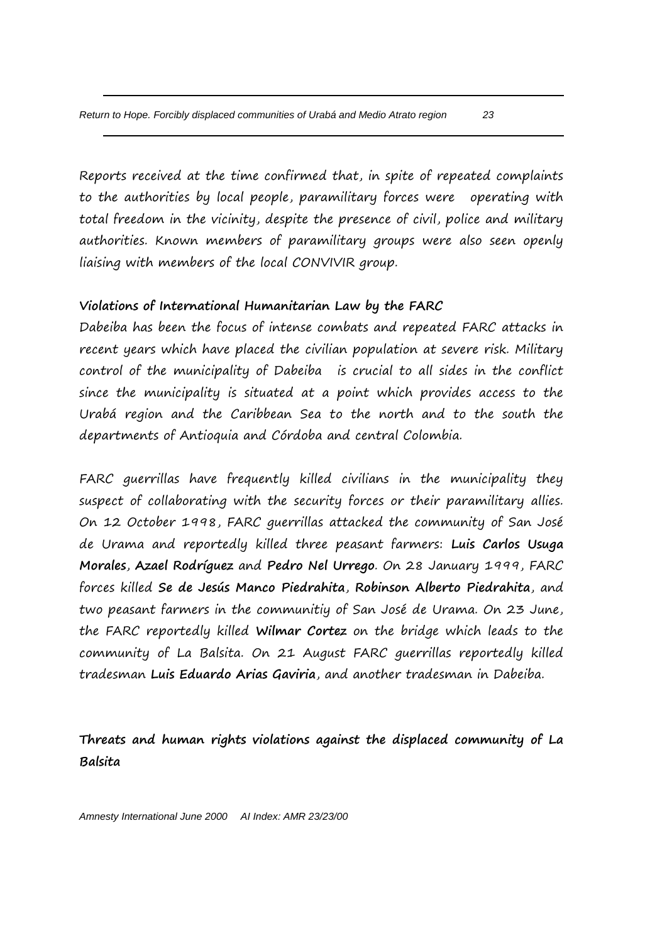Reports received at the time confirmed that, in spite of repeated complaints to the authorities by local people, paramilitary forces were operating with total freedom in the vicinity, despite the presence of civil, police and military authorities. Known members of paramilitary groups were also seen openly liaising with members of the local CONVIVIR group.

# **Violations of International Humanitarian Law by the FARC**

Dabeiba has been the focus of intense combats and repeated FARC attacks in recent years which have placed the civilian population at severe risk. Military control of the municipality of Dabeiba is crucial to all sides in the conflict since the municipality is situated at a point which provides access to the Urabá region and the Caribbean Sea to the north and to the south the departments of Antioquia and Córdoba and central Colombia.

FARC guerrillas have frequently killed civilians in the municipality they suspect of collaborating with the security forces or their paramilitary allies. On 12 October 1998, FARC guerrillas attacked the community of San José de Urama and reportedly killed three peasant farmers: **Luis Carlos Usuga Morales**, **Azael Rodríguez** and **Pedro Nel Urrego**. On 28 January 1999, FARC forces killed **Se de Jesús Manco Piedrahita**, **Robinson Alberto Piedrahita**, and two peasant farmers in the communitiy of San José de Urama. On 23 June, the FARC reportedly killed **Wilmar Cortez** on the bridge which leads to the community of La Balsita. On 21 August FARC guerrillas reportedly killed tradesman **Luis Eduardo Arias Gaviria**, and another tradesman in Dabeiba.

**Threats and human rights violations against the displaced community of La Balsita**

*Amnesty International June 2000 AI Index: AMR 23/23/00*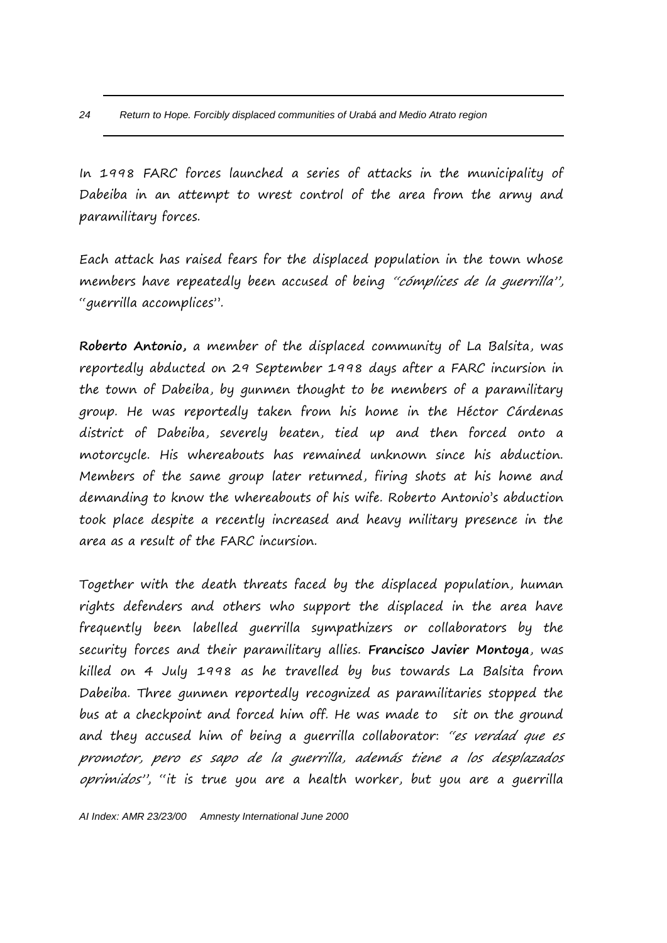In 1998 FARC forces launched a series of attacks in the municipality of Dabeiba in an attempt to wrest control of the area from the army and paramilitary forces.

Each attack has raised fears for the displaced population in the town whose members have repeatedly been accused of being "cómplices de la querrilla", "guerrilla accomplices".

**Roberto Antonio,** a member of the displaced community of La Balsita, was reportedly abducted on 29 September 1998 days after a FARC incursion in the town of Dabeiba, by gunmen thought to be members of a paramilitary group. He was reportedly taken from his home in the Héctor Cárdenas district of Dabeiba, severely beaten, tied up and then forced onto a motorcycle. His whereabouts has remained unknown since his abduction. Members of the same group later returned, firing shots at his home and demanding to know the whereabouts of his wife. Roberto Antonio's abduction took place despite a recently increased and heavy military presence in the area as a result of the FARC incursion.

Together with the death threats faced by the displaced population, human rights defenders and others who support the displaced in the area have frequently been labelled guerrilla sympathizers or collaborators by the security forces and their paramilitary allies. **Francisco Javier Montoya**, was killed on 4 July 1998 as he travelled by bus towards La Balsita from Dabeiba. Three gunmen reportedly recognized as paramilitaries stopped the bus at a checkpoint and forced him off. He was made to sit on the ground and they accused him of being a guerrilla collaborator: "es verdad que es promotor, pero es sapo de la guerrilla, además tiene a los desplazados oprimidos", "it is true you are a health worker, but you are a guerrilla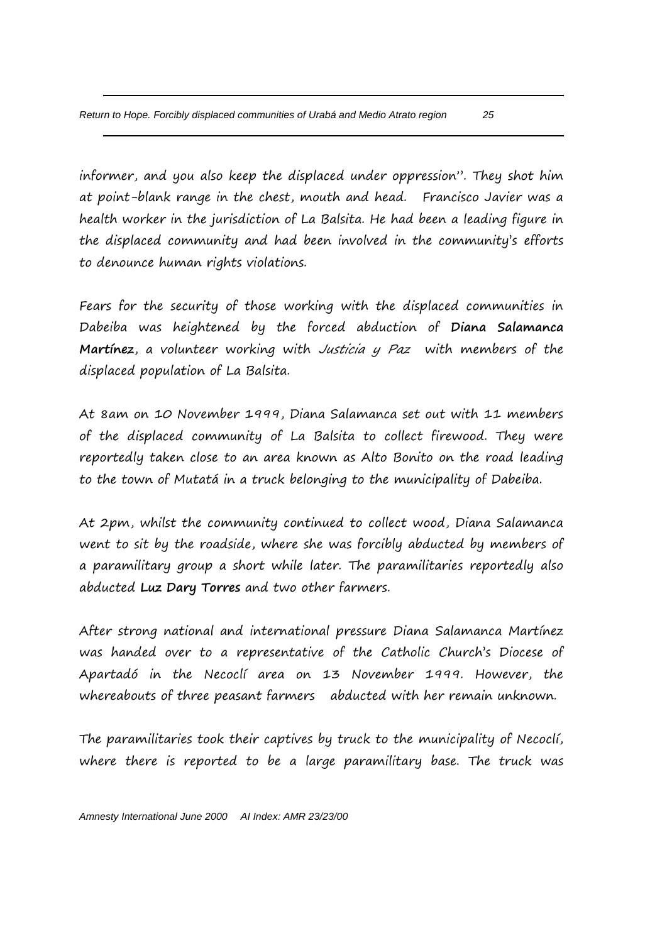informer, and you also keep the displaced under oppression". They shot him at point-blank range in the chest, mouth and head. Francisco Javier was a health worker in the jurisdiction of La Balsita. He had been a leading figure in the displaced community and had been involved in the community's efforts to denounce human rights violations.

Fears for the security of those working with the displaced communities in Dabeiba was heightened by the forced abduction of **Diana Salamanca Martínez**, a volunteer working with Justicia y Paz with members of the displaced population of La Balsita.

At 8am on 10 November 1999, Diana Salamanca set out with 11 members of the displaced community of La Balsita to collect firewood. They were reportedly taken close to an area known as Alto Bonito on the road leading to the town of Mutatá in a truck belonging to the municipality of Dabeiba.

At 2pm, whilst the community continued to collect wood, Diana Salamanca went to sit by the roadside, where she was forcibly abducted by members of a paramilitary group a short while later. The paramilitaries reportedly also abducted **Luz Dary Torres** and two other farmers.

After strong national and international pressure Diana Salamanca Martínez was handed over to a representative of the Catholic Church's Diocese of Apartadó in the Necoclí area on 13 November 1999. However, the whereabouts of three peasant farmers abducted with her remain unknown.

The paramilitaries took their captives by truck to the municipality of Necoclí, where there is reported to be a large paramilitary base. The truck was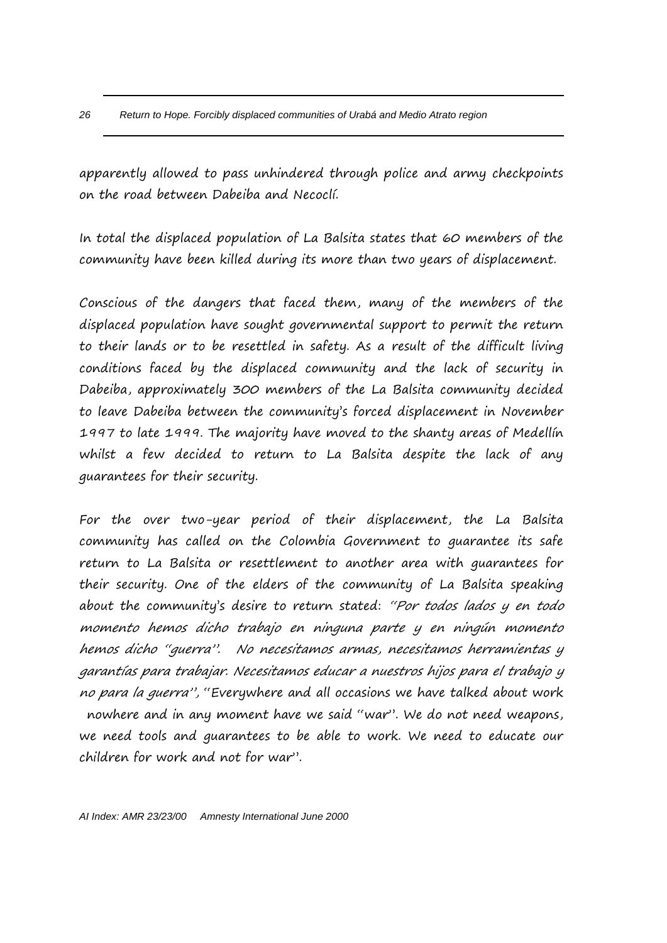apparently allowed to pass unhindered through police and army checkpoints on the road between Dabeiba and Necoclí.

In total the displaced population of La Balsita states that 60 members of the community have been killed during its more than two years of displacement.

Conscious of the dangers that faced them, many of the members of the displaced population have sought governmental support to permit the return to their lands or to be resettled in safety. As a result of the difficult living conditions faced by the displaced community and the lack of security in Dabeiba, approximately 300 members of the La Balsita community decided to leave Dabeiba between the community's forced displacement in November 1997 to late 1999. The majority have moved to the shanty areas of Medellín whilst a few decided to return to La Balsita despite the lack of any guarantees for their security.

For the over two-year period of their displacement, the La Balsita community has called on the Colombia Government to guarantee its safe return to La Balsita or resettlement to another area with guarantees for their security. One of the elders of the community of La Balsita speaking about the community's desire to return stated: "Por todos lados y en todo momento hemos dicho trabajo en ninguna parte y en ningún momento hemos dicho "guerra". No necesitamos armas, necesitamos herramientas y garantías para trabajar. Necesitamos educar a nuestros hijos para el trabajo y no para la guerra", "Everywhere and all occasions we have talked about work nowhere and in any moment have we said "war". We do not need weapons, we need tools and guarantees to be able to work. We need to educate our children for work and not for war".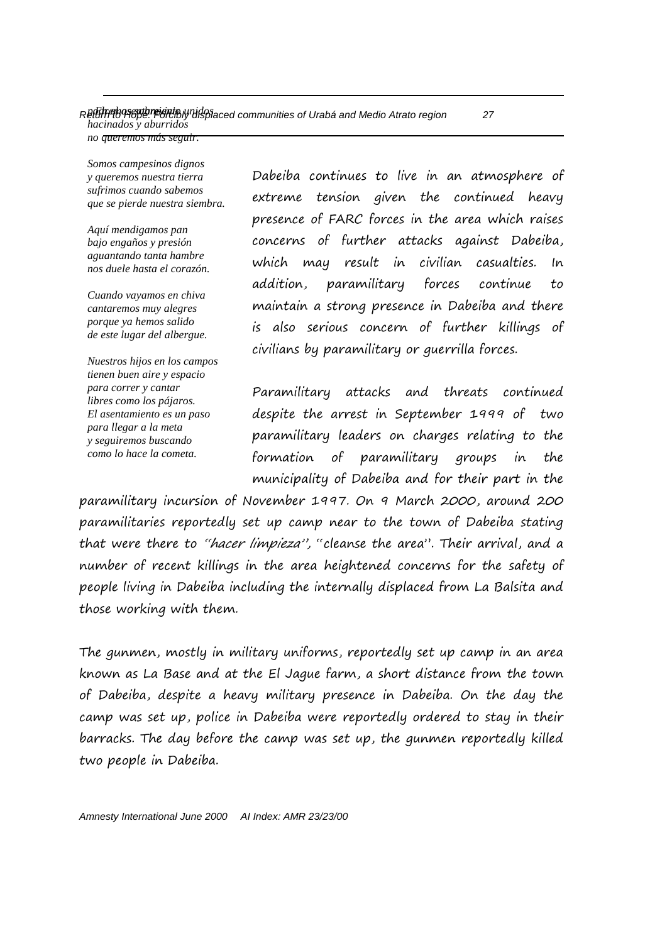*no queremos más seguir.*

*Somos campesinos dignos y queremos nuestra tierra sufrimos cuando sabemos que se pierde nuestra siembra.*

*Aquí mendigamos pan bajo engaños y presión aguantando tanta hambre nos duele hasta el corazón.*

*Cuando vayamos en chiva cantaremos muy alegres porque ya hemos salido de este lugar del albergue.*

*Nuestros hijos en los campos tienen buen aire y espacio para correr y cantar libres como los pájaros. El asentamiento es un paso para llegar a la meta y seguiremos buscando como lo hace la cometa.*

Dabeiba continues to live in an atmosphere of extreme tension given the continued heavy presence of FARC forces in the area which raises concerns of further attacks against Dabeiba, which may result in civilian casualties. In addition, paramilitary forces continue to maintain a strong presence in Dabeiba and there is also serious concern of further killings of civilians by paramilitary or guerrilla forces.

Paramilitary attacks and threats continued despite the arrest in September 1999 of two paramilitary leaders on charges relating to the formation of paramilitary groups in the municipality of Dabeiba and for their part in the

paramilitary incursion of November 1997. On 9 March 2000, around 200 paramilitaries reportedly set up camp near to the town of Dabeiba stating that were there to "hacer limpieza", "cleanse the area". Their arrival, and a number of recent killings in the area heightened concerns for the safety of people living in Dabeiba including the internally displaced from La Balsita and those working with them.

The gunmen, mostly in military uniforms, reportedly set up camp in an area known as La Base and at the El Jague farm, a short distance from the town of Dabeiba, despite a heavy military presence in Dabeiba. On the day the camp was set up, police in Dabeiba were reportedly ordered to stay in their barracks. The day before the camp was set up, the gunmen reportedly killed two people in Dabeiba.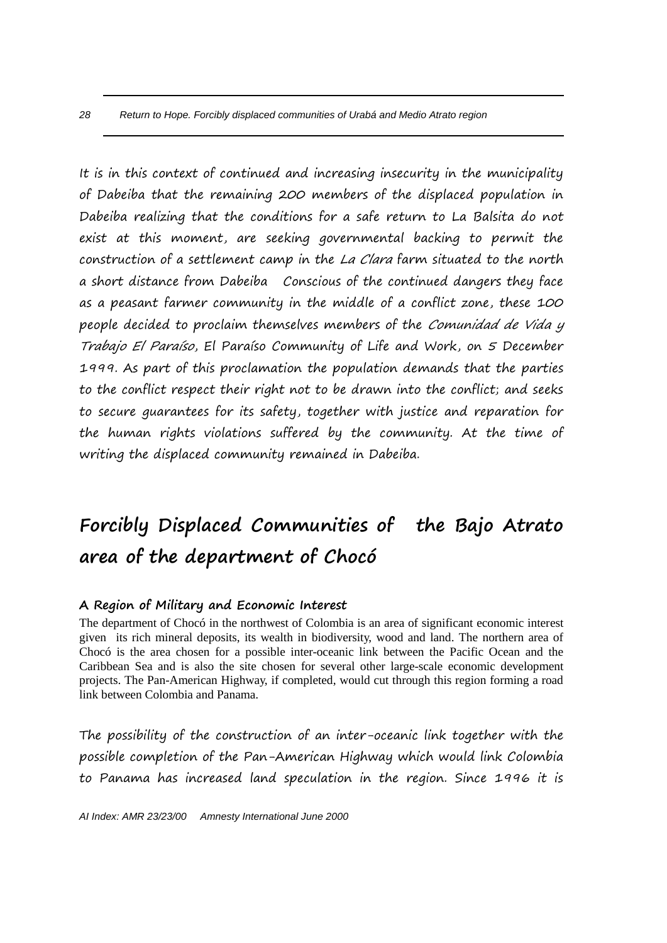It is in this context of continued and increasing insecurity in the municipality of Dabeiba that the remaining 200 members of the displaced population in Dabeiba realizing that the conditions for a safe return to La Balsita do not exist at this moment, are seeking governmental backing to permit the construction of a settlement camp in the La Clara farm situated to the north a short distance from Dabeiba Conscious of the continued dangers they face as a peasant farmer community in the middle of a conflict zone, these 100 people decided to proclaim themselves members of the Comunidad de Vida y Trabajo El Paraíso, El Paraíso Community of Life and Work, on 5 December 1999. As part of this proclamation the population demands that the parties to the conflict respect their right not to be drawn into the conflict; and seeks to secure guarantees for its safety, together with justice and reparation for the human rights violations suffered by the community. At the time of writing the displaced community remained in Dabeiba.

# **Forcibly Displaced Communities of the Bajo Atrato area of the department of Chocó**

## **A Region of Military and Economic Interest**

The department of Chocó in the northwest of Colombia is an area of significant economic interest given its rich mineral deposits, its wealth in biodiversity, wood and land. The northern area of Chocó is the area chosen for a possible inter-oceanic link between the Pacific Ocean and the Caribbean Sea and is also the site chosen for several other large-scale economic development projects. The Pan-American Highway, if completed, would cut through this region forming a road link between Colombia and Panama.

The possibility of the construction of an inter-oceanic link together with the possible completion of the Pan-American Highway which would link Colombia to Panama has increased land speculation in the region. Since 1996 it is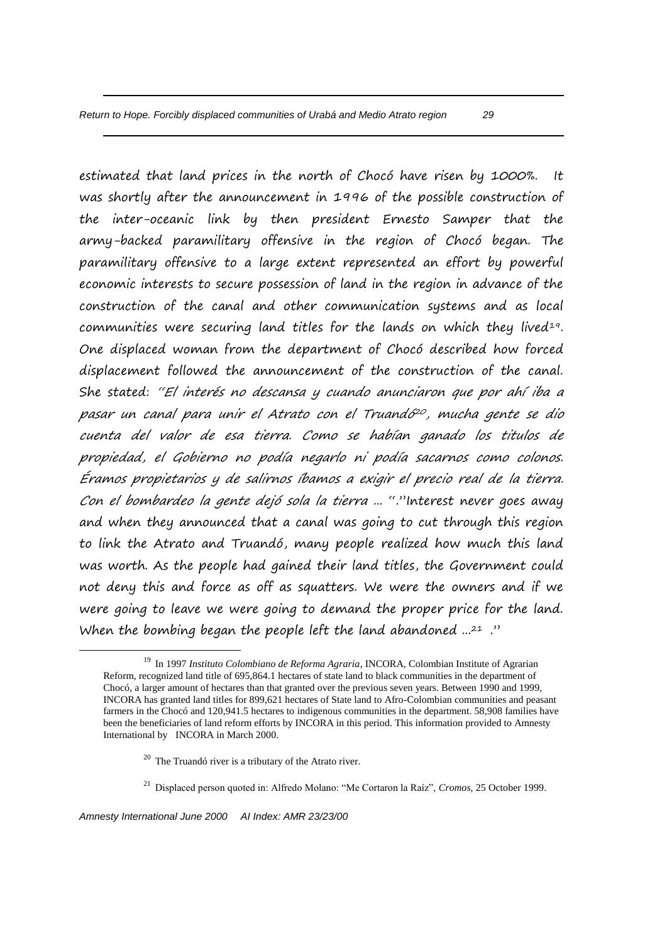estimated that land prices in the north of Chocó have risen by 1000%. It was shortly after the announcement in 1996 of the possible construction of the inter-oceanic link by then president Ernesto Samper that the army-backed paramilitary offensive in the region of Chocó began. The paramilitary offensive to a large extent represented an effort by powerful economic interests to secure possession of land in the region in advance of the construction of the canal and other communication systems and as local communities were securing land titles for the lands on which they lived<sup>19</sup>. One displaced woman from the department of Chocó described how forced displacement followed the announcement of the construction of the canal. She stated: "El interés no descansa y cuando anunciaron que por ahí iba a pasar un canal para unir el Atrato con el Truandó<sup>20</sup>, mucha gente se dio cuenta del valor de esa tierra. Como se habían ganado los titulos de propiedad, el Gobierno no podía negarlo ni podía sacarnos como colonos. Éramos propietarios y de salirnos íbamos a exigir el precio real de la tierra. Con el bombardeo la gente dejó sola la tierra ... "."Interest never goes away and when they announced that a canal was going to cut through this region to link the Atrato and Truandó, many people realized how much this land was worth. As the people had gained their land titles, the Government could not deny this and force as off as squatters. We were the owners and if we were going to leave we were going to demand the proper price for the land. When the bombing began the people left the land abandoned  $.21$ ."

- $20$  The Truandó river is a tributary of the Atrato river.
- <sup>21</sup> Displaced person quoted in: Alfredo Molano: "Me Cortaron la Raíz", *Cromos*, 25 October 1999.

1

<sup>19</sup> In 1997 *Instituto Colombiano de Reforma Agraria*, INCORA, Colombian Institute of Agrarian Reform, recognized land title of 695,864.1 hectares of state land to black communities in the department of Chocó, a larger amount of hectares than that granted over the previous seven years. Between 1990 and 1999, INCORA has granted land titles for 899,621 hectares of State land to Afro-Colombian communities and peasant farmers in the Chocó and 120,941.5 hectares to indigenous communities in the department. 58,908 families have been the beneficiaries of land reform efforts by INCORA in this period. This information provided to Amnesty International by INCORA in March 2000.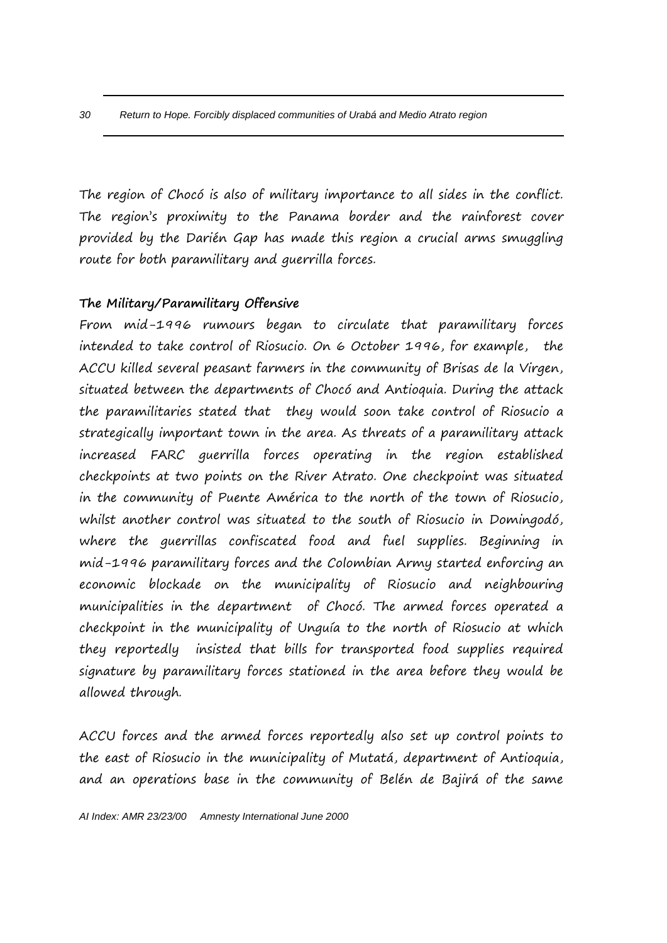The region of Chocó is also of military importance to all sides in the conflict. The region's proximity to the Panama border and the rainforest cover provided by the Darién Gap has made this region a crucial arms smuggling route for both paramilitary and guerrilla forces.

# **The Military/Paramilitary Offensive**

From mid-1996 rumours began to circulate that paramilitary forces intended to take control of Riosucio. On 6 October 1996, for example, the ACCU killed several peasant farmers in the community of Brisas de la Virgen, situated between the departments of Chocó and Antioquia. During the attack the paramilitaries stated that they would soon take control of Riosucio a strategically important town in the area. As threats of a paramilitary attack increased FARC guerrilla forces operating in the region established checkpoints at two points on the River Atrato. One checkpoint was situated in the community of Puente América to the north of the town of Riosucio, whilst another control was situated to the south of Riosucio in Domingodó, where the guerrillas confiscated food and fuel supplies. Beginning in mid-1996 paramilitary forces and the Colombian Army started enforcing an economic blockade on the municipality of Riosucio and neighbouring municipalities in the department of Chocó. The armed forces operated a checkpoint in the municipality of Unguía to the north of Riosucio at which they reportedly insisted that bills for transported food supplies required signature by paramilitary forces stationed in the area before they would be allowed through.

ACCU forces and the armed forces reportedly also set up control points to the east of Riosucio in the municipality of Mutatá, department of Antioquia, and an operations base in the community of Belén de Bajirá of the same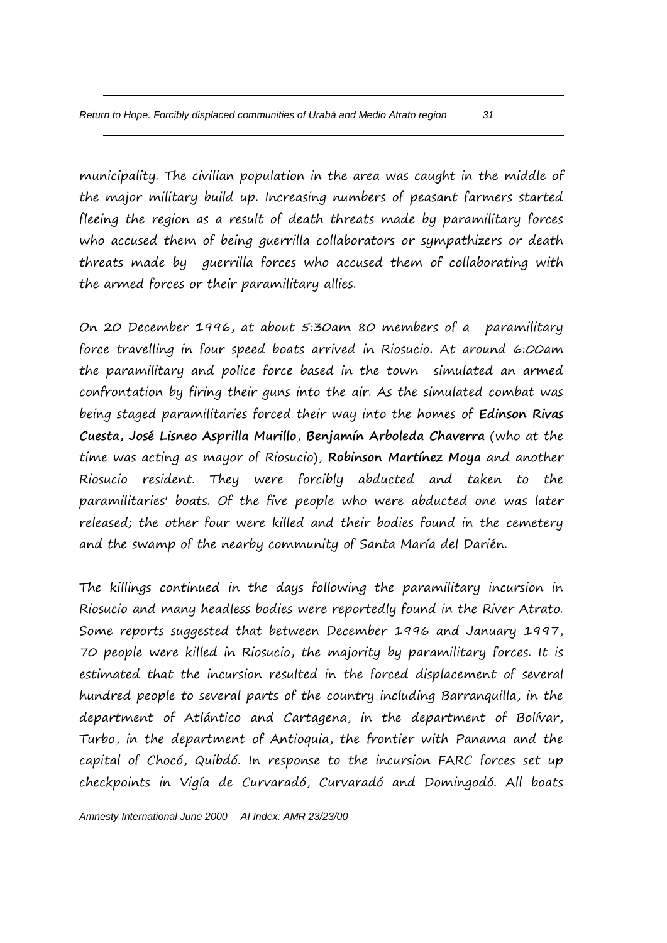municipality. The civilian population in the area was caught in the middle of the major military build up. Increasing numbers of peasant farmers started fleeing the region as a result of death threats made by paramilitary forces who accused them of being guerrilla collaborators or sympathizers or death threats made by guerrilla forces who accused them of collaborating with the armed forces or their paramilitary allies.

On 20 December 1996, at about 5:30am 80 members of a paramilitary force travelling in four speed boats arrived in Riosucio. At around 6:00am the paramilitary and police force based in the town simulated an armed confrontation by firing their guns into the air. As the simulated combat was being staged paramilitaries forced their way into the homes of **Edinson Rivas Cuesta, José Lisneo Asprilla Murillo**, **Benjamín Arboleda Chaverra** (who at the time was acting as mayor of Riosucio), **Robinson Martínez Moya** and another Riosucio resident. They were forcibly abducted and taken to the paramilitaries' boats. Of the five people who were abducted one was later released; the other four were killed and their bodies found in the cemetery and the swamp of the nearby community of Santa María del Darién.

The killings continued in the days following the paramilitary incursion in Riosucio and many headless bodies were reportedly found in the River Atrato. Some reports suggested that between December 1996 and January 1997, 70 people were killed in Riosucio, the majority by paramilitary forces. It is estimated that the incursion resulted in the forced displacement of several hundred people to several parts of the country including Barranquilla, in the department of Atlántico and Cartagena, in the department of Bolívar, Turbo, in the department of Antioquia, the frontier with Panama and the capital of Chocó, Quibdó. In response to the incursion FARC forces set up checkpoints in Vigía de Curvaradó, Curvaradó and Domingodó. All boats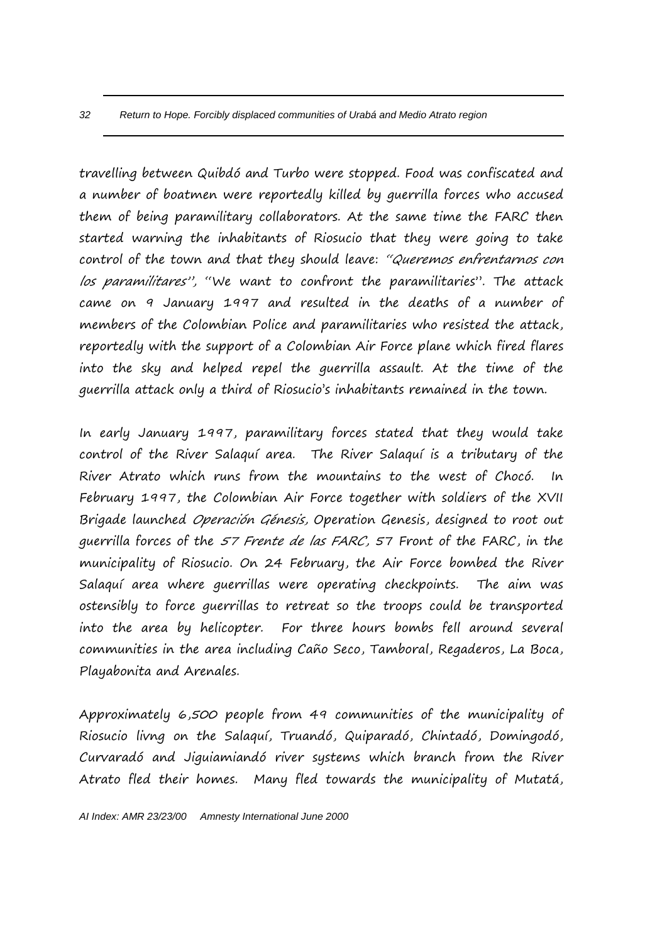travelling between Quibdó and Turbo were stopped. Food was confiscated and a number of boatmen were reportedly killed by guerrilla forces who accused them of being paramilitary collaborators. At the same time the FARC then started warning the inhabitants of Riosucio that they were going to take control of the town and that they should leave: "Queremos enfrentarnos con los paramilitares", "We want to confront the paramilitaries". The attack came on 9 January 1997 and resulted in the deaths of a number of members of the Colombian Police and paramilitaries who resisted the attack, reportedly with the support of a Colombian Air Force plane which fired flares into the sky and helped repel the guerrilla assault. At the time of the guerrilla attack only a third of Riosucio's inhabitants remained in the town.

In early January 1997, paramilitary forces stated that they would take control of the River Salaquí area. The River Salaquí is a tributary of the River Atrato which runs from the mountains to the west of Chocó. In February 1997, the Colombian Air Force together with soldiers of the XVII Brigade launched Operación Génesis, Operation Genesis, designed to root out guerrilla forces of the 57 Frente de las FARC, 57 Front of the FARC, in the municipality of Riosucio. On 24 February, the Air Force bombed the River Salaquí area where guerrillas were operating checkpoints. The aim was ostensibly to force guerrillas to retreat so the troops could be transported into the area by helicopter. For three hours bombs fell around several communities in the area including Caño Seco, Tamboral, Regaderos, La Boca, Playabonita and Arenales.

Approximately 6,500 people from 49 communities of the municipality of Riosucio livng on the Salaquí, Truandó, Quiparadó, Chintadó, Domingodó, Curvaradó and Jiguiamiandó river systems which branch from the River Atrato fled their homes. Many fled towards the municipality of Mutatá,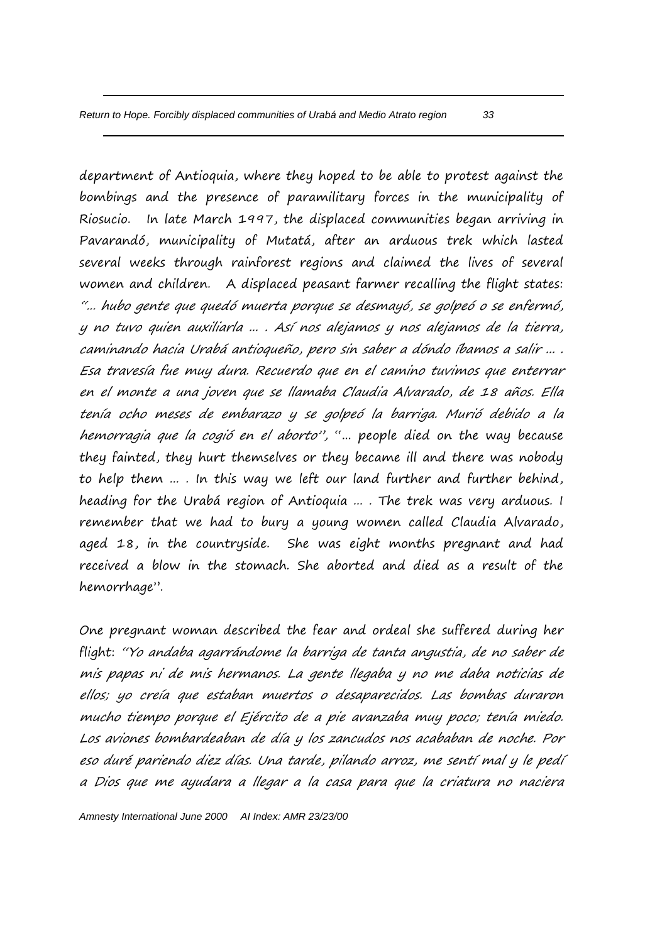department of Antioquia, where they hoped to be able to protest against the bombings and the presence of paramilitary forces in the municipality of Riosucio. In late March 1997, the displaced communities began arriving in Pavarandó, municipality of Mutatá, after an arduous trek which lasted several weeks through rainforest regions and claimed the lives of several women and children. A displaced peasant farmer recalling the flight states: "... hubo gente que quedó muerta porque se desmayó, se golpeó o se enfermó, y no tuvo quien auxiliarla ... . Así nos alejamos y nos alejamos de la tierra, caminando hacia Urabá antioqueño, pero sin saber a dóndo íbamos a salir ... . Esa travesía fue muy dura. Recuerdo que en el camino tuvimos que enterrar en el monte a una joven que se llamaba Claudia Alvarado, de 18 años. Ella tenía ocho meses de embarazo y se golpeó la barriga. Murió debido a la hemorragia que la cogió en el aborto", "... people died on the way because they fainted, they hurt themselves or they became ill and there was nobody to help them ... . In this way we left our land further and further behind, heading for the Urabá region of Antioquia ... . The trek was very arduous. I remember that we had to bury a young women called Claudia Alvarado, aged 18, in the countryside. She was eight months pregnant and had received a blow in the stomach. She aborted and died as a result of the hemorrhage".

One pregnant woman described the fear and ordeal she suffered during her flight: "Yo andaba agarrándome la barriga de tanta angustia, de no saber de mis papas ni de mis hermanos. La gente llegaba y no me daba noticias de ellos; yo creía que estaban muertos o desaparecidos. Las bombas duraron mucho tiempo porque el Ejército de a pie avanzaba muy poco; tenía miedo. Los aviones bombardeaban de día y los zancudos nos acababan de noche. Por eso duré pariendo diez días. Una tarde, pilando arroz, me sentí mal y le pedí a Dios que me ayudara a llegar a la casa para que la criatura no naciera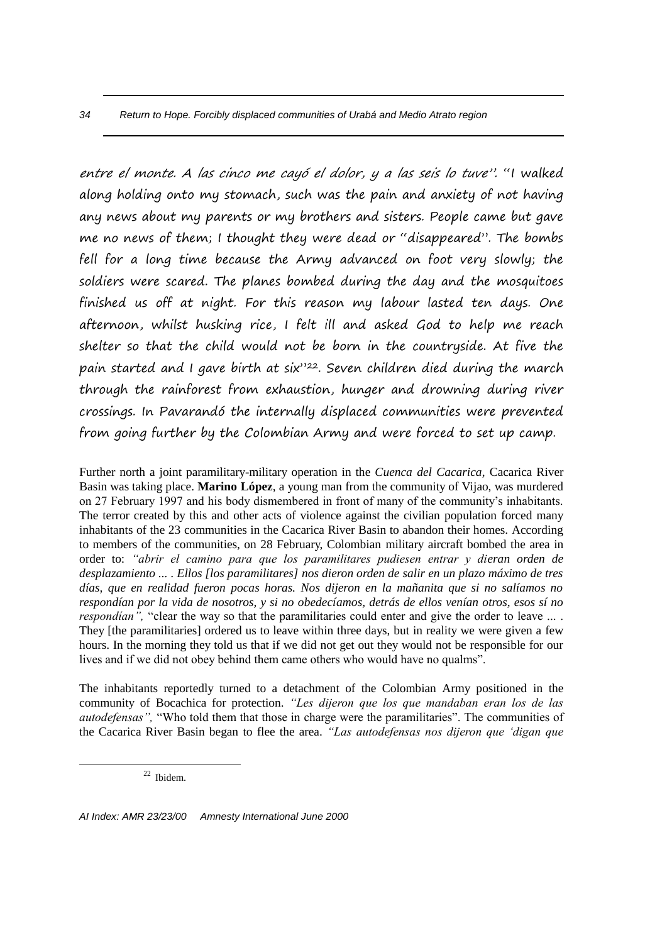entre el monte. A las cinco me cayó el dolor, y a las seis lo tuve". "I walked along holding onto my stomach, such was the pain and anxiety of not having any news about my parents or my brothers and sisters. People came but gave me no news of them; I thought they were dead or "disappeared". The bombs fell for a long time because the Army advanced on foot very slowly; the soldiers were scared. The planes bombed during the day and the mosquitoes finished us off at night. For this reason my labour lasted ten days. One afternoon, whilst husking rice, I felt ill and asked God to help me reach shelter so that the child would not be born in the countryside. At five the pain started and I gave birth at six"22. Seven children died during the march through the rainforest from exhaustion, hunger and drowning during river crossings. In Pavarandó the internally displaced communities were prevented from going further by the Colombian Army and were forced to set up camp.

Further north a joint paramilitary-military operation in the *Cuenca del Cacarica*, Cacarica River Basin was taking place. **Marino López**, a young man from the community of Vijao, was murdered on 27 February 1997 and his body dismembered in front of many of the community's inhabitants. The terror created by this and other acts of violence against the civilian population forced many inhabitants of the 23 communities in the Cacarica River Basin to abandon their homes. According to members of the communities, on 28 February, Colombian military aircraft bombed the area in order to: *"abrir el camino para que los paramilitares pudiesen entrar y dieran orden de desplazamiento ... . Ellos [los paramilitares] nos dieron orden de salir en un plazo máximo de tres días, que en realidad fueron pocas horas. Nos dijeron en la mañanita que si no salíamos no respondían por la vida de nosotros, y si no obedecíamos, detrás de ellos venían otros, esos sí no respondían"*, "clear the way so that the paramilitaries could enter and give the order to leave ... . They [the paramilitaries] ordered us to leave within three days, but in reality we were given a few hours. In the morning they told us that if we did not get out they would not be responsible for our lives and if we did not obey behind them came others who would have no qualms".

The inhabitants reportedly turned to a detachment of the Colombian Army positioned in the community of Bocachica for protection. *"Les dijeron que los que mandaban eran los de las autodefensas",* "Who told them that those in charge were the paramilitaries". The communities of the Cacarica River Basin began to flee the area. *"Las autodefensas nos dijeron que 'digan que* 

<sup>22</sup> Ibidem.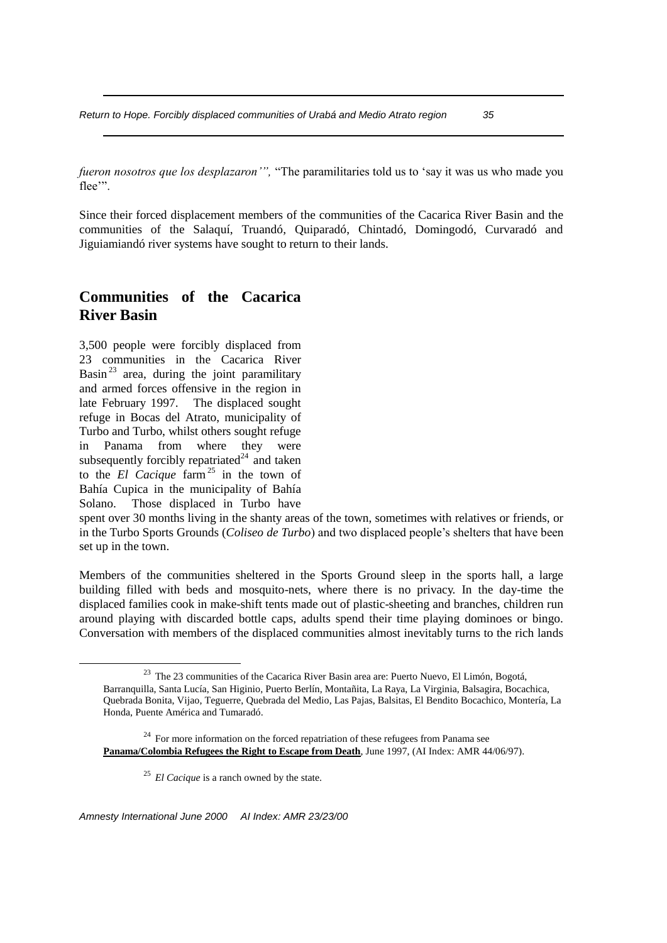*fueron nosotros que los desplazaron'",* "The paramilitaries told us to 'say it was us who made you flee'".

Since their forced displacement members of the communities of the Cacarica River Basin and the communities of the Salaquí, Truandó, Quiparadó, Chintadó, Domingodó, Curvaradó and Jiguiamiandó river systems have sought to return to their lands.

# **Communities of the Cacarica River Basin**

3,500 people were forcibly displaced from 23 communities in the Cacarica River Basin<sup>23</sup> area, during the joint paramilitary and armed forces offensive in the region in late February 1997. The displaced sought refuge in Bocas del Atrato, municipality of Turbo and Turbo, whilst others sought refuge in Panama from where they were subsequently forcibly repatriated<sup>24</sup> and taken to the  $EI$  Cacique  $\arcsin^{25}$  in the town of Bahía Cupica in the municipality of Bahía Solano. Those displaced in Turbo have

1

spent over 30 months living in the shanty areas of the town, sometimes with relatives or friends, or in the Turbo Sports Grounds (*Coliseo de Turbo*) and two displaced people's shelters that have been set up in the town.

Members of the communities sheltered in the Sports Ground sleep in the sports hall, a large building filled with beds and mosquito-nets, where there is no privacy. In the day-time the displaced families cook in make-shift tents made out of plastic-sheeting and branches, children run around playing with discarded bottle caps, adults spend their time playing dominoes or bingo. Conversation with members of the displaced communities almost inevitably turns to the rich lands

<sup>23</sup> The 23 communities of the Cacarica River Basin area are: Puerto Nuevo, El Limón, Bogotá, Barranquilla, Santa Lucía, San Higinio, Puerto Berlín, Montañita, La Raya, La Virginia, Balsagira, Bocachica, Quebrada Bonita, Vijao, Teguerre, Quebrada del Medio, Las Pajas, Balsitas, El Bendito Bocachico, Montería, La Honda, Puente América and Tumaradó.

 $24$  For more information on the forced repatriation of these refugees from Panama see **Panama/Colombia Refugees the Right to Escape from Death**, June 1997, (AI Index: AMR 44/06/97).

<sup>&</sup>lt;sup>25</sup> *El Cacique* is a ranch owned by the state.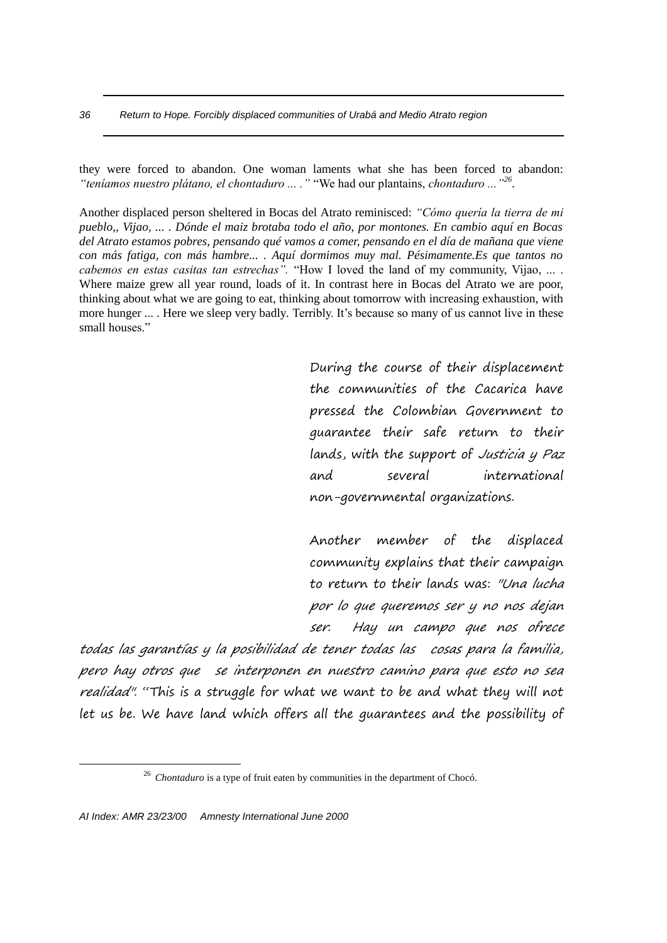they were forced to abandon. One woman laments what she has been forced to abandon: *"teníamos nuestro plátano, el chontaduro ... ."* "We had our plantains, *chontaduro ..."<sup>26</sup>* .

Another displaced person sheltered in Bocas del Atrato reminisced: *"Cómo quería la tierra de mi pueblo,, Vijao, ... . Dónde el maiz brotaba todo el año, por montones. En cambio aquí en Bocas del Atrato estamos pobres, pensando qué vamos a comer, pensando en el día de mañana que viene con más fatiga, con más hambre... . Aquí dormimos muy mal. Pésimamente.Es que tantos no cabemos en estas casitas tan estrechas".* "How I loved the land of my community, Vijao, ... . Where maize grew all year round, loads of it. In contrast here in Bocas del Atrato we are poor, thinking about what we are going to eat, thinking about tomorrow with increasing exhaustion, with more hunger ... . Here we sleep very badly*.* Terribly. It's because so many of us cannot live in these small houses."

> During the course of their displacement the communities of the Cacarica have pressed the Colombian Government to guarantee their safe return to their lands, with the support of Justicia y Paz and several international non-governmental organizations.

> Another member of the displaced community explains that their campaign to return to their lands was: "Una lucha por lo que queremos ser y no nos dejan ser. Hay un campo que nos ofrece

todas las garantías y la posibilidad de tener todas las cosas para la familia, pero hay otros que se interponen en nuestro camino para que esto no sea realidad". "This is a struggle for what we want to be and what they will not let us be. We have land which offers all the guarantees and the possibility of

<sup>&</sup>lt;sup>26</sup> *Chontaduro* is a type of fruit eaten by communities in the department of Chocó.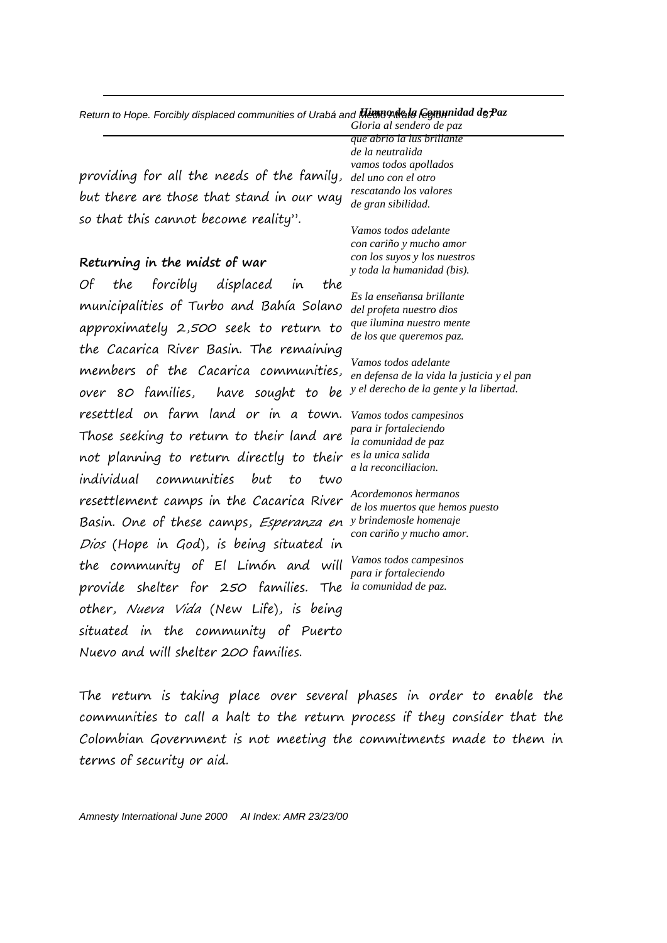|  |  | Return to Hope. Forcibly displaced communities of Urabá and <b>Hignondeals fegmunidad de Pa</b> z |  |
|--|--|---------------------------------------------------------------------------------------------------|--|
|--|--|---------------------------------------------------------------------------------------------------|--|

providing for all the needs of the family, but there are those that stand in our way so that this cannot become reality".

### **Returning in the midst of war**

Of the forcibly displaced in the municipalities of Turbo and Bahía Solano approximately 2,500 seek to return to the Cacarica River Basin. The remaining members of the Cacarica communities, over 80 families, have sought to be resettled on farm land or in a town. Those seeking to return to their land are not planning to return directly to their *es la unica salida* individual communities but to two resettlement camps in the Cacarica River Basin. One of these camps, Esperanza en Dios (Hope in God), is being situated in the community of El Limón and will provide shelter for 250 families. other, Nueva Vida (New Life), is being situated in the community of Puerto Nuevo and will shelter 200 families.

*que abrio la lus brillante de la neutralida vamos todos apollados del uno con el otro rescatando los valores de gran sibilidad.*

*Gloria al sendero de paz*

*Vamos todos adelante con cariño y mucho amor con los suyos y los nuestros y toda la humanidad (bis).*

*Es la enseñansa brillante del profeta nuestro dios que ilumina nuestro mente de los que queremos paz.*

*Vamos todos adelante en defensa de la vida la justicia y el pan y el derecho de la gente y la libertad.*

*Vamos todos campesinos para ir fortaleciendo la comunidad de paz a la reconciliacion.*

*Acordemonos hermanos de los muertos que hemos puesto y brindemosle homenaje con cariño y mucho amor.*

*Vamos todos campesinos para ir fortaleciendo la comunidad de paz.*

The return is taking place over several phases in order to enable the communities to call a halt to the return process if they consider that the Colombian Government is not meeting the commitments made to them in terms of security or aid.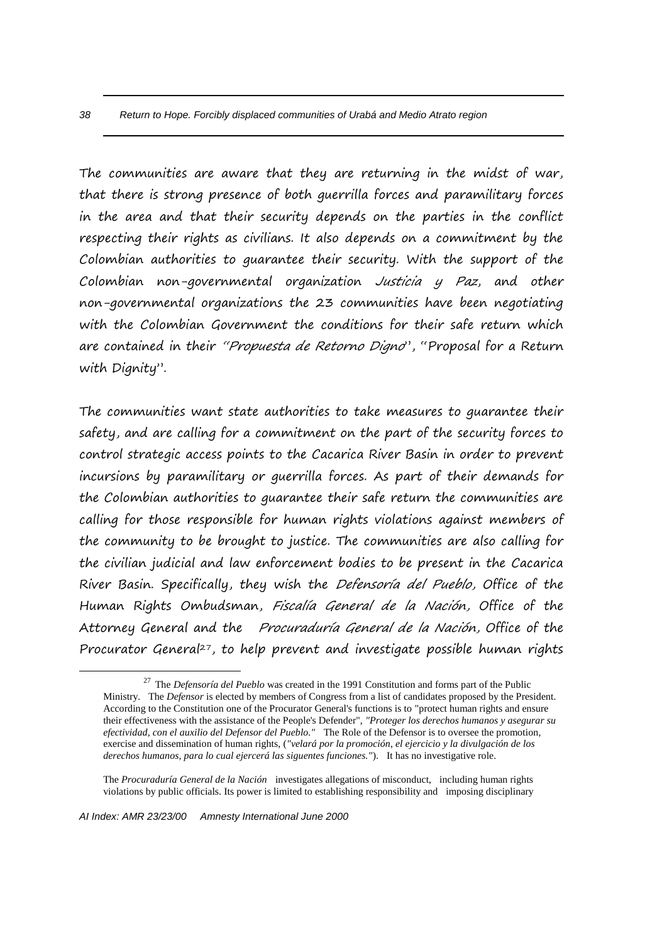The communities are aware that they are returning in the midst of war, that there is strong presence of both guerrilla forces and paramilitary forces in the area and that their security depends on the parties in the conflict respecting their rights as civilians. It also depends on a commitment by the Colombian authorities to guarantee their security. With the support of the Colombian non-governmental organization Justicia y Paz, and other non-governmental organizations the 23 communities have been negotiating with the Colombian Government the conditions for their safe return which are contained in their "Propuesta de Retorno Digno", "Proposal for a Return with Dignity".

The communities want state authorities to take measures to guarantee their safety, and are calling for a commitment on the part of the security forces to control strategic access points to the Cacarica River Basin in order to prevent incursions by paramilitary or guerrilla forces. As part of their demands for the Colombian authorities to guarantee their safe return the communities are calling for those responsible for human rights violations against members of the community to be brought to justice. The communities are also calling for the civilian judicial and law enforcement bodies to be present in the Cacarica River Basin. Specifically, they wish the Defensoría del Pueblo, Office of the Human Rights Ombudsman, Fiscalía General de la Nación, Office of the Attorney General and the Procuraduría General de la Nación, Office of the Procurator General<sup>27</sup>, to help prevent and investigate possible human rights

1

<sup>27</sup> The *Defensoría del Pueblo* was created in the 1991 Constitution and forms part of the Public Ministry. The *Defensor* is elected by members of Congress from a list of candidates proposed by the President. According to the Constitution one of the Procurator General's functions is to "protect human rights and ensure their effectiveness with the assistance of the People's Defender", *"Proteger los derechos humanos y asegurar su efectividad, con el auxilio del Defensor del Pueblo."* The Role of the Defensor is to oversee the promotion, exercise and dissemination of human rights, (*"velará por la promoción, el ejercicio y la divulgación de los derechos humanos, para lo cual ejercerá las siguentes funciones."*). It has no investigative role.

The *Procuraduría General de la Nación* investigates allegations of misconduct, including human rights violations by public officials. Its power is limited to establishing responsibility and imposing disciplinary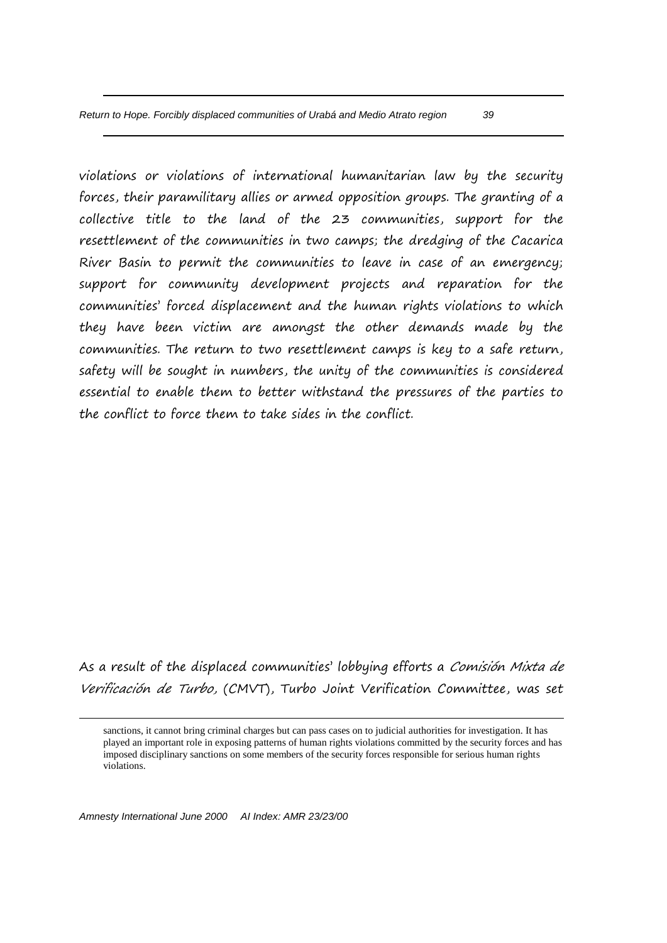violations or violations of international humanitarian law by the security forces, their paramilitary allies or armed opposition groups. The granting of a collective title to the land of the 23 communities, support for the resettlement of the communities in two camps; the dredging of the Cacarica River Basin to permit the communities to leave in case of an emergency; support for community development projects and reparation for the communities' forced displacement and the human rights violations to which they have been victim are amongst the other demands made by the communities. The return to two resettlement camps is key to a safe return, safety will be sought in numbers, the unity of the communities is considered essential to enable them to better withstand the pressures of the parties to the conflict to force them to take sides in the conflict.

As a result of the displaced communities' lobbying efforts a Comisión Mixta de Verificación de Turbo, (CMVT), Turbo Joint Verification Committee, was set

sanctions, it cannot bring criminal charges but can pass cases on to judicial authorities for investigation. It has played an important role in exposing patterns of human rights violations committed by the security forces and has imposed disciplinary sanctions on some members of the security forces responsible for serious human rights violations.

*Amnesty International June 2000 AI Index: AMR 23/23/00*

1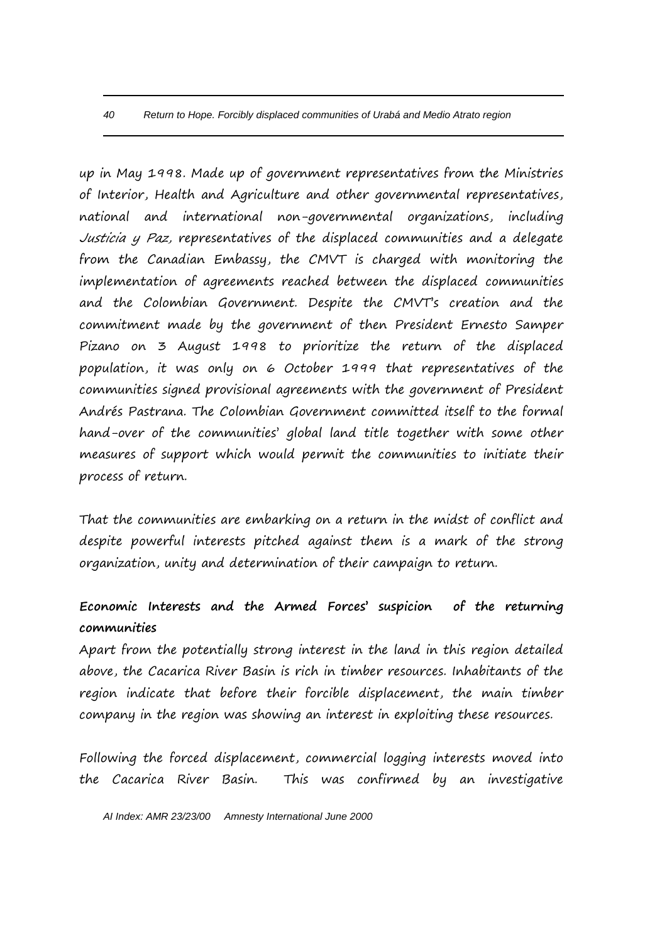up in May 1998. Made up of government representatives from the Ministries of Interior, Health and Agriculture and other governmental representatives, national and international non-governmental organizations, including Justicia y Paz, representatives of the displaced communities and a delegate from the Canadian Embassy, the CMVT is charged with monitoring the implementation of agreements reached between the displaced communities and the Colombian Government. Despite the CMVT's creation and the commitment made by the government of then President Ernesto Samper Pizano on 3 August 1998 to prioritize the return of the displaced population, it was only on 6 October 1999 that representatives of the communities signed provisional agreements with the government of President Andrés Pastrana. The Colombian Government committed itself to the formal hand-over of the communities' global land title together with some other measures of support which would permit the communities to initiate their process of return.

That the communities are embarking on a return in the midst of conflict and despite powerful interests pitched against them is a mark of the strong organization, unity and determination of their campaign to return.

# **Economic Interests and the Armed Forces' suspicion of the returning communities**

Apart from the potentially strong interest in the land in this region detailed above, the Cacarica River Basin is rich in timber resources. Inhabitants of the region indicate that before their forcible displacement, the main timber company in the region was showing an interest in exploiting these resources.

Following the forced displacement, commercial logging interests moved into the Cacarica River Basin. This was confirmed by an investigative

*AI Index: AMR 23/23/00 Amnesty International June 2000*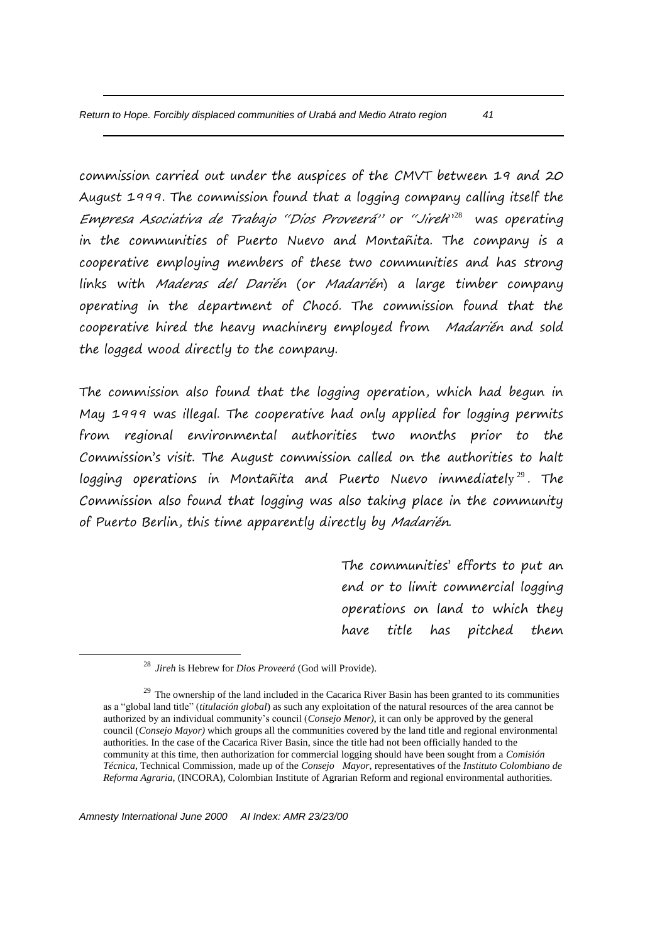commission carried out under the auspices of the CMVT between 19 and 20 August 1999. The commission found that a logging company calling itself the Empresa Asociativa de Trabajo "Dios Proveerá" or "Jirek<sup>, 128</sup> was operating in the communities of Puerto Nuevo and Montañita. The company is a cooperative employing members of these two communities and has strong links with Maderas del Darién (or Madarién) a large timber company operating in the department of Chocó. The commission found that the cooperative hired the heavy machinery employed from Madarién and sold the logged wood directly to the company.

The commission also found that the logging operation, which had begun in May 1999 was illegal. The cooperative had only applied for logging permits from regional environmental authorities two months prior to the Commission's visit. The August commission called on the authorities to halt logging operations in Montañita and Puerto Nuevo immediately $^{29}$ . The Commission also found that logging was also taking place in the community of Puerto Berlin, this time apparently directly by Madarién.

> The communities' efforts to put an end or to limit commercial logging operations on land to which they have title has pitched them

1

<sup>28</sup> *Jireh* is Hebrew for *Dios Proveerá* (God will Provide).

<sup>&</sup>lt;sup>29</sup> The ownership of the land included in the Cacarica River Basin has been granted to its communities as a "global land title" (*titulación global*) as such any exploitation of the natural resources of the area cannot be authorized by an individual community's council (*Consejo Menor)*, it can only be approved by the general council (*Consejo Mayor)* which groups all the communities covered by the land title and regional environmental authorities. In the case of the Cacarica River Basin, since the title had not been officially handed to the community at this time, then authorization for commercial logging should have been sought from a *Comisión Técnica*, Technical Commission, made up of the *Consejo Mayor,* representatives of the *Instituto Colombiano de Reforma Agraria,* (INCORA), Colombian Institute of Agrarian Reform and regional environmental authorities.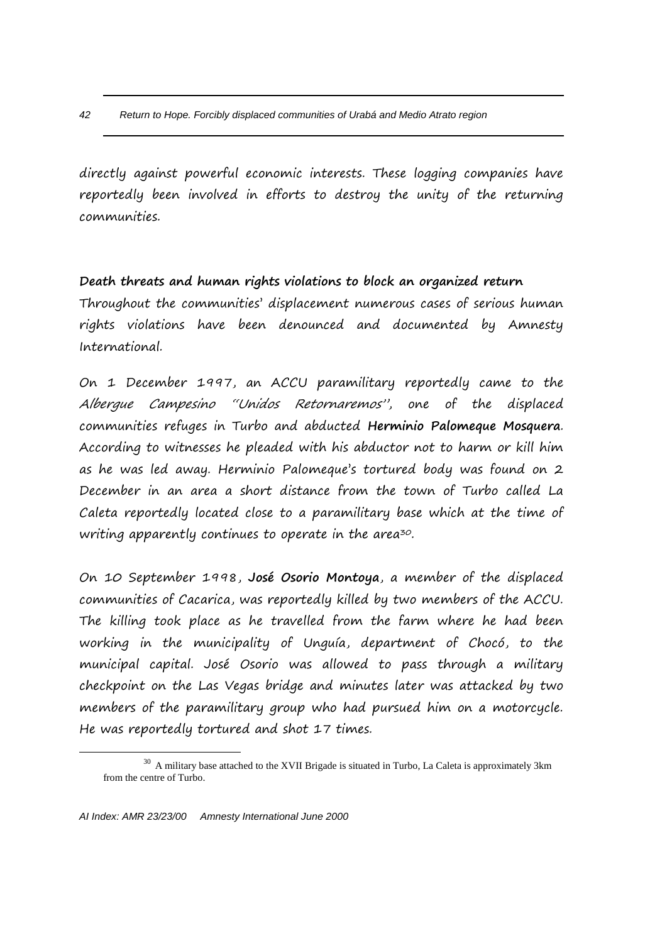directly against powerful economic interests. These logging companies have reportedly been involved in efforts to destroy the unity of the returning communities.

## **Death threats and human rights violations to block an organized return**

Throughout the communities' displacement numerous cases of serious human rights violations have been denounced and documented by Amnesty International.

On 1 December 1997, an ACCU paramilitary reportedly came to the Albergue Campesino "Unidos Retornaremos", one of the displaced communities refuges in Turbo and abducted **Herminio Palomeque Mosquera**. According to witnesses he pleaded with his abductor not to harm or kill him as he was led away. Herminio Palomeque's tortured body was found on 2 December in an area a short distance from the town of Turbo called La Caleta reportedly located close to a paramilitary base which at the time of writing apparently continues to operate in the area<sup>30</sup>.

On 10 September 1998, **José Osorio Montoya**, a member of the displaced communities of Cacarica, was reportedly killed by two members of the ACCU. The killing took place as he travelled from the farm where he had been working in the municipality of Unguía, department of Chocó, to the municipal capital. José Osorio was allowed to pass through a military checkpoint on the Las Vegas bridge and minutes later was attacked by two members of the paramilitary group who had pursued him on a motorcycle. He was reportedly tortured and shot 17 times.

1

<sup>&</sup>lt;sup>30</sup> A military base attached to the XVII Brigade is situated in Turbo, La Caleta is approximately 3km from the centre of Turbo.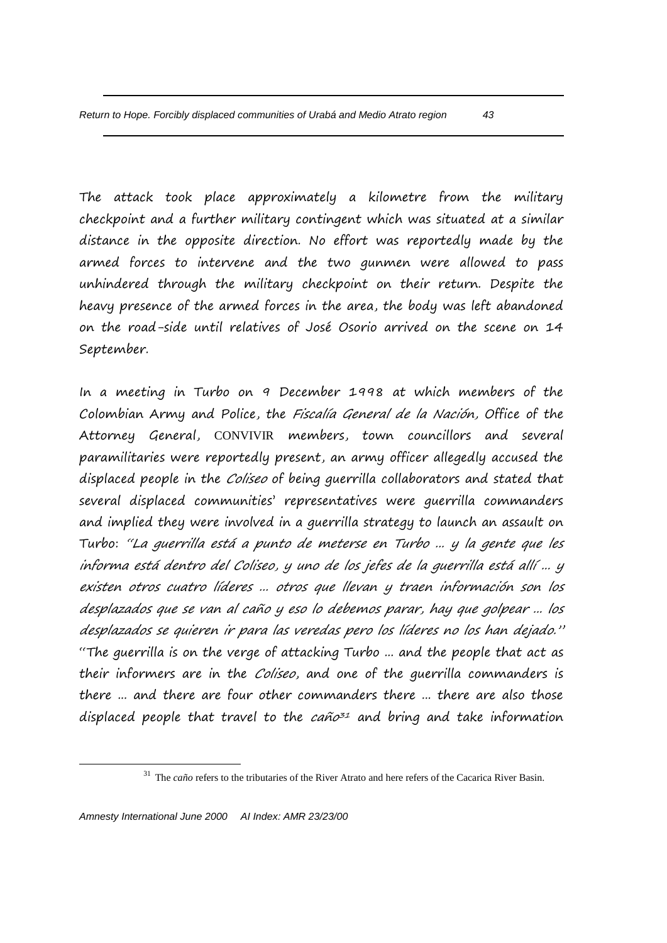The attack took place approximately a kilometre from the military checkpoint and a further military contingent which was situated at a similar distance in the opposite direction. No effort was reportedly made by the armed forces to intervene and the two gunmen were allowed to pass unhindered through the military checkpoint on their return. Despite the heavy presence of the armed forces in the area, the body was left abandoned on the road-side until relatives of José Osorio arrived on the scene on 14 September.

In a meeting in Turbo on 9 December 1998 at which members of the Colombian Army and Police, the Fiscalía General de la Nación, Office of the Attorney General, CONVIVIR members, town councillors and several paramilitaries were reportedly present, an army officer allegedly accused the displaced people in the *Coliseo* of being guerrilla collaborators and stated that several displaced communities' representatives were guerrilla commanders and implied they were involved in a guerrilla strategy to launch an assault on Turbo: "La guerrilla está a punto de meterse en Turbo ... y la gente que les informa está dentro del Coliseo, y uno de los jefes de la guerrilla está allí ... y existen otros cuatro líderes ... otros que llevan y traen información son los desplazados que se van al caño y eso lo debemos parar, hay que golpear ... los desplazados se quieren ir para las veredas pero los líderes no los han dejado." "The guerrilla is on the verge of attacking Turbo ... and the people that act as their informers are in the *Coliseo*, and one of the guerrilla commanders is there ... and there are four other commanders there ... there are also those displaced people that travel to the  $ca\tilde{n}o^{31}$  and bring and take information

<u>.</u>

<sup>&</sup>lt;sup>31</sup> The *caño* refers to the tributaries of the River Atrato and here refers of the Cacarica River Basin.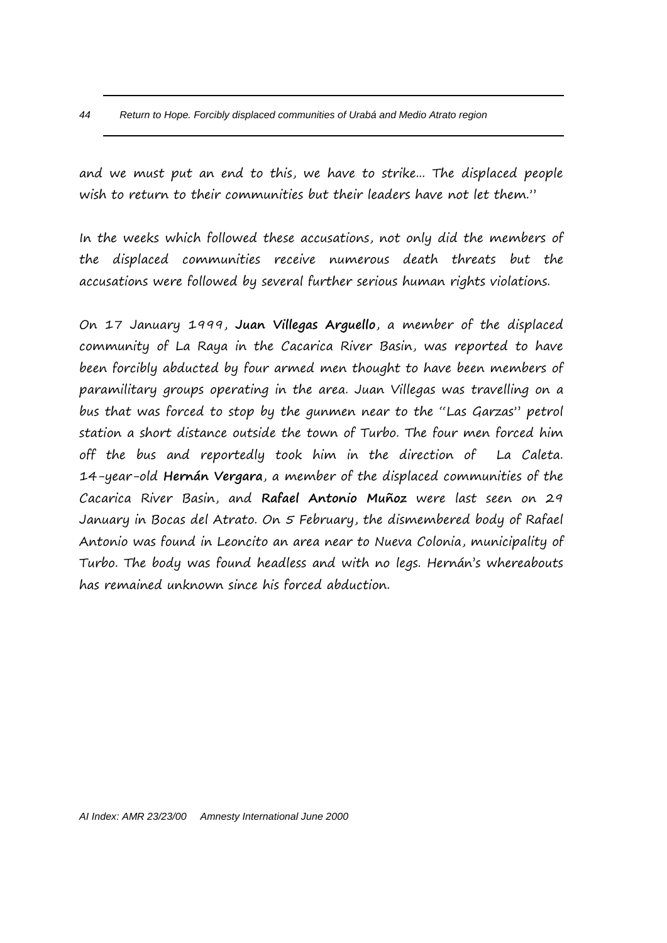and we must put an end to this, we have to strike... The displaced people wish to return to their communities but their leaders have not let them."

In the weeks which followed these accusations, not only did the members of the displaced communities receive numerous death threats but the accusations were followed by several further serious human rights violations.

On 17 January 1999, **Juan Villegas Arguello**, a member of the displaced community of La Raya in the Cacarica River Basin, was reported to have been forcibly abducted by four armed men thought to have been members of paramilitary groups operating in the area. Juan Villegas was travelling on a bus that was forced to stop by the gunmen near to the "Las Garzas" petrol station a short distance outside the town of Turbo. The four men forced him off the bus and reportedly took him in the direction of La Caleta. 14-year-old **Hernán Vergara**, a member of the displaced communities of the Cacarica River Basin, and **Rafael Antonio Muñoz** were last seen on 29 January in Bocas del Atrato. On 5 February, the dismembered body of Rafael Antonio was found in Leoncito an area near to Nueva Colonia, municipality of Turbo. The body was found headless and with no legs. Hernán's whereabouts has remained unknown since his forced abduction.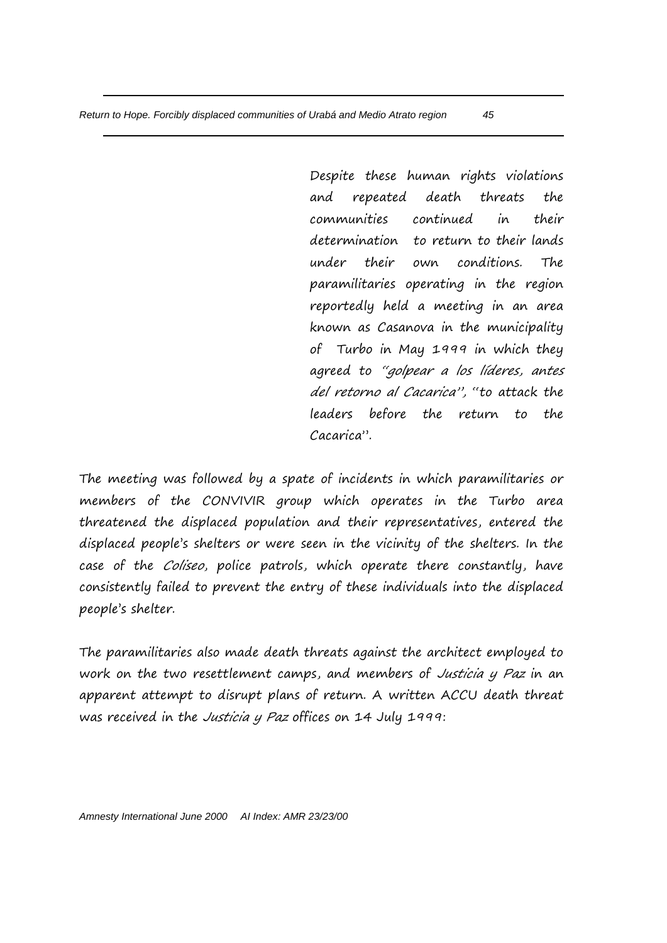Despite these human rights violations and repeated death threats the communities continued in their determination to return to their lands under their own conditions. The paramilitaries operating in the region reportedly held a meeting in an area known as Casanova in the municipality of Turbo in May 1999 in which they agreed to "golpear a los líderes, antes del retorno al Cacarica", "to attack the leaders before the return to the Cacarica".

The meeting was followed by a spate of incidents in which paramilitaries or members of the CONVIVIR group which operates in the Turbo area threatened the displaced population and their representatives, entered the displaced people's shelters or were seen in the vicinity of the shelters. In the case of the *Coliseo*, police patrols, which operate there constantly, have consistently failed to prevent the entry of these individuals into the displaced people's shelter.

The paramilitaries also made death threats against the architect employed to work on the two resettlement camps, and members of Justicia y Paz in an apparent attempt to disrupt plans of return. A written ACCU death threat was received in the *Justicia y Paz* offices on 14 July 1999: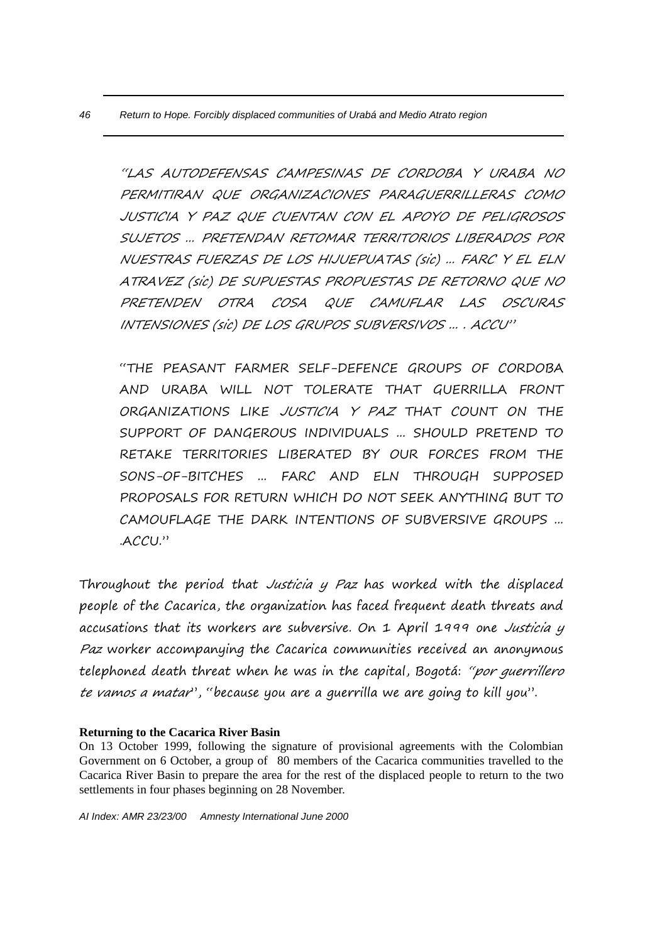"LAS AUTODEFENSAS CAMPESINAS DE CORDOBA Y URABA NO PERMITIRAN QUE ORGANIZACIONES PARAGUERRILLERAS COMO JUSTICIA Y PAZ QUE CUENTAN CON EL APOYO DE PELIGROSOS SUJETOS ... PRETENDAN RETOMAR TERRITORIOS LIBERADOS POR NUESTRAS FUERZAS DE LOS HIJUEPUATAS (sic) ... FARC Y EL ELN ATRAVEZ (sic) DE SUPUESTAS PROPUESTAS DE RETORNO QUE NO PRETENDEN OTRA COSA QUE CAMUFLAR LAS OSCURAS INTENSIONES (sic) DE LOS GRUPOS SUBVERSIVOS ... . ACCU"

"THE PEASANT FARMER SELF-DEFENCE GROUPS OF CORDOBA AND URABA WILL NOT TOLERATE THAT GUERRILLA FRONT ORGANIZATIONS LIKE JUSTICIA Y PAZ THAT COUNT ON THE SUPPORT OF DANGEROUS INDIVIDUALS ... SHOULD PRETEND TO RETAKE TERRITORIES LIBERATED BY OUR FORCES FROM THE SONS-OF-BITCHES ... FARC AND ELN THROUGH SUPPOSED PROPOSALS FOR RETURN WHICH DO NOT SEEK ANYTHING BUT TO CAMOUFLAGE THE DARK INTENTIONS OF SUBVERSIVE GROUPS ... .ACCU."

Throughout the period that Justicia y Paz has worked with the displaced people of the Cacarica, the organization has faced frequent death threats and accusations that its workers are subversive. On 1 April 1999 one Justicia y Paz worker accompanying the Cacarica communities received an anonymous telephoned death threat when he was in the capital, Bogotá: "por querrillero te vamos a matar", "because you are a guerrilla we are going to kill you".

#### **Returning to the Cacarica River Basin**

On 13 October 1999, following the signature of provisional agreements with the Colombian Government on 6 October, a group of 80 members of the Cacarica communities travelled to the Cacarica River Basin to prepare the area for the rest of the displaced people to return to the two settlements in four phases beginning on 28 November.

*AI Index: AMR 23/23/00 Amnesty International June 2000*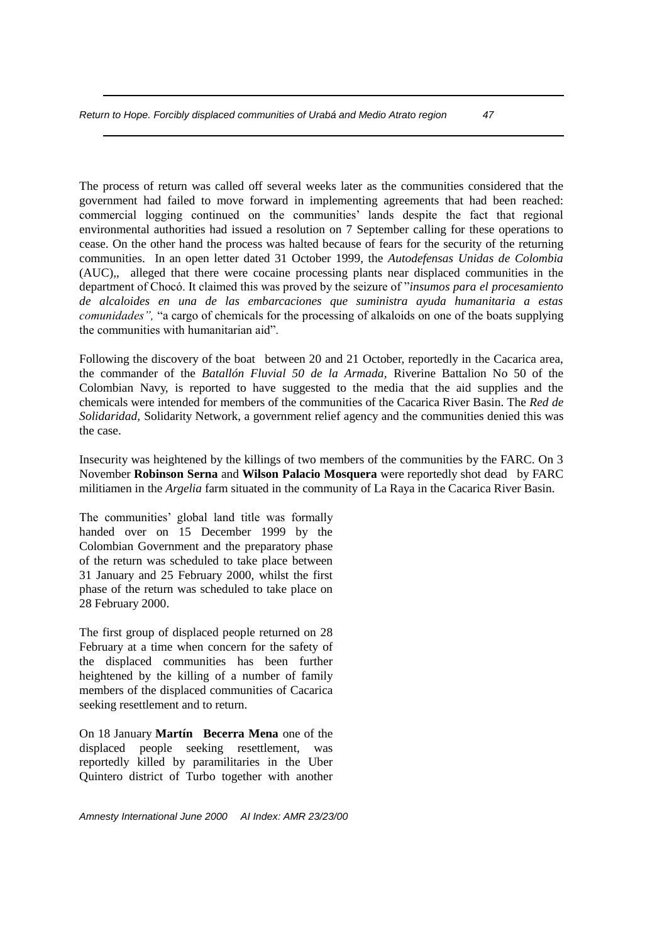The process of return was called off several weeks later as the communities considered that the government had failed to move forward in implementing agreements that had been reached: commercial logging continued on the communities' lands despite the fact that regional environmental authorities had issued a resolution on 7 September calling for these operations to cease. On the other hand the process was halted because of fears for the security of the returning communities. In an open letter dated 31 October 1999, the *Autodefensas Unidas de Colombia*  (AUC)*,*, alleged that there were cocaine processing plants near displaced communities in the department of Chocó. It claimed this was proved by the seizure of "*insumos para el procesamiento de alcaloides en una de las embarcaciones que suministra ayuda humanitaria a estas comunidades",* "a cargo of chemicals for the processing of alkaloids on one of the boats supplying the communities with humanitarian aid".

Following the discovery of the boat between 20 and 21 October, reportedly in the Cacarica area, the commander of the *Batallón Fluvial 50 de la Armada,* Riverine Battalion No 50 of the Colombian Navy, is reported to have suggested to the media that the aid supplies and the chemicals were intended for members of the communities of the Cacarica River Basin. The *Red de Solidaridad,* Solidarity Network, a government relief agency and the communities denied this was the case.

Insecurity was heightened by the killings of two members of the communities by the FARC. On 3 November **Robinson Serna** and **Wilson Palacio Mosquera** were reportedly shot dead by FARC militiamen in the *Argelia* farm situated in the community of La Raya in the Cacarica River Basin.

The communities' global land title was formally handed over on 15 December 1999 by the Colombian Government and the preparatory phase of the return was scheduled to take place between 31 January and 25 February 2000, whilst the first phase of the return was scheduled to take place on 28 February 2000.

The first group of displaced people returned on 28 February at a time when concern for the safety of the displaced communities has been further heightened by the killing of a number of family members of the displaced communities of Cacarica seeking resettlement and to return.

On 18 January **Martín Becerra Mena** one of the displaced people seeking resettlement, was reportedly killed by paramilitaries in the Uber Quintero district of Turbo together with another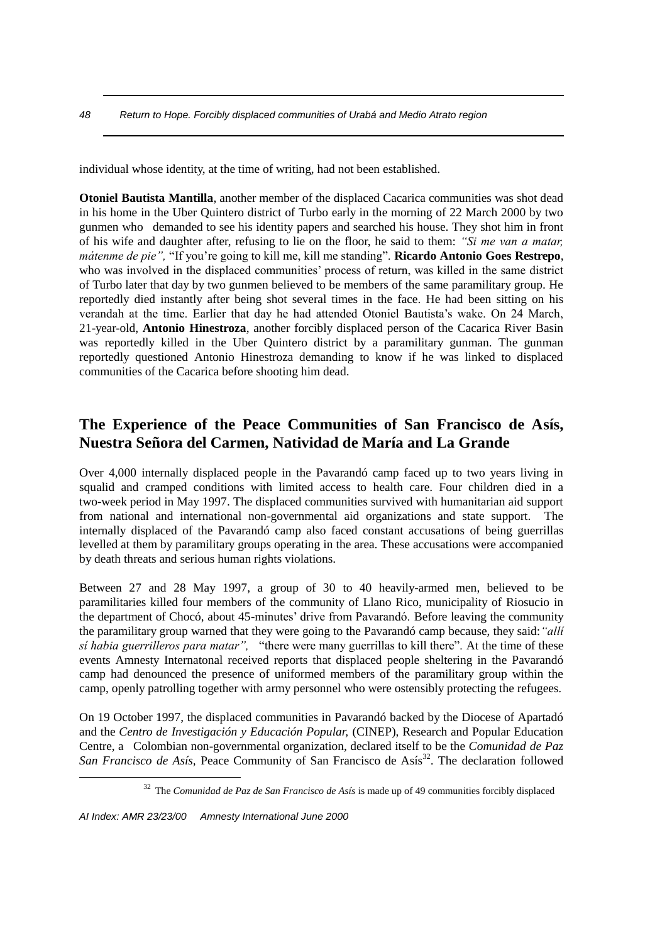individual whose identity, at the time of writing, had not been established.

**Otoniel Bautista Mantilla**, another member of the displaced Cacarica communities was shot dead in his home in the Uber Quintero district of Turbo early in the morning of 22 March 2000 by two gunmen who demanded to see his identity papers and searched his house. They shot him in front of his wife and daughter after, refusing to lie on the floor, he said to them: *"Si me van a matar, mátenme de pie",* "If you're going to kill me, kill me standing". **Ricardo Antonio Goes Restrepo**, who was involved in the displaced communities' process of return, was killed in the same district of Turbo later that day by two gunmen believed to be members of the same paramilitary group. He reportedly died instantly after being shot several times in the face. He had been sitting on his verandah at the time. Earlier that day he had attended Otoniel Bautista's wake. On 24 March, 21-year-old, **Antonio Hinestroza**, another forcibly displaced person of the Cacarica River Basin was reportedly killed in the Uber Quintero district by a paramilitary gunman. The gunman reportedly questioned Antonio Hinestroza demanding to know if he was linked to displaced communities of the Cacarica before shooting him dead.

# **The Experience of the Peace Communities of San Francisco de Asís, Nuestra Señora del Carmen, Natividad de María and La Grande**

Over 4,000 internally displaced people in the Pavarandó camp faced up to two years living in squalid and cramped conditions with limited access to health care. Four children died in a two-week period in May 1997. The displaced communities survived with humanitarian aid support from national and international non-governmental aid organizations and state support. The internally displaced of the Pavarandó camp also faced constant accusations of being guerrillas levelled at them by paramilitary groups operating in the area. These accusations were accompanied by death threats and serious human rights violations.

Between 27 and 28 May 1997, a group of 30 to 40 heavily-armed men, believed to be paramilitaries killed four members of the community of Llano Rico, municipality of Riosucio in the department of Chocó, about 45-minutes' drive from Pavarandó. Before leaving the community the paramilitary group warned that they were going to the Pavarandó camp because, they said:*"allí sí habia guerrilleros para matar",* "there were many guerrillas to kill there". At the time of these events Amnesty Internatonal received reports that displaced people sheltering in the Pavarandó camp had denounced the presence of uniformed members of the paramilitary group within the camp, openly patrolling together with army personnel who were ostensibly protecting the refugees.

On 19 October 1997, the displaced communities in Pavarandó backed by the Diocese of Apartadó and the *Centro de Investigación y Educación Popular,* (CINEP), Research and Popular Education Centre, a Colombian non-governmental organization, declared itself to be the *Comunidad de Paz San Francisco de Asís*, Peace Community of San Francisco de Asís<sup>32</sup>. The declaration followed

*AI Index: AMR 23/23/00 Amnesty International June 2000*

<u>.</u>

<sup>32</sup> The *Comunidad de Paz de San Francisco de Asís* is made up of 49 communities forcibly displaced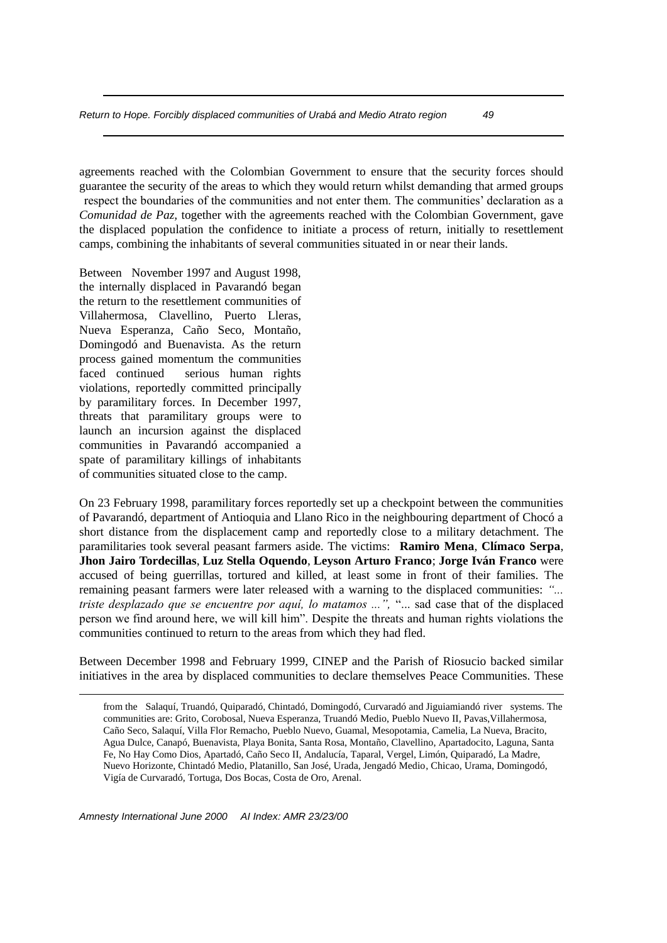agreements reached with the Colombian Government to ensure that the security forces should guarantee the security of the areas to which they would return whilst demanding that armed groups respect the boundaries of the communities and not enter them. The communities' declaration as a *Comunidad de Paz,* together with the agreements reached with the Colombian Government, gave the displaced population the confidence to initiate a process of return, initially to resettlement camps, combining the inhabitants of several communities situated in or near their lands.

Between November 1997 and August 1998, the internally displaced in Pavarandó began the return to the resettlement communities of Villahermosa, Clavellino, Puerto Lleras, Nueva Esperanza, Caño Seco, Montaño, Domingodó and Buenavista. As the return process gained momentum the communities faced continued serious human rights violations, reportedly committed principally by paramilitary forces. In December 1997, threats that paramilitary groups were to launch an incursion against the displaced communities in Pavarandó accompanied a spate of paramilitary killings of inhabitants of communities situated close to the camp.

On 23 February 1998, paramilitary forces reportedly set up a checkpoint between the communities of Pavarandó, department of Antioquia and Llano Rico in the neighbouring department of Chocó a short distance from the displacement camp and reportedly close to a military detachment. The paramilitaries took several peasant farmers aside. The victims: **Ramiro Mena**, **Clímaco Serpa**, **Jhon Jairo Tordecillas**, **Luz Stella Oquendo**, **Leyson Arturo Franco**; **Jorge Iván Franco** were accused of being guerrillas, tortured and killed, at least some in front of their families. The remaining peasant farmers were later released with a warning to the displaced communities: *"... triste desplazado que se encuentre por aquí, lo matamos ...",* "... sad case that of the displaced person we find around here, we will kill him". Despite the threats and human rights violations the communities continued to return to the areas from which they had fled.

Between December 1998 and February 1999, CINEP and the Parish of Riosucio backed similar initiatives in the area by displaced communities to declare themselves Peace Communities. These

from the Salaquí, Truandó, Quiparadó, Chintadó, Domingodó, Curvaradó and Jiguiamiandó river systems. The communities are: Grito, Corobosal, Nueva Esperanza, Truandó Medio, Pueblo Nuevo II, Pavas,Villahermosa, Caño Seco, Salaquí, Villa Flor Remacho, Pueblo Nuevo, Guamal, Mesopotamia, Camelia, La Nueva, Bracito, Agua Dulce, Canapó, Buenavista, Playa Bonita, Santa Rosa, Montaño, Clavellino, Apartadocito, Laguna, Santa Fe, No Hay Como Dios, Apartadó, Caño Seco II, Andalucía, Taparal, Vergel, Limón, Quiparadó, La Madre, Nuevo Horizonte, Chintadó Medio, Platanillo, San José, Urada, Jengadó Medio, Chicao, Urama, Domingodó, Vigía de Curvaradó, Tortuga, Dos Bocas, Costa de Oro, Arenal.

*Amnesty International June 2000 AI Index: AMR 23/23/00*

<u>.</u>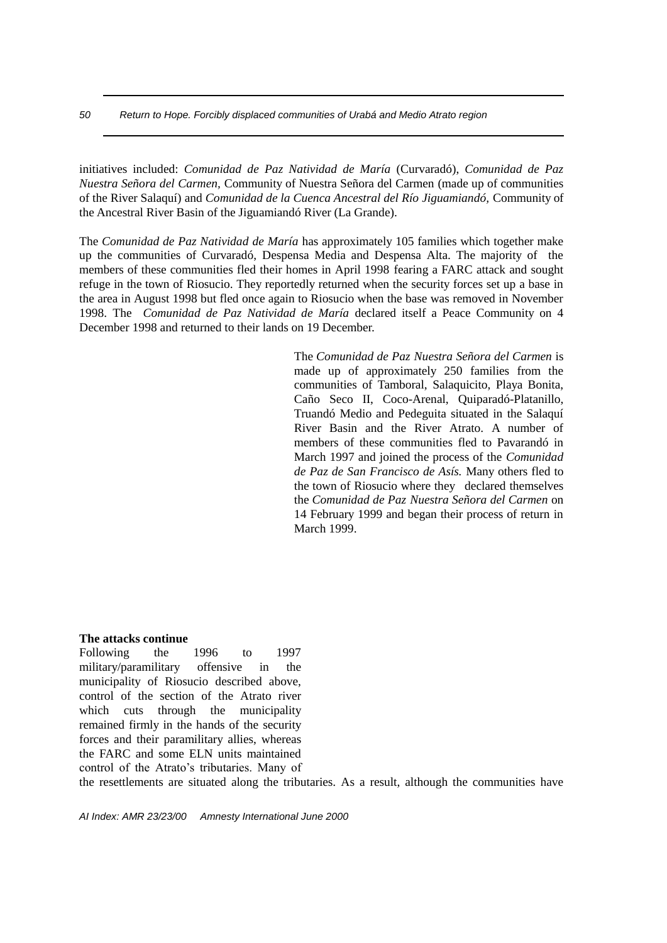initiatives included: *Comunidad de Paz Natividad de María* (Curvaradó), *Comunidad de Paz Nuestra Señora del Carmen,* Community of Nuestra Señora del Carmen (made up of communities of the River Salaquí) and *Comunidad de la Cuenca Ancestral del Río Jiguamiandó,* Community of the Ancestral River Basin of the Jiguamiandó River (La Grande).

The *Comunidad de Paz Natividad de María* has approximately 105 families which together make up the communities of Curvaradó, Despensa Media and Despensa Alta. The majority of the members of these communities fled their homes in April 1998 fearing a FARC attack and sought refuge in the town of Riosucio. They reportedly returned when the security forces set up a base in the area in August 1998 but fled once again to Riosucio when the base was removed in November 1998. The *Comunidad de Paz Natividad de María* declared itself a Peace Community on 4 December 1998 and returned to their lands on 19 December.

> The *Comunidad de Paz Nuestra Señora del Carmen* is made up of approximately 250 families from the communities of Tamboral, Salaquicito, Playa Bonita, Caño Seco II, Coco-Arenal, Quiparadó-Platanillo, Truandó Medio and Pedeguita situated in the Salaquí River Basin and the River Atrato. A number of members of these communities fled to Pavarandó in March 1997 and joined the process of the *Comunidad de Paz de San Francisco de Asís.* Many others fled to the town of Riosucio where they declared themselves the *Comunidad de Paz Nuestra Señora del Carmen* on 14 February 1999 and began their process of return in March 1999.

#### **The attacks continue**

Following the 1996 to 1997 military/paramilitary offensive in the municipality of Riosucio described above, control of the section of the Atrato river which cuts through the municipality remained firmly in the hands of the security forces and their paramilitary allies, whereas the FARC and some ELN units maintained control of the Atrato's tributaries. Many of

the resettlements are situated along the tributaries. As a result, although the communities have

*AI Index: AMR 23/23/00 Amnesty International June 2000*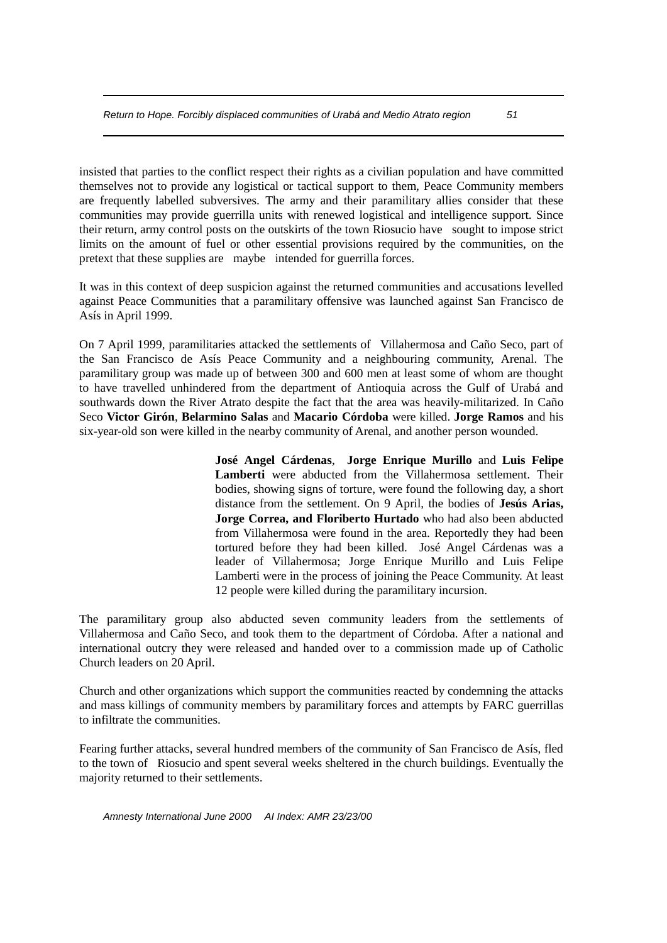pretext that these supplies are maybe intended for guerrilla forces.

insisted that parties to the conflict respect their rights as a civilian population and have committed themselves not to provide any logistical or tactical support to them, Peace Community members are frequently labelled subversives. The army and their paramilitary allies consider that these communities may provide guerrilla units with renewed logistical and intelligence support. Since their return, army control posts on the outskirts of the town Riosucio have sought to impose strict limits on the amount of fuel or other essential provisions required by the communities, on the

It was in this context of deep suspicion against the returned communities and accusations levelled against Peace Communities that a paramilitary offensive was launched against San Francisco de Asís in April 1999.

On 7 April 1999, paramilitaries attacked the settlements of Villahermosa and Caño Seco, part of the San Francisco de Asís Peace Community and a neighbouring community, Arenal. The paramilitary group was made up of between 300 and 600 men at least some of whom are thought to have travelled unhindered from the department of Antioquia across the Gulf of Urabá and southwards down the River Atrato despite the fact that the area was heavily-militarized. In Caño Seco **Victor Girón**, **Belarmino Salas** and **Macario Córdoba** were killed. **Jorge Ramos** and his six-year-old son were killed in the nearby community of Arenal, and another person wounded.

> **José Angel Cárdenas**, **Jorge Enrique Murillo** and **Luis Felipe Lamberti** were abducted from the Villahermosa settlement. Their bodies, showing signs of torture, were found the following day, a short distance from the settlement. On 9 April, the bodies of **Jesús Arias, Jorge Correa, and Floriberto Hurtado** who had also been abducted from Villahermosa were found in the area. Reportedly they had been tortured before they had been killed. José Angel Cárdenas was a leader of Villahermosa; Jorge Enrique Murillo and Luis Felipe Lamberti were in the process of joining the Peace Community. At least 12 people were killed during the paramilitary incursion.

The paramilitary group also abducted seven community leaders from the settlements of Villahermosa and Caño Seco, and took them to the department of Córdoba. After a national and international outcry they were released and handed over to a commission made up of Catholic Church leaders on 20 April.

Church and other organizations which support the communities reacted by condemning the attacks and mass killings of community members by paramilitary forces and attempts by FARC guerrillas to infiltrate the communities.

Fearing further attacks, several hundred members of the community of San Francisco de Asís, fled to the town of Riosucio and spent several weeks sheltered in the church buildings. Eventually the majority returned to their settlements.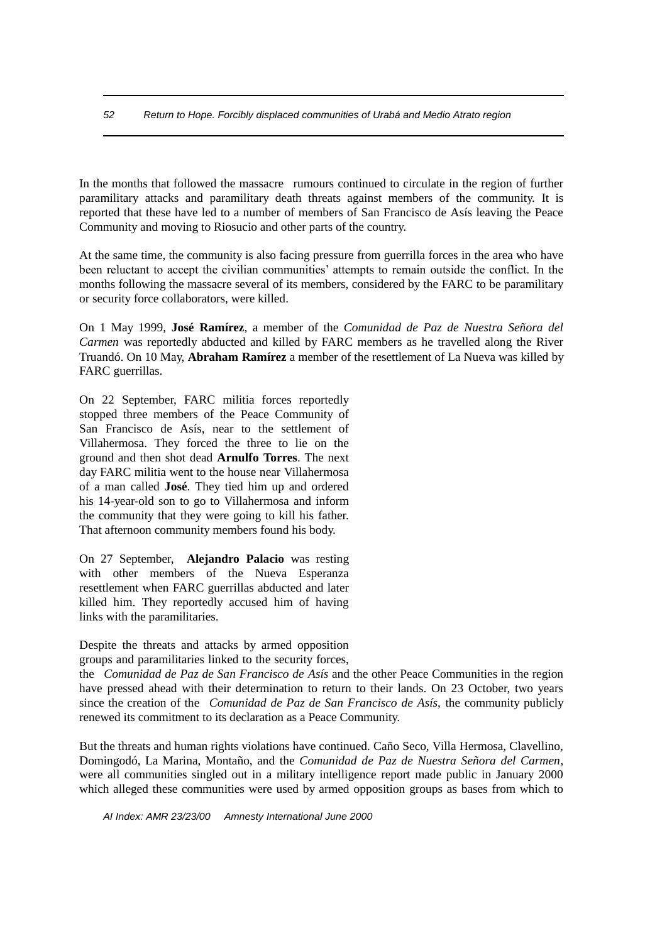In the months that followed the massacre rumours continued to circulate in the region of further paramilitary attacks and paramilitary death threats against members of the community. It is reported that these have led to a number of members of San Francisco de Asís leaving the Peace Community and moving to Riosucio and other parts of the country.

At the same time, the community is also facing pressure from guerrilla forces in the area who have been reluctant to accept the civilian communities' attempts to remain outside the conflict. In the months following the massacre several of its members, considered by the FARC to be paramilitary or security force collaborators, were killed.

On 1 May 1999, **José Ramírez**, a member of the *Comunidad de Paz de Nuestra Señora del Carmen* was reportedly abducted and killed by FARC members as he travelled along the River Truandó. On 10 May, **Abraham Ramírez** a member of the resettlement of La Nueva was killed by FARC guerrillas.

On 22 September, FARC militia forces reportedly stopped three members of the Peace Community of San Francisco de Asís, near to the settlement of Villahermosa. They forced the three to lie on the ground and then shot dead **Arnulfo Torres**. The next day FARC militia went to the house near Villahermosa of a man called **José**. They tied him up and ordered his 14-year-old son to go to Villahermosa and inform the community that they were going to kill his father. That afternoon community members found his body.

On 27 September, **Alejandro Palacio** was resting with other members of the Nueva Esperanza resettlement when FARC guerrillas abducted and later killed him. They reportedly accused him of having links with the paramilitaries.

Despite the threats and attacks by armed opposition groups and paramilitaries linked to the security forces,

the *Comunidad de Paz de San Francisco de Asís* and the other Peace Communities in the region have pressed ahead with their determination to return to their lands. On 23 October, two years since the creation of the *Comunidad de Paz de San Francisco de Asís,* the community publicly renewed its commitment to its declaration as a Peace Community.

But the threats and human rights violations have continued. Caño Seco, Villa Hermosa, Clavellino, Domingodó, La Marina, Montaño, and the *Comunidad de Paz de Nuestra Señora del Carmen*, were all communities singled out in a military intelligence report made public in January 2000 which alleged these communities were used by armed opposition groups as bases from which to

*AI Index: AMR 23/23/00 Amnesty International June 2000*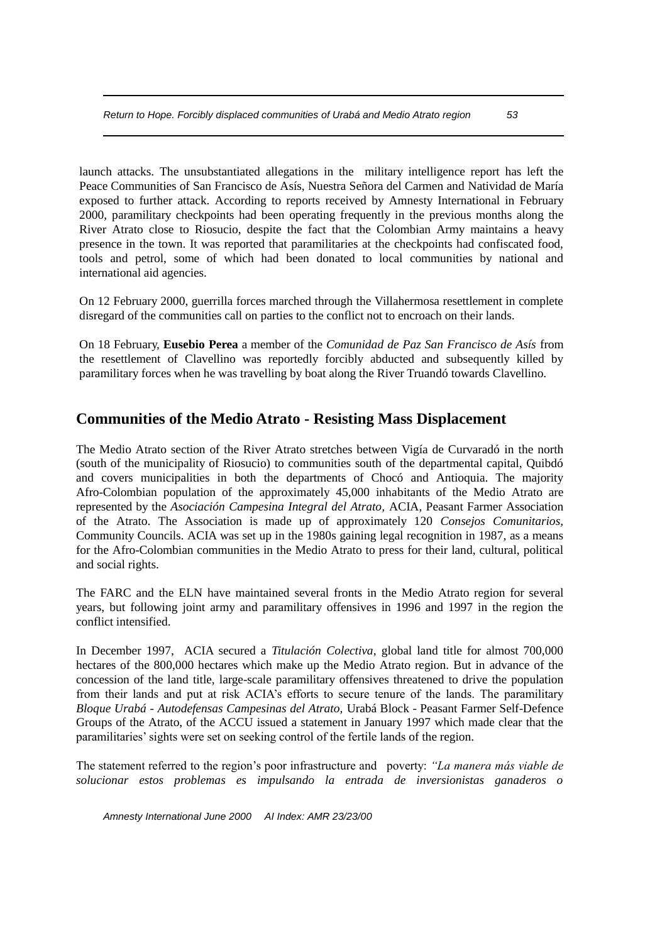launch attacks. The unsubstantiated allegations in the military intelligence report has left the Peace Communities of San Francisco de Asís, Nuestra Señora del Carmen and Natividad de María exposed to further attack. According to reports received by Amnesty International in February 2000, paramilitary checkpoints had been operating frequently in the previous months along the River Atrato close to Riosucio, despite the fact that the Colombian Army maintains a heavy presence in the town. It was reported that paramilitaries at the checkpoints had confiscated food, tools and petrol, some of which had been donated to local communities by national and international aid agencies.

On 12 February 2000, guerrilla forces marched through the Villahermosa resettlement in complete disregard of the communities call on parties to the conflict not to encroach on their lands.

On 18 February, **Eusebio Perea** a member of the *Comunidad de Paz San Francisco de Asís* from the resettlement of Clavellino was reportedly forcibly abducted and subsequently killed by paramilitary forces when he was travelling by boat along the River Truandó towards Clavellino.

# **Communities of the Medio Atrato - Resisting Mass Displacement**

The Medio Atrato section of the River Atrato stretches between Vigía de Curvaradó in the north (south of the municipality of Riosucio) to communities south of the departmental capital, Quibdó and covers municipalities in both the departments of Chocó and Antioquia. The majority Afro-Colombian population of the approximately 45,000 inhabitants of the Medio Atrato are represented by the *Asociación Campesina Integral del Atrato,* ACIA, Peasant Farmer Association of the Atrato. The Association is made up of approximately 120 *Consejos Comunitarios,*  Community Councils. ACIA was set up in the 1980s gaining legal recognition in 1987, as a means for the Afro-Colombian communities in the Medio Atrato to press for their land, cultural, political and social rights.

The FARC and the ELN have maintained several fronts in the Medio Atrato region for several years, but following joint army and paramilitary offensives in 1996 and 1997 in the region the conflict intensified.

In December 1997, ACIA secured a *Titulación Colectiva*, global land title for almost 700,000 hectares of the 800,000 hectares which make up the Medio Atrato region. But in advance of the concession of the land title, large-scale paramilitary offensives threatened to drive the population from their lands and put at risk ACIA's efforts to secure tenure of the lands. The paramilitary *Bloque Urabá - Autodefensas Campesinas del Atrato,* Urabá Block - Peasant Farmer Self-Defence Groups of the Atrato, of the ACCU issued a statement in January 1997 which made clear that the paramilitaries' sights were set on seeking control of the fertile lands of the region.

The statement referred to the region's poor infrastructure and poverty: *"La manera más viable de solucionar estos problemas es impulsando la entrada de inversionistas ganaderos o*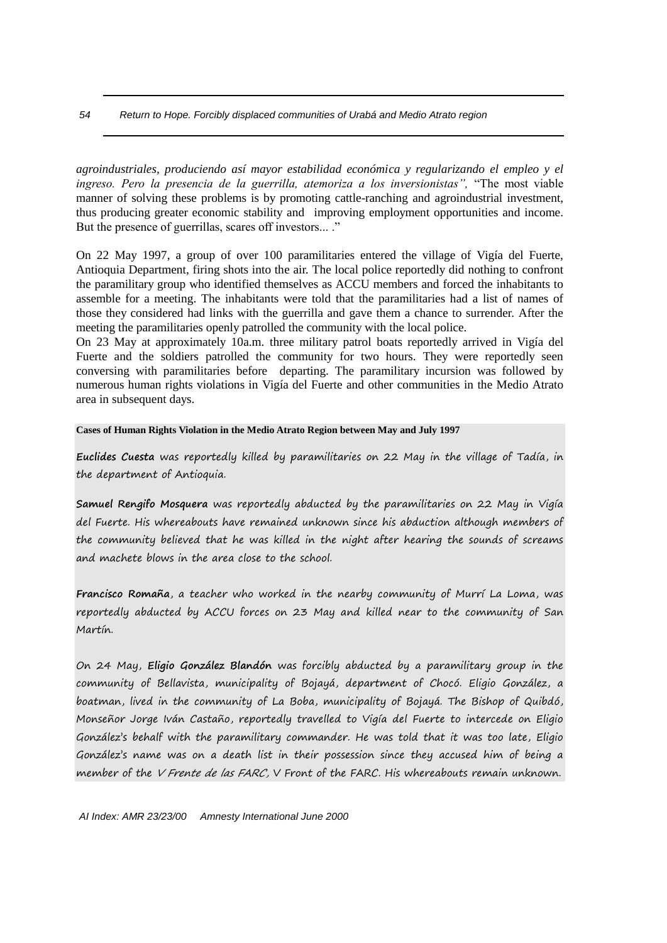#### *54 Return to Hope. Forcibly displaced communities of Urabá and Medio Atrato region*

*agroindustriales, produciendo así mayor estabilidad económica y regularizando el empleo y el ingreso. Pero la presencia de la guerrilla, atemoriza a los inversionistas",* "The most viable manner of solving these problems is by promoting cattle-ranching and agroindustrial investment, thus producing greater economic stability and improving employment opportunities and income. But the presence of guerrillas, scares off investors... ."

On 22 May 1997, a group of over 100 paramilitaries entered the village of Vigía del Fuerte, Antioquia Department, firing shots into the air. The local police reportedly did nothing to confront the paramilitary group who identified themselves as ACCU members and forced the inhabitants to assemble for a meeting. The inhabitants were told that the paramilitaries had a list of names of those they considered had links with the guerrilla and gave them a chance to surrender. After the meeting the paramilitaries openly patrolled the community with the local police.

On 23 May at approximately 10a.m. three military patrol boats reportedly arrived in Vigía del Fuerte and the soldiers patrolled the community for two hours. They were reportedly seen conversing with paramilitaries before departing. The paramilitary incursion was followed by numerous human rights violations in Vigía del Fuerte and other communities in the Medio Atrato area in subsequent days.

#### **Cases of Human Rights Violation in the Medio Atrato Region between May and July 1997**

**Euclides Cuesta** was reportedly killed by paramilitaries on 22 May in the village of Tadía, in the department of Antioquia.

**Samuel Rengifo Mosquera** was reportedly abducted by the paramilitaries on 22 May in Vigía del Fuerte. His whereabouts have remained unknown since his abduction although members of the community believed that he was killed in the night after hearing the sounds of screams and machete blows in the area close to the school.

**Francisco Romaña**, a teacher who worked in the nearby community of Murrí La Loma, was reportedly abducted by ACCU forces on 23 May and killed near to the community of San Martín.

On 24 May, **Eligio González Blandón** was forcibly abducted by a paramilitary group in the community of Bellavista, municipality of Bojayá, department of Chocó. Eligio González, a boatman, lived in the community of La Boba, municipality of Bojayá. The Bishop of Quibdó, Monseñor Jorge Iván Castaño, reportedly travelled to Vigía del Fuerte to intercede on Eligio González's behalf with the paramilitary commander. He was told that it was too late, Eligio González's name was on a death list in their possession since they accused him of being a member of the *V Frente de las FARC*, V Front of the FARC. His whereabouts remain unknown.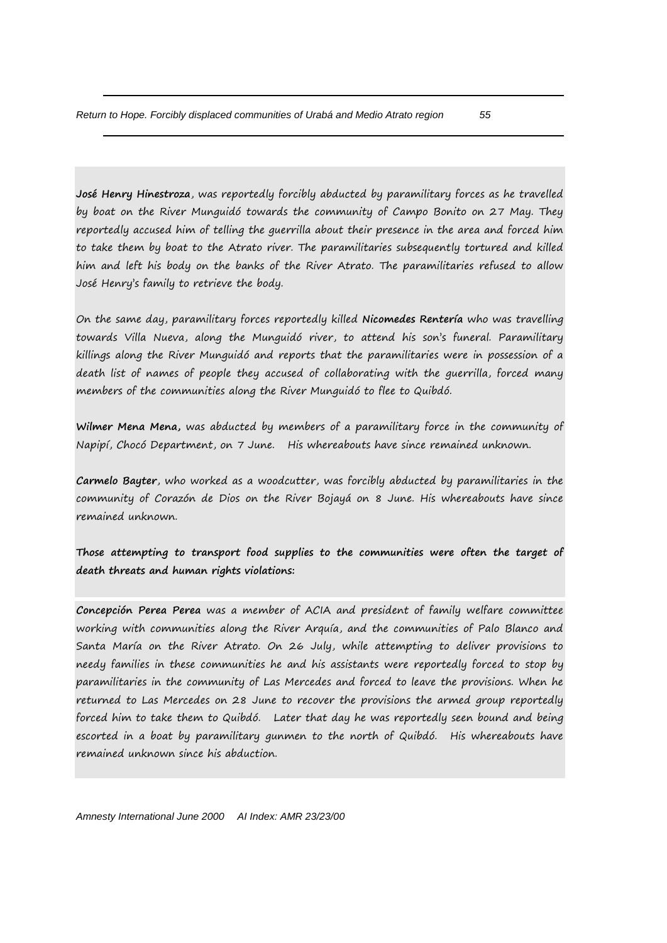**José Henry Hinestroza**, was reportedly forcibly abducted by paramilitary forces as he travelled by boat on the River Munguidó towards the community of Campo Bonito on 27 May. They reportedly accused him of telling the guerrilla about their presence in the area and forced him to take them by boat to the Atrato river. The paramilitaries subsequently tortured and killed him and left his body on the banks of the River Atrato. The paramilitaries refused to allow José Henry's family to retrieve the body.

On the same day, paramilitary forces reportedly killed **Nicomedes Rentería** who was travelling towards Villa Nueva, along the Munguidó river, to attend his son's funeral. Paramilitary killings along the River Munguidó and reports that the paramilitaries were in possession of a death list of names of people they accused of collaborating with the guerrilla, forced many members of the communities along the River Munguidó to flee to Quibdó.

**Wilmer Mena Mena,** was abducted by members of a paramilitary force in the community of Napipí, Chocó Department, on 7 June. His whereabouts have since remained unknown.

**Carmelo Bayter**, who worked as a woodcutter, was forcibly abducted by paramilitaries in the community of Corazón de Dios on the River Bojayá on 8 June. His whereabouts have since remained unknown.

**Those attempting to transport food supplies to the communities were often the target of death threats and human rights violations:**

**Concepción Perea Perea** was a member of ACIA and president of family welfare committee working with communities along the River Arquía, and the communities of Palo Blanco and Santa María on the River Atrato. On 26 July, while attempting to deliver provisions to needy families in these communities he and his assistants were reportedly forced to stop by paramilitaries in the community of Las Mercedes and forced to leave the provisions. When he returned to Las Mercedes on 28 June to recover the provisions the armed group reportedly forced him to take them to Quibdó. Later that day he was reportedly seen bound and being escorted in a boat by paramilitary gunmen to the north of Quibdó. His whereabouts have remained unknown since his abduction.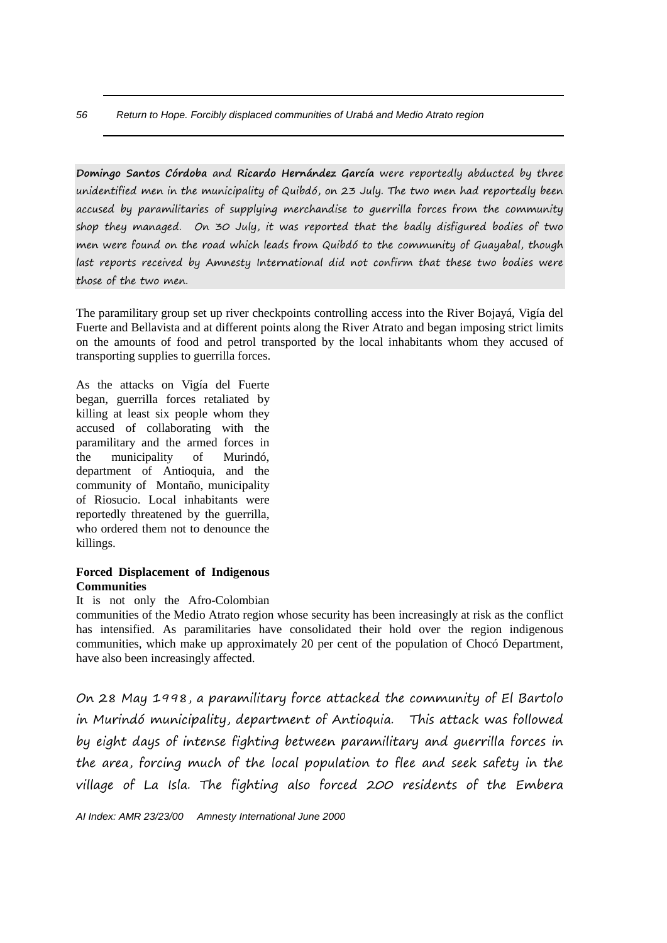**Domingo Santos Córdoba** and **Ricardo Hernández García** were reportedly abducted by three unidentified men in the municipality of Quibdó, on 23 July. The two men had reportedly been accused by paramilitaries of supplying merchandise to guerrilla forces from the community shop they managed. On 30 July, it was reported that the badly disfigured bodies of two men were found on the road which leads from Quibdó to the community of Guayabal, though last reports received by Amnesty International did not confirm that these two bodies were those of the two men.

The paramilitary group set up river checkpoints controlling access into the River Bojayá, Vigía del Fuerte and Bellavista and at different points along the River Atrato and began imposing strict limits on the amounts of food and petrol transported by the local inhabitants whom they accused of transporting supplies to guerrilla forces.

As the attacks on Vigía del Fuerte began, guerrilla forces retaliated by killing at least six people whom they accused of collaborating with the paramilitary and the armed forces in the municipality of Murindó, department of Antioquia, and the community of Montaño, municipality of Riosucio. Local inhabitants were reportedly threatened by the guerrilla, who ordered them not to denounce the killings.

#### **Forced Displacement of Indigenous Communities**

#### It is not only the Afro-Colombian

communities of the Medio Atrato region whose security has been increasingly at risk as the conflict has intensified. As paramilitaries have consolidated their hold over the region indigenous communities, which make up approximately 20 per cent of the population of Chocó Department, have also been increasingly affected.

On 28 May 1998, a paramilitary force attacked the community of El Bartolo in Murindó municipality, department of Antioquia. This attack was followed by eight days of intense fighting between paramilitary and guerrilla forces in the area, forcing much of the local population to flee and seek safety in the village of La Isla. The fighting also forced 200 residents of the Embera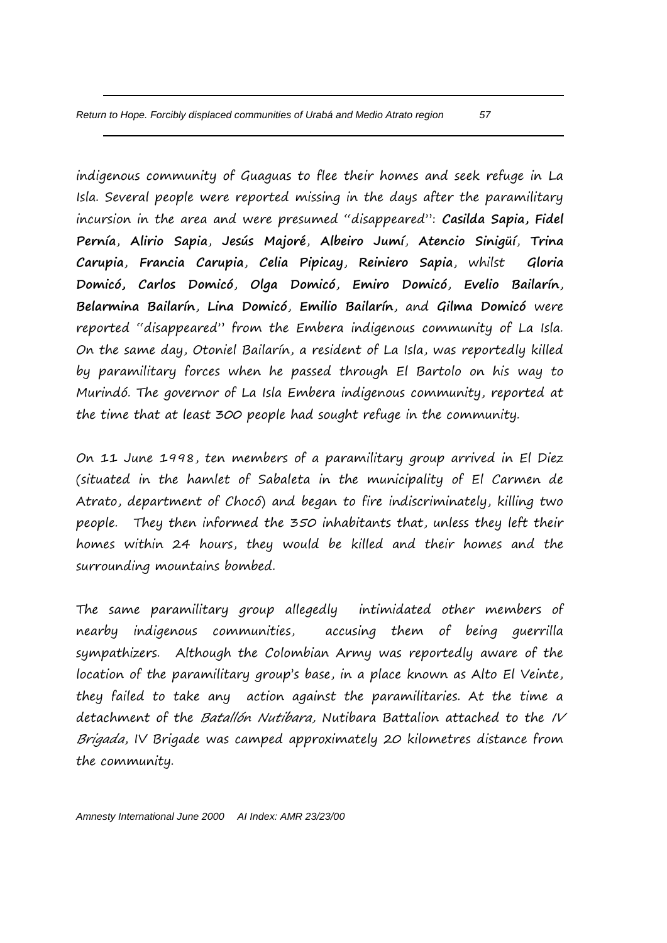indigenous community of Guaguas to flee their homes and seek refuge in La Isla. Several people were reported missing in the days after the paramilitary incursion in the area and were presumed "disappeared": **Casilda Sapia, Fidel Pernía**, **Alirio Sapia**, **Jesús Majoré**, **Albeiro Jumí**, **Atencio Sinigüí**, **Trina Carupia**, **Francia Carupia**, **Celia Pipicay**, **Reiniero Sapia**, whilst **Gloria Domicó, Carlos Domicó**, **Olga Domicó**, **Emiro Domicó**, **Evelio Bailarín**, **Belarmina Bailarín**, **Lina Domicó**, **Emilio Bailarín**, and **Gilma Domicó** were reported "disappeared" from the Embera indigenous community of La Isla. On the same day, Otoniel Bailarín, a resident of La Isla, was reportedly killed by paramilitary forces when he passed through El Bartolo on his way to Murindó. The governor of La Isla Embera indigenous community, reported at the time that at least 300 people had sought refuge in the community.

On 11 June 1998, ten members of a paramilitary group arrived in El Diez (situated in the hamlet of Sabaleta in the municipality of El Carmen de Atrato, department of Chocó) and began to fire indiscriminately, killing two people. They then informed the 350 inhabitants that, unless they left their homes within 24 hours, they would be killed and their homes and the surrounding mountains bombed.

The same paramilitary group allegedly intimidated other members of nearby indigenous communities, accusing them of being guerrilla sympathizers. Although the Colombian Army was reportedly aware of the location of the paramilitary group's base, in a place known as Alto El Veinte, they failed to take any action against the paramilitaries. At the time a detachment of the Batallón Nutibara, Nutibara Battalion attached to the IV Brigada, IV Brigade was camped approximately 20 kilometres distance from the community.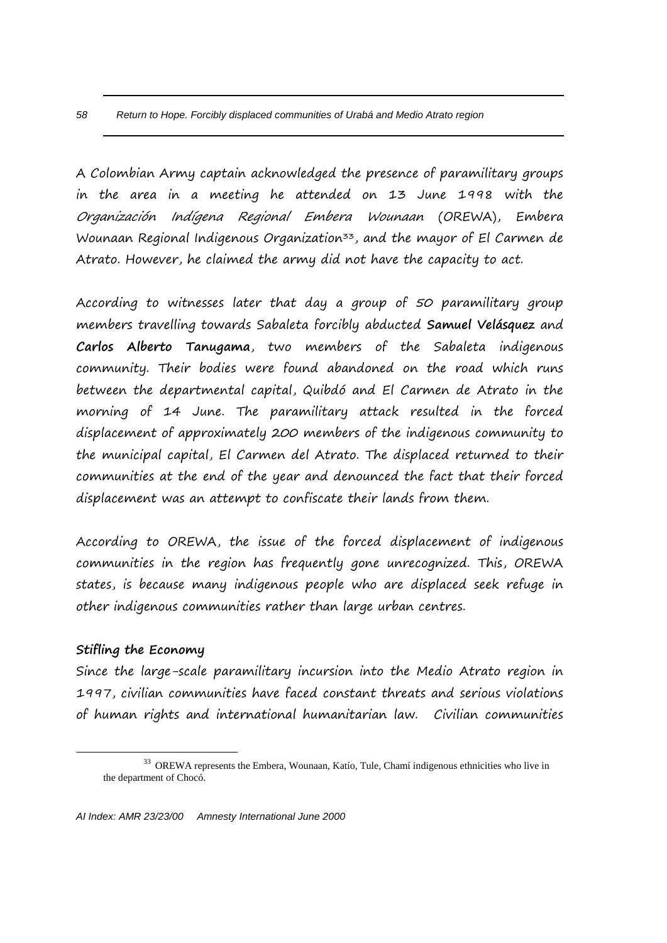A Colombian Army captain acknowledged the presence of paramilitary groups in the area in a meeting he attended on 13 June 1998 with the Organización Indígena Regional Embera Wounaan (OREWA), Embera Wounaan Regional Indigenous Organization<sup>33</sup>, and the mayor of El Carmen de Atrato. However, he claimed the army did not have the capacity to act.

According to witnesses later that day a group of 50 paramilitary group members travelling towards Sabaleta forcibly abducted **Samuel Velásquez** and **Carlos Alberto Tanugama**, two members of the Sabaleta indigenous community. Their bodies were found abandoned on the road which runs between the departmental capital, Quibdó and El Carmen de Atrato in the morning of 14 June. The paramilitary attack resulted in the forced displacement of approximately 200 members of the indigenous community to the municipal capital, El Carmen del Atrato. The displaced returned to their communities at the end of the year and denounced the fact that their forced displacement was an attempt to confiscate their lands from them.

According to OREWA, the issue of the forced displacement of indigenous communities in the region has frequently gone unrecognized. This, OREWA states, is because many indigenous people who are displaced seek refuge in other indigenous communities rather than large urban centres.

### **Stifling the Economy**

 $\overline{a}$ 

Since the large-scale paramilitary incursion into the Medio Atrato region in 1997, civilian communities have faced constant threats and serious violations of human rights and international humanitarian law. Civilian communities

<sup>&</sup>lt;sup>33</sup> OREWA represents the Embera, Wounaan, Katío, Tule, Chamí indigenous ethnicities who live in the department of Chocó.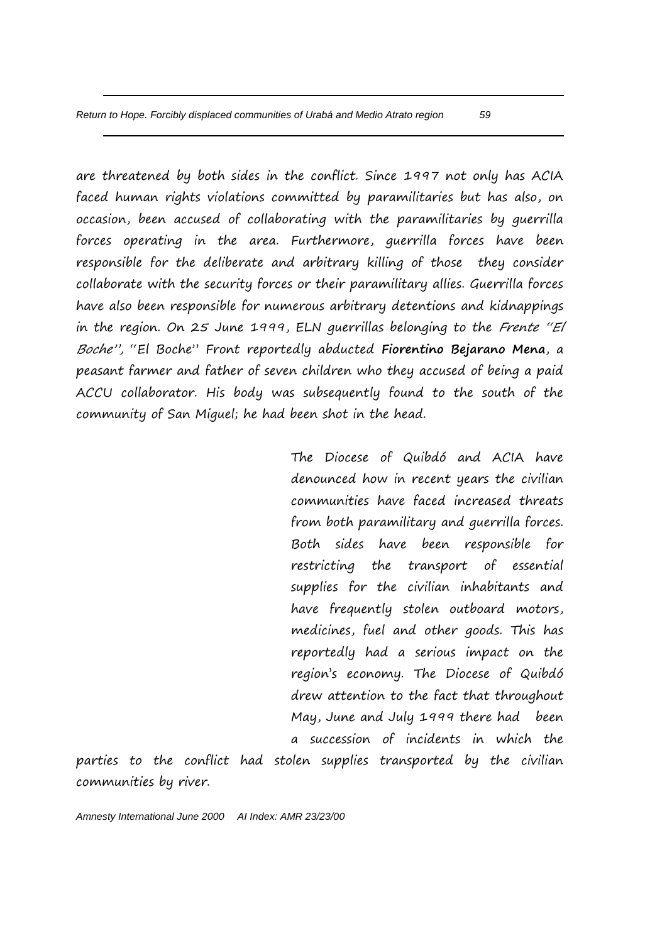are threatened by both sides in the conflict. Since 1997 not only has ACIA faced human rights violations committed by paramilitaries but has also, on occasion, been accused of collaborating with the paramilitaries by guerrilla forces operating in the area. Furthermore, guerrilla forces have been responsible for the deliberate and arbitrary killing of those they consider collaborate with the security forces or their paramilitary allies. Guerrilla forces have also been responsible for numerous arbitrary detentions and kidnappings in the region. On 25 June 1999, ELN guerrillas belonging to the Frente "El Boche", "El Boche" Front reportedly abducted **Fiorentino Bejarano Mena**, a peasant farmer and father of seven children who they accused of being a paid ACCU collaborator. His body was subsequently found to the south of the community of San Miguel; he had been shot in the head.

> The Diocese of Quibdó and ACIA have denounced how in recent years the civilian communities have faced increased threats from both paramilitary and guerrilla forces. Both sides have been responsible for restricting the transport of essential supplies for the civilian inhabitants and have frequently stolen outboard motors, medicines, fuel and other goods. This has reportedly had a serious impact on the region's economy. The Diocese of Quibdó drew attention to the fact that throughout May, June and July 1999 there had been a succession of incidents in which the

parties to the conflict had stolen supplies transported by the civilian communities by river.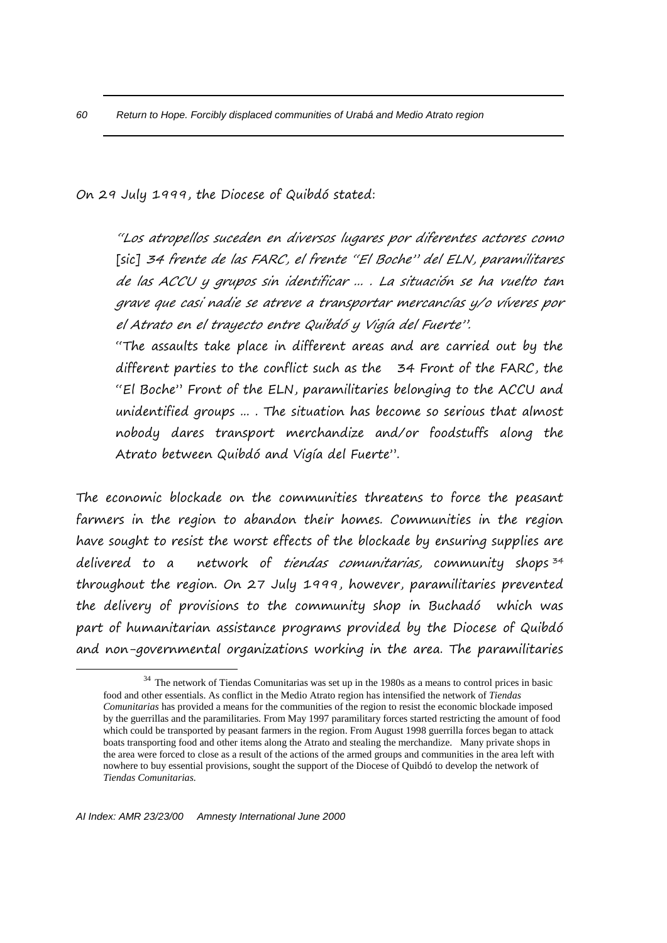On 29 July 1999, the Diocese of Quibdó stated:

"Los atropellos suceden en diversos lugares por diferentes actores como [sic] 34 frente de las FARC, el frente "El Boche" del ELN, paramilitares de las ACCU y grupos sin identificar ... . La situación se ha vuelto tan grave que casi nadie se atreve a transportar mercancías y/o víveres por el Atrato en el trayecto entre Quibdó y Vigía del Fuerte".

"The assaults take place in different areas and are carried out by the different parties to the conflict such as the 34 Front of the FARC, the "El Boche" Front of the ELN, paramilitaries belonging to the ACCU and unidentified groups ... . The situation has become so serious that almost nobody dares transport merchandize and/or foodstuffs along the Atrato between Quibdó and Vigía del Fuerte".

The economic blockade on the communities threatens to force the peasant farmers in the region to abandon their homes. Communities in the region have sought to resist the worst effects of the blockade by ensuring supplies are delivered to a network of tiendas comunitarias, community shops<sup>34</sup> throughout the region. On 27 July 1999, however, paramilitaries prevented the delivery of provisions to the community shop in Buchadó which was part of humanitarian assistance programs provided by the Diocese of Quibdó and non-governmental organizations working in the area. The paramilitaries

 $\overline{a}$ 

<sup>&</sup>lt;sup>34</sup> The network of Tiendas Comunitarias was set up in the 1980s as a means to control prices in basic food and other essentials. As conflict in the Medio Atrato region has intensified the network of *Tiendas Comunitarias* has provided a means for the communities of the region to resist the economic blockade imposed by the guerrillas and the paramilitaries. From May 1997 paramilitary forces started restricting the amount of food which could be transported by peasant farmers in the region. From August 1998 guerrilla forces began to attack boats transporting food and other items along the Atrato and stealing the merchandize. Many private shops in the area were forced to close as a result of the actions of the armed groups and communities in the area left with nowhere to buy essential provisions, sought the support of the Diocese of Quibdó to develop the network of *Tiendas Comunitarias.*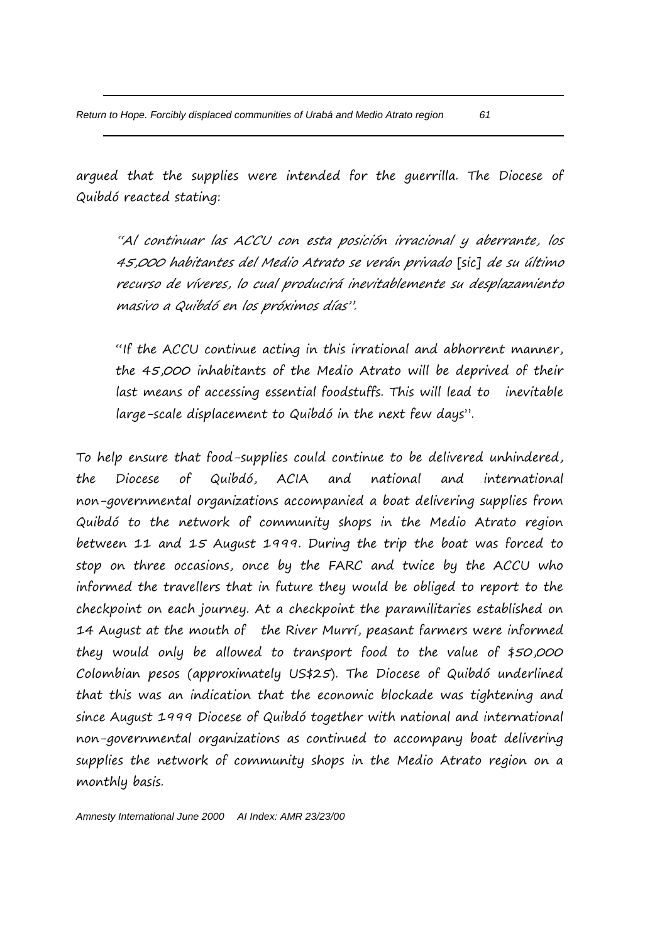argued that the supplies were intended for the guerrilla. The Diocese of Quibdó reacted stating:

"Al continuar las ACCU con esta posición irracional y aberrante, los 45,000 habitantes del Medio Atrato se verán privado [sic] de su último recurso de víveres, lo cual producirá inevitablemente su desplazamiento masivo a Quibdó en los próximos días".

"If the ACCU continue acting in this irrational and abhorrent manner, the 45,000 inhabitants of the Medio Atrato will be deprived of their last means of accessing essential foodstuffs. This will lead to inevitable large-scale displacement to Quibdó in the next few days".

To help ensure that food-supplies could continue to be delivered unhindered, the Diocese of Quibdó, ACIA and national and international non-governmental organizations accompanied a boat delivering supplies from Quibdó to the network of community shops in the Medio Atrato region between 11 and 15 August 1999. During the trip the boat was forced to stop on three occasions, once by the FARC and twice by the ACCU who informed the travellers that in future they would be obliged to report to the checkpoint on each journey. At a checkpoint the paramilitaries established on 14 August at the mouth of the River Murrí, peasant farmers were informed they would only be allowed to transport food to the value of \$50,000 Colombian pesos (approximately US\$25). The Diocese of Quibdó underlined that this was an indication that the economic blockade was tightening and since August 1999 Diocese of Quibdó together with national and international non-governmental organizations as continued to accompany boat delivering supplies the network of community shops in the Medio Atrato region on a monthly basis.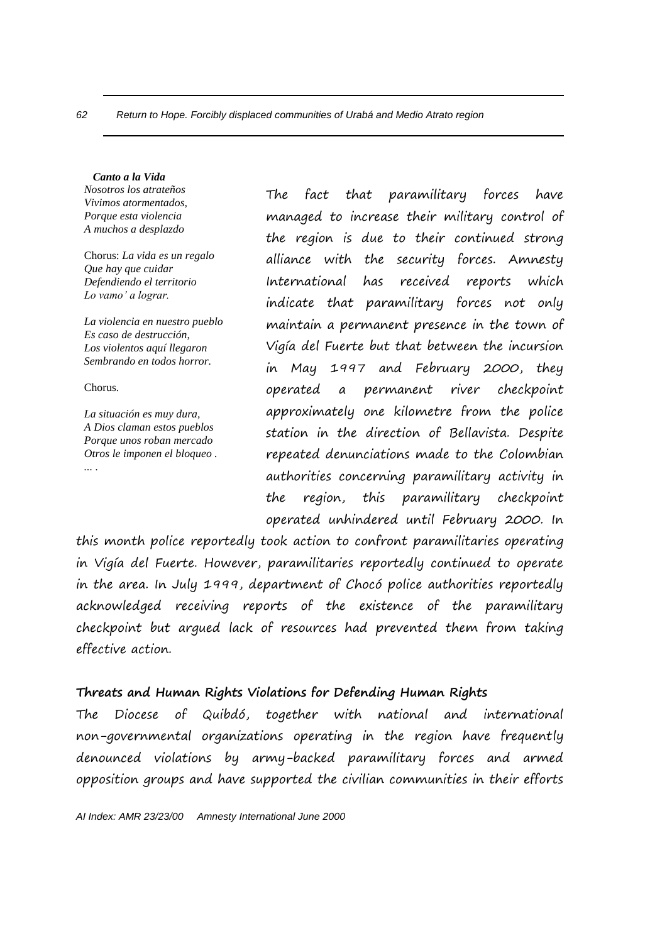#### *Canto a la Vida*

*Nosotros los atrateños Vivimos atormentados, Porque esta violencia A muchos a desplazdo*

Chorus: *La vida es un regalo Que hay que cuidar Defendiendo el territorio Lo vamo' a lograr.*

*La violencia en nuestro pueblo Es caso de destrucción, Los violentos aquí llegaron Sembrando en todos horror.*

Chorus.

*La situación es muy dura, A Dios claman estos pueblos Porque unos roban mercado Otros le imponen el bloqueo . ... .*

The fact that paramilitary forces have managed to increase their military control of the region is due to their continued strong alliance with the security forces. Amnesty International has received reports which indicate that paramilitary forces not only maintain a permanent presence in the town of Vigía del Fuerte but that between the incursion in May 1997 and February 2000, they operated a permanent river checkpoint approximately one kilometre from the police station in the direction of Bellavista. Despite repeated denunciations made to the Colombian authorities concerning paramilitary activity in the region, this paramilitary checkpoint operated unhindered until February 2000. In

this month police reportedly took action to confront paramilitaries operating in Vigía del Fuerte. However, paramilitaries reportedly continued to operate in the area. In July 1999, department of Chocó police authorities reportedly acknowledged receiving reports of the existence of the paramilitary checkpoint but argued lack of resources had prevented them from taking effective action.

# **Threats and Human Rights Violations for Defending Human Rights**

The Diocese of Quibdó, together with national and international non-governmental organizations operating in the region have frequently denounced violations by army-backed paramilitary forces and armed opposition groups and have supported the civilian communities in their efforts

*AI Index: AMR 23/23/00 Amnesty International June 2000*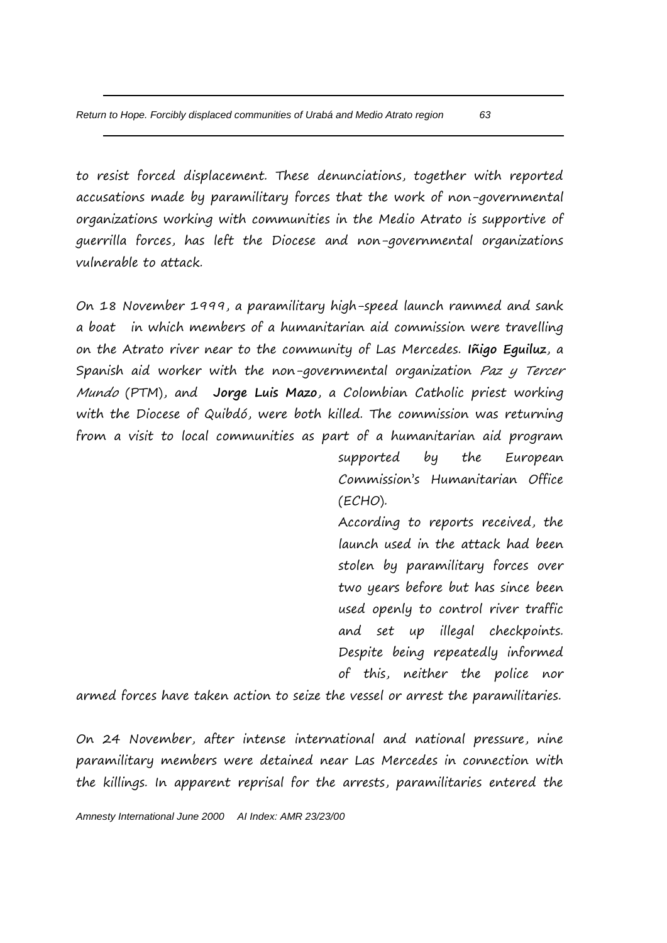to resist forced displacement. These denunciations, together with reported accusations made by paramilitary forces that the work of non-governmental organizations working with communities in the Medio Atrato is supportive of guerrilla forces, has left the Diocese and non-governmental organizations vulnerable to attack.

On 18 November 1999, a paramilitary high-speed launch rammed and sank a boat in which members of a humanitarian aid commission were travelling on the Atrato river near to the community of Las Mercedes. **Iñigo Eguiluz**, a Spanish aid worker with the non-governmental organization Paz y Tercer Mundo (PTM), and **Jorge Luis Mazo**, a Colombian Catholic priest working with the Diocese of Quibdó, were both killed. The commission was returning from a visit to local communities as part of a humanitarian aid program

> supported by the European Commission's Humanitarian Office (ECHO).

> According to reports received, the launch used in the attack had been stolen by paramilitary forces over two years before but has since been used openly to control river traffic and set up illegal checkpoints. Despite being repeatedly informed of this, neither the police nor

armed forces have taken action to seize the vessel or arrest the paramilitaries.

On 24 November, after intense international and national pressure, nine paramilitary members were detained near Las Mercedes in connection with the killings. In apparent reprisal for the arrests, paramilitaries entered the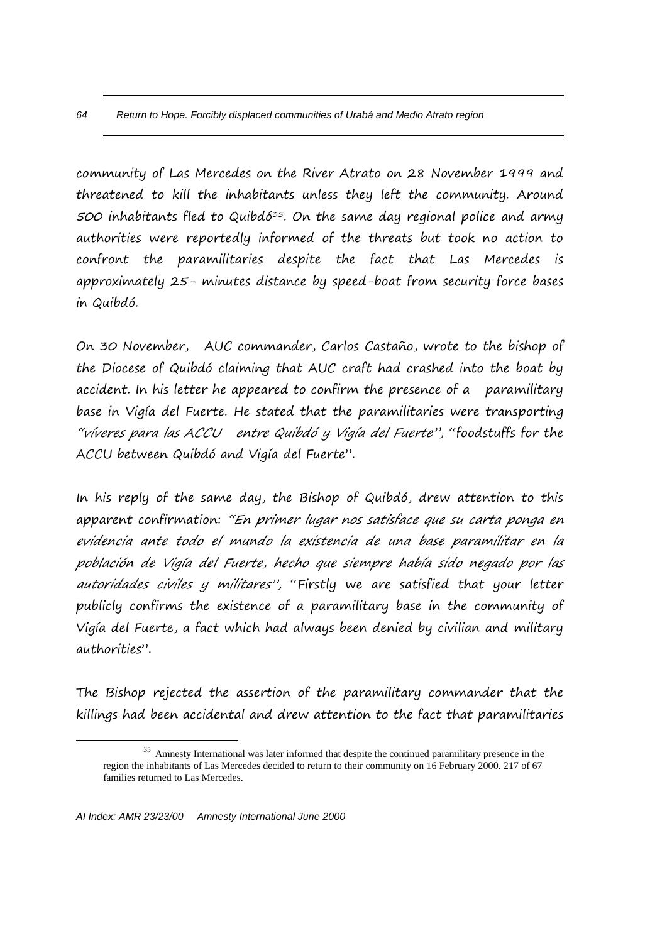community of Las Mercedes on the River Atrato on 28 November 1999 and threatened to kill the inhabitants unless they left the community. Around 500 inhabitants fled to Quibdó<sup>35</sup>. On the same day regional police and army authorities were reportedly informed of the threats but took no action to confront the paramilitaries despite the fact that Las Mercedes is approximately 25- minutes distance by speed-boat from security force bases in Quibdó.

On 30 November, AUC commander, Carlos Castaño, wrote to the bishop of the Diocese of Quibdó claiming that AUC craft had crashed into the boat by accident. In his letter he appeared to confirm the presence of a paramilitary base in Vigía del Fuerte. He stated that the paramilitaries were transporting "víveres para las ACCU entre Quibdó y Vigía del Fuerte", "foodstuffs for the ACCU between Quibdó and Vigía del Fuerte".

In his reply of the same day, the Bishop of Quibdó, drew attention to this apparent confirmation: "En primer lugar nos satisface que su carta ponga en evidencia ante todo el mundo la existencia de una base paramilitar en la población de Vigía del Fuerte, hecho que siempre había sido negado por las autoridades civiles y militares", "Firstly we are satisfied that your letter publicly confirms the existence of a paramilitary base in the community of Vigía del Fuerte, a fact which had always been denied by civilian and military authorities".

The Bishop rejected the assertion of the paramilitary commander that the killings had been accidental and drew attention to the fact that paramilitaries

 $\overline{a}$ 

<sup>&</sup>lt;sup>35</sup> Amnesty International was later informed that despite the continued paramilitary presence in the region the inhabitants of Las Mercedes decided to return to their community on 16 February 2000. 217 of 67 families returned to Las Mercedes.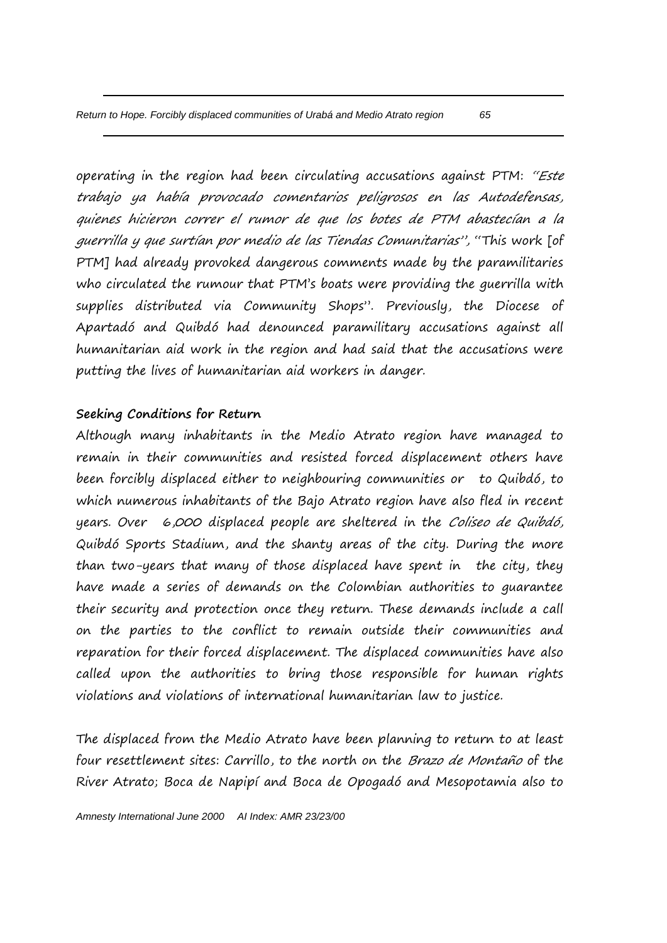operating in the region had been circulating accusations against PTM: "Este trabajo ya había provocado comentarios peligrosos en las Autodefensas, quienes hicieron correr el rumor de que los botes de PTM abastecían a la guerrilla y que surtían por medio de las Tiendas Comunitarias", "This work [of PTM] had already provoked dangerous comments made by the paramilitaries who circulated the rumour that PTM's boats were providing the guerrilla with supplies distributed via Community Shops". Previously, the Diocese of Apartadó and Quibdó had denounced paramilitary accusations against all humanitarian aid work in the region and had said that the accusations were putting the lives of humanitarian aid workers in danger.

## **Seeking Conditions for Return**

Although many inhabitants in the Medio Atrato region have managed to remain in their communities and resisted forced displacement others have been forcibly displaced either to neighbouring communities or to Quibdó, to which numerous inhabitants of the Bajo Atrato region have also fled in recent years. Over 6,000 displaced people are sheltered in the Coliseo de Quibdó, Quibdó Sports Stadium, and the shanty areas of the city. During the more than two-years that many of those displaced have spent in the city, they have made a series of demands on the Colombian authorities to guarantee their security and protection once they return. These demands include a call on the parties to the conflict to remain outside their communities and reparation for their forced displacement. The displaced communities have also called upon the authorities to bring those responsible for human rights violations and violations of international humanitarian law to justice.

The displaced from the Medio Atrato have been planning to return to at least four resettlement sites: Carrillo, to the north on the Brazo de Montaño of the River Atrato; Boca de Napipí and Boca de Opogadó and Mesopotamia also to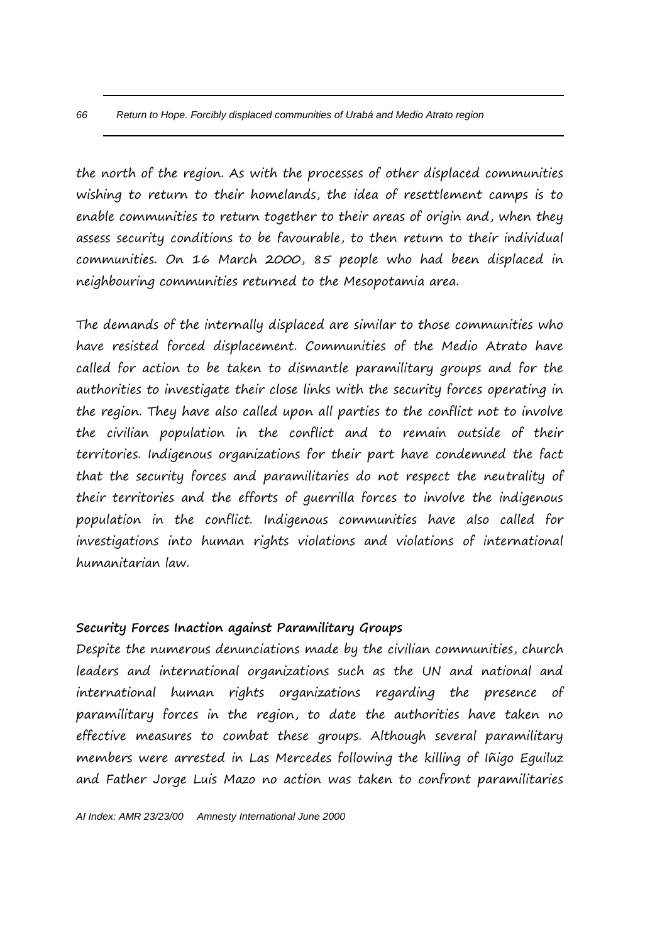the north of the region. As with the processes of other displaced communities wishing to return to their homelands, the idea of resettlement camps is to enable communities to return together to their areas of origin and, when they assess security conditions to be favourable, to then return to their individual communities. On 16 March 2000, 85 people who had been displaced in neighbouring communities returned to the Mesopotamia area.

The demands of the internally displaced are similar to those communities who have resisted forced displacement. Communities of the Medio Atrato have called for action to be taken to dismantle paramilitary groups and for the authorities to investigate their close links with the security forces operating in the region. They have also called upon all parties to the conflict not to involve the civilian population in the conflict and to remain outside of their territories. Indigenous organizations for their part have condemned the fact that the security forces and paramilitaries do not respect the neutrality of their territories and the efforts of guerrilla forces to involve the indigenous population in the conflict. Indigenous communities have also called for investigations into human rights violations and violations of international humanitarian law.

## **Security Forces Inaction against Paramilitary Groups**

Despite the numerous denunciations made by the civilian communities, church leaders and international organizations such as the UN and national and international human rights organizations regarding the presence of paramilitary forces in the region, to date the authorities have taken no effective measures to combat these groups. Although several paramilitary members were arrested in Las Mercedes following the killing of Iñigo Eguiluz and Father Jorge Luis Mazo no action was taken to confront paramilitaries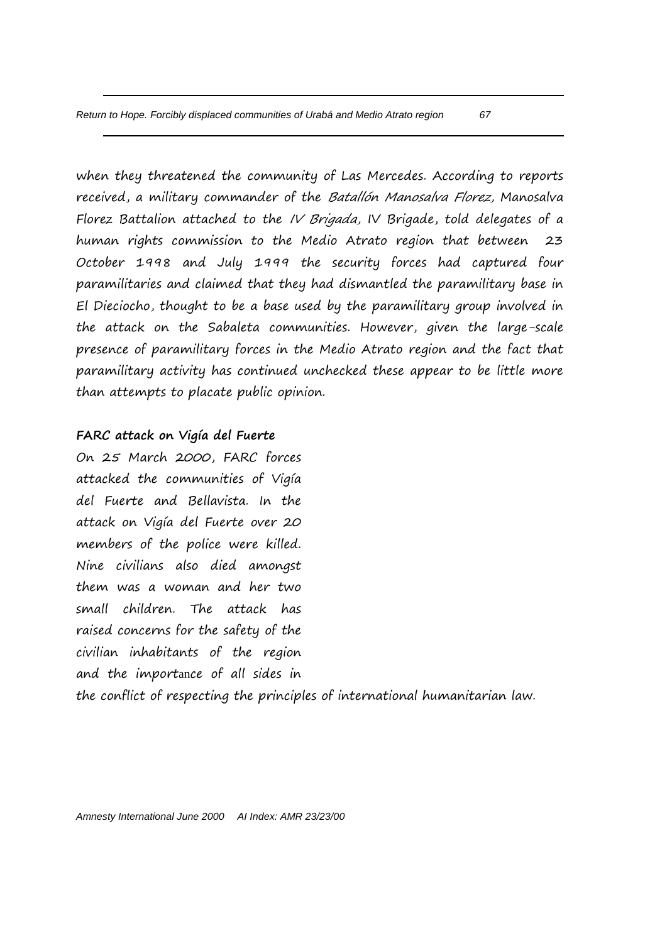when they threatened the community of Las Mercedes. According to reports received, a military commander of the Batallón Manosalva Florez, Manosalva Florez Battalion attached to the *IV Brigada*, IV Brigade, told delegates of a human rights commission to the Medio Atrato region that between 23 October 1998 and July 1999 the security forces had captured four paramilitaries and claimed that they had dismantled the paramilitary base in El Dieciocho, thought to be a base used by the paramilitary group involved in the attack on the Sabaleta communities. However, given the large-scale presence of paramilitary forces in the Medio Atrato region and the fact that paramilitary activity has continued unchecked these appear to be little more than attempts to placate public opinion.

## **FARC attack on Vigía del Fuerte**

On 25 March 2000, FARC forces attacked the communities of Vigía del Fuerte and Bellavista. In the attack on Vigía del Fuerte over 20 members of the police were killed. Nine civilians also died amongst them was a woman and her two small children. The attack has raised concerns for the safety of the civilian inhabitants of the region and the importance of all sides in the conflict of respecting the principles of international humanitarian law.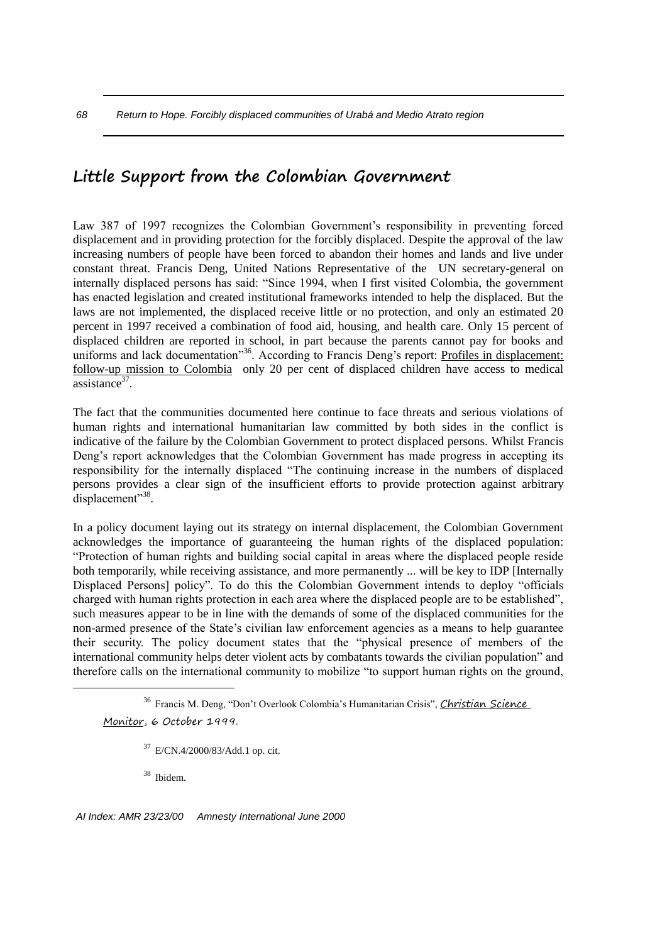# **Little Support from the Colombian Government**

Law 387 of 1997 recognizes the Colombian Government's responsibility in preventing forced displacement and in providing protection for the forcibly displaced. Despite the approval of the law increasing numbers of people have been forced to abandon their homes and lands and live under constant threat. Francis Deng, United Nations Representative of the UN secretary-general on internally displaced persons has said: "Since 1994, when I first visited Colombia, the government has enacted legislation and created institutional frameworks intended to help the displaced. But the laws are not implemented, the displaced receive little or no protection, and only an estimated 20 percent in 1997 received a combination of food aid, housing, and health care. Only 15 percent of displaced children are reported in school, in part because the parents cannot pay for books and uniforms and lack documentation<sup>356</sup>. According to Francis Deng's report: Profiles in displacement: follow-up mission to Colombia only 20 per cent of displaced children have access to medical assistance<sup>37</sup>.

The fact that the communities documented here continue to face threats and serious violations of human rights and international humanitarian law committed by both sides in the conflict is indicative of the failure by the Colombian Government to protect displaced persons. Whilst Francis Deng's report acknowledges that the Colombian Government has made progress in accepting its responsibility for the internally displaced "The continuing increase in the numbers of displaced persons provides a clear sign of the insufficient efforts to provide protection against arbitrary displacement"<sup>38</sup>.

In a policy document laying out its strategy on internal displacement, the Colombian Government acknowledges the importance of guaranteeing the human rights of the displaced population: "Protection of human rights and building social capital in areas where the displaced people reside both temporarily, while receiving assistance, and more permanently ... will be key to IDP [Internally Displaced Persons] policy". To do this the Colombian Government intends to deploy "officials charged with human rights protection in each area where the displaced people are to be established", such measures appear to be in line with the demands of some of the displaced communities for the non-armed presence of the State's civilian law enforcement agencies as a means to help guarantee their security. The policy document states that the "physical presence of members of the international community helps deter violent acts by combatants towards the civilian population" and therefore calls on the international community to mobilize "to support human rights on the ground,

<sup>37</sup> E/CN.4/2000/83/Add.1 op. cit.

<sup>38</sup> Ibidem.

1

*AI Index: AMR 23/23/00 Amnesty International June 2000*

<sup>&</sup>lt;sup>36</sup> Francis M. Deng, "Don't Overlook Colombia's Humanitarian Crisis", *Christian Science* Monitor, 6 October 1999.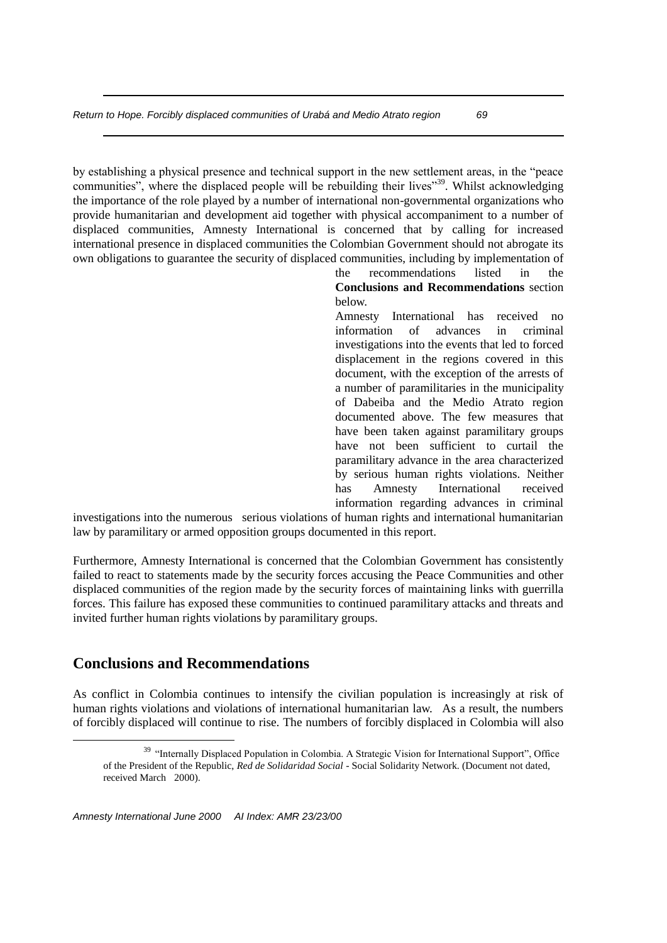by establishing a physical presence and technical support in the new settlement areas, in the "peace communities", where the displaced people will be rebuilding their lives"<sup>39</sup>. Whilst acknowledging the importance of the role played by a number of international non-governmental organizations who provide humanitarian and development aid together with physical accompaniment to a number of displaced communities, Amnesty International is concerned that by calling for increased international presence in displaced communities the Colombian Government should not abrogate its own obligations to guarantee the security of displaced communities, including by implementation of

> the recommendations listed in the **Conclusions and Recommendations** section below.

> Amnesty International has received no information of advances in criminal investigations into the events that led to forced displacement in the regions covered in this document, with the exception of the arrests of a number of paramilitaries in the municipality of Dabeiba and the Medio Atrato region documented above. The few measures that have been taken against paramilitary groups have not been sufficient to curtail the paramilitary advance in the area characterized by serious human rights violations. Neither has Amnesty International received information regarding advances in criminal

investigations into the numerous serious violations of human rights and international humanitarian law by paramilitary or armed opposition groups documented in this report.

Furthermore, Amnesty International is concerned that the Colombian Government has consistently failed to react to statements made by the security forces accusing the Peace Communities and other displaced communities of the region made by the security forces of maintaining links with guerrilla forces. This failure has exposed these communities to continued paramilitary attacks and threats and invited further human rights violations by paramilitary groups.

# **Conclusions and Recommendations**

1

As conflict in Colombia continues to intensify the civilian population is increasingly at risk of human rights violations and violations of international humanitarian law. As a result, the numbers of forcibly displaced will continue to rise. The numbers of forcibly displaced in Colombia will also

<sup>&</sup>lt;sup>39</sup> "Internally Displaced Population in Colombia. A Strategic Vision for International Support", Office of the President of the Republic, *Red de Solidaridad Social* - Social Solidarity Network. (Document not dated, received March 2000).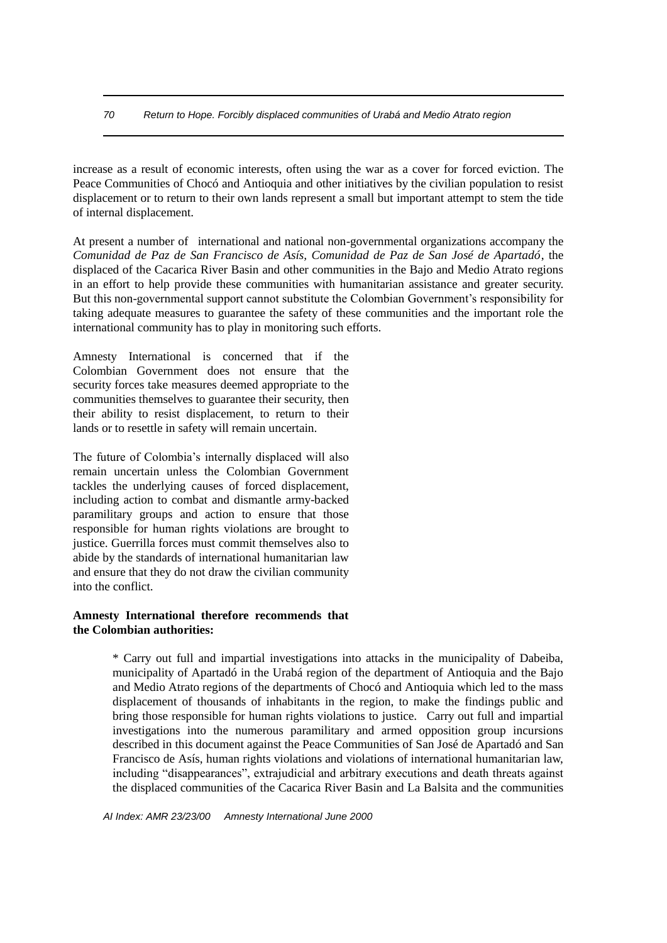*70 Return to Hope. Forcibly displaced communities of Urabá and Medio Atrato region*

increase as a result of economic interests, often using the war as a cover for forced eviction. The Peace Communities of Chocó and Antioquia and other initiatives by the civilian population to resist displacement or to return to their own lands represent a small but important attempt to stem the tide of internal displacement.

At present a number of international and national non-governmental organizations accompany the *Comunidad de Paz de San Francisco de Asís, Comunidad de Paz de San José de Apartadó*, the displaced of the Cacarica River Basin and other communities in the Bajo and Medio Atrato regions in an effort to help provide these communities with humanitarian assistance and greater security. But this non-governmental support cannot substitute the Colombian Government's responsibility for taking adequate measures to guarantee the safety of these communities and the important role the international community has to play in monitoring such efforts.

Amnesty International is concerned that if the Colombian Government does not ensure that the security forces take measures deemed appropriate to the communities themselves to guarantee their security, then their ability to resist displacement, to return to their lands or to resettle in safety will remain uncertain.

The future of Colombia's internally displaced will also remain uncertain unless the Colombian Government tackles the underlying causes of forced displacement, including action to combat and dismantle army-backed paramilitary groups and action to ensure that those responsible for human rights violations are brought to justice. Guerrilla forces must commit themselves also to abide by the standards of international humanitarian law and ensure that they do not draw the civilian community into the conflict.

### **Amnesty International therefore recommends that the Colombian authorities:**

\* Carry out full and impartial investigations into attacks in the municipality of Dabeiba, municipality of Apartadó in the Urabá region of the department of Antioquia and the Bajo and Medio Atrato regions of the departments of Chocó and Antioquia which led to the mass displacement of thousands of inhabitants in the region, to make the findings public and bring those responsible for human rights violations to justice. Carry out full and impartial investigations into the numerous paramilitary and armed opposition group incursions described in this document against the Peace Communities of San José de Apartadó and San Francisco de Asís, human rights violations and violations of international humanitarian law, including "disappearances", extrajudicial and arbitrary executions and death threats against the displaced communities of the Cacarica River Basin and La Balsita and the communities

*AI Index: AMR 23/23/00 Amnesty International June 2000*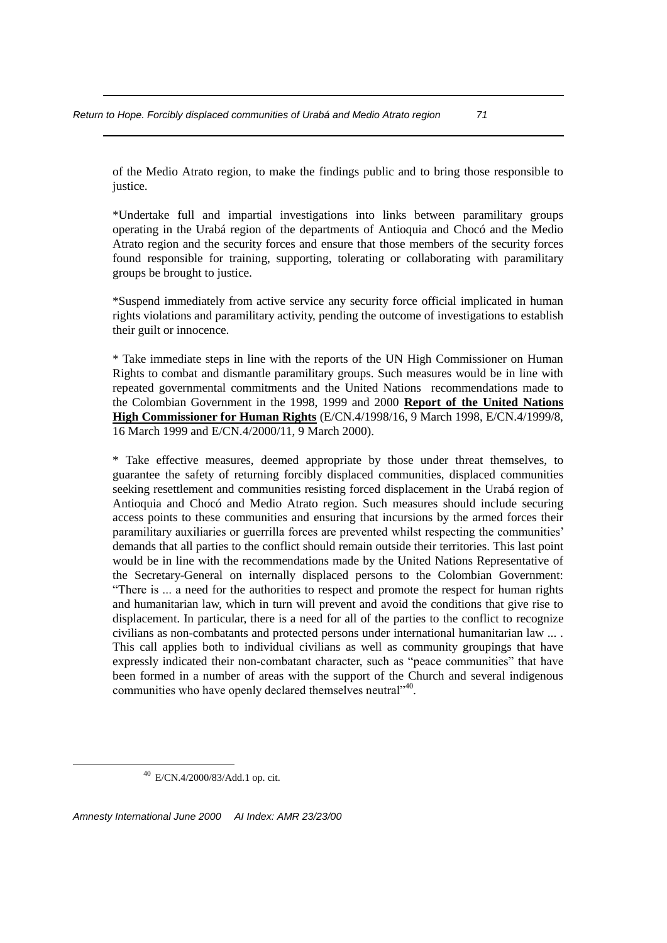of the Medio Atrato region, to make the findings public and to bring those responsible to justice.

\*Undertake full and impartial investigations into links between paramilitary groups operating in the Urabá region of the departments of Antioquia and Chocó and the Medio Atrato region and the security forces and ensure that those members of the security forces found responsible for training, supporting, tolerating or collaborating with paramilitary groups be brought to justice.

\*Suspend immediately from active service any security force official implicated in human rights violations and paramilitary activity, pending the outcome of investigations to establish their guilt or innocence.

\* Take immediate steps in line with the reports of the UN High Commissioner on Human Rights to combat and dismantle paramilitary groups. Such measures would be in line with repeated governmental commitments and the United Nations recommendations made to the Colombian Government in the 1998, 1999 and 2000 **Report of the United Nations High Commissioner for Human Rights** (E/CN.4/1998/16, 9 March 1998, E/CN.4/1999/8, 16 March 1999 and E/CN.4/2000/11, 9 March 2000).

\* Take effective measures, deemed appropriate by those under threat themselves, to guarantee the safety of returning forcibly displaced communities, displaced communities seeking resettlement and communities resisting forced displacement in the Urabá region of Antioquia and Chocó and Medio Atrato region. Such measures should include securing access points to these communities and ensuring that incursions by the armed forces their paramilitary auxiliaries or guerrilla forces are prevented whilst respecting the communities' demands that all parties to the conflict should remain outside their territories. This last point would be in line with the recommendations made by the United Nations Representative of the Secretary-General on internally displaced persons to the Colombian Government: "There is ... a need for the authorities to respect and promote the respect for human rights and humanitarian law, which in turn will prevent and avoid the conditions that give rise to displacement. In particular, there is a need for all of the parties to the conflict to recognize civilians as non-combatants and protected persons under international humanitarian law ... . This call applies both to individual civilians as well as community groupings that have expressly indicated their non-combatant character, such as "peace communities" that have been formed in a number of areas with the support of the Church and several indigenous communities who have openly declared themselves neutral"<sup>40</sup>.

<u>.</u>

<sup>40</sup> E/CN.4/2000/83/Add.1 op. cit.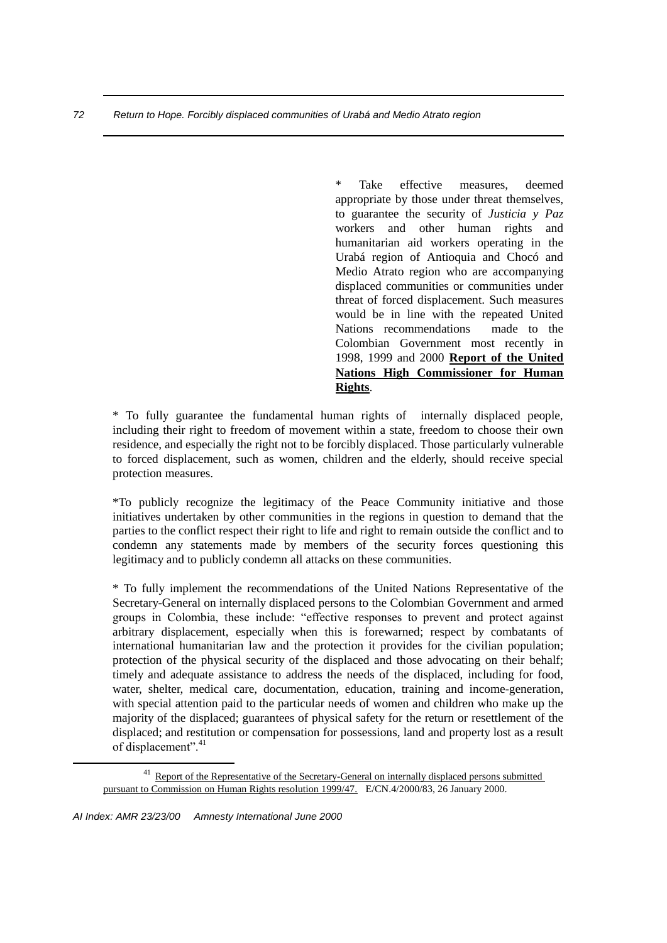Take effective measures, deemed appropriate by those under threat themselves, to guarantee the security of *Justicia y Paz*  workers and other human rights and humanitarian aid workers operating in the Urabá region of Antioquia and Chocó and Medio Atrato region who are accompanying displaced communities or communities under threat of forced displacement. Such measures would be in line with the repeated United Nations recommendations made to the Colombian Government most recently in 1998, 1999 and 2000 **Report of the United Nations High Commissioner for Human Rights**.

\* To fully guarantee the fundamental human rights of internally displaced people, including their right to freedom of movement within a state, freedom to choose their own residence, and especially the right not to be forcibly displaced. Those particularly vulnerable to forced displacement, such as women, children and the elderly, should receive special protection measures.

\*To publicly recognize the legitimacy of the Peace Community initiative and those initiatives undertaken by other communities in the regions in question to demand that the parties to the conflict respect their right to life and right to remain outside the conflict and to condemn any statements made by members of the security forces questioning this legitimacy and to publicly condemn all attacks on these communities.

\* To fully implement the recommendations of the United Nations Representative of the Secretary-General on internally displaced persons to the Colombian Government and armed groups in Colombia, these include: "effective responses to prevent and protect against arbitrary displacement, especially when this is forewarned; respect by combatants of international humanitarian law and the protection it provides for the civilian population; protection of the physical security of the displaced and those advocating on their behalf; timely and adequate assistance to address the needs of the displaced, including for food, water, shelter, medical care, documentation, education, training and income-generation, with special attention paid to the particular needs of women and children who make up the majority of the displaced; guarantees of physical safety for the return or resettlement of the displaced; and restitution or compensation for possessions, land and property lost as a result of displacement".<sup>41</sup>

1

<sup>&</sup>lt;sup>41</sup> Report of the Representative of the Secretary-General on internally displaced persons submitted pursuant to Commission on Human Rights resolution 1999/47. E/CN.4/2000/83, 26 January 2000.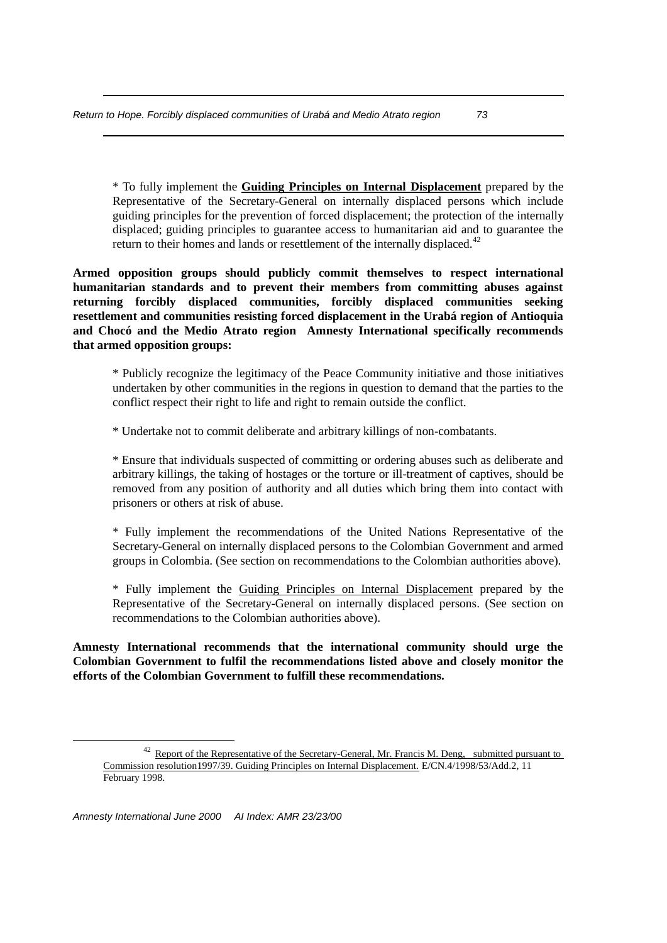\* To fully implement the **Guiding Principles on Internal Displacement** prepared by the Representative of the Secretary-General on internally displaced persons which include guiding principles for the prevention of forced displacement; the protection of the internally displaced; guiding principles to guarantee access to humanitarian aid and to guarantee the return to their homes and lands or resettlement of the internally displaced.<sup>42</sup>

**Armed opposition groups should publicly commit themselves to respect international humanitarian standards and to prevent their members from committing abuses against returning forcibly displaced communities, forcibly displaced communities seeking resettlement and communities resisting forced displacement in the Urabá region of Antioquia and Chocó and the Medio Atrato region Amnesty International specifically recommends that armed opposition groups:**

\* Publicly recognize the legitimacy of the Peace Community initiative and those initiatives undertaken by other communities in the regions in question to demand that the parties to the conflict respect their right to life and right to remain outside the conflict.

\* Undertake not to commit deliberate and arbitrary killings of non-combatants.

\* Ensure that individuals suspected of committing or ordering abuses such as deliberate and arbitrary killings, the taking of hostages or the torture or ill-treatment of captives, should be removed from any position of authority and all duties which bring them into contact with prisoners or others at risk of abuse.

\* Fully implement the recommendations of the United Nations Representative of the Secretary-General on internally displaced persons to the Colombian Government and armed groups in Colombia. (See section on recommendations to the Colombian authorities above).

\* Fully implement the Guiding Principles on Internal Displacement prepared by the Representative of the Secretary-General on internally displaced persons. (See section on recommendations to the Colombian authorities above).

**Amnesty International recommends that the international community should urge the Colombian Government to fulfil the recommendations listed above and closely monitor the efforts of the Colombian Government to fulfill these recommendations.**

1

<sup>&</sup>lt;sup>42</sup> Report of the Representative of the Secretary-General, Mr. Francis M. Deng, submitted pursuant to Commission resolution1997/39. Guiding Principles on Internal Displacement. E/CN.4/1998/53/Add.2, 11 February 1998.